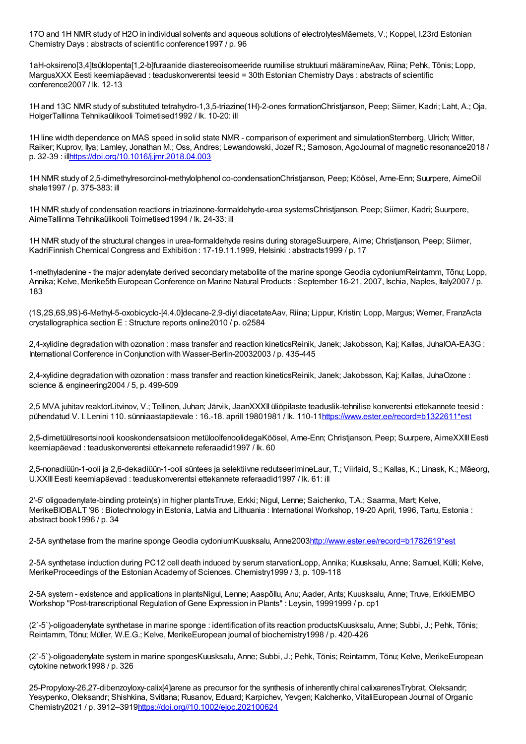17O and 1H NMR study of H2O in individual solvents and aqueous solutions of electrolytesMäemets, V.; Koppel, I.23rd Estonian Chemistry Days : abstracts of scientific conference1997 / p. 96

1aH-oksireno[3,4]tsüklopenta[1,2-b]furaanide diastereoisomeeride ruumilise struktuuri määramineAav, Riina; Pehk, Tõnis; Lopp, MargusXXX Eesti keemiapäevad : teaduskonverentsi teesid = 30th Estonian Chemistry Days : abstracts of scientific conference2007 / lk. 12-13

1H and 13C NMR study of substituted tetrahydro-1,3,5-triazine(1H)-2-ones formationChristjanson, Peep; Siimer, Kadri; Laht, A.; Oja, HolgerTallinna Tehnikaülikooli Toimetised1992 / lk. 10-20: ill

1H line width dependence on MAS speed in solid state NMR - comparison of experiment and simulationSternberg, Ulrich; Witter, Raiker; Kuprov, Ilya; Lamley, Jonathan M.; Oss, Andres; Lewandowski, Jozef R.; Samoson, AgoJournal of magnetic resonance2018 / p. 32-39 : il[lhttps://doi.org/10.1016/j.jmr.2018.04.003](https://doi.org/10.1016/j.jmr.2018.04.003)

1H NMR study of 2,5-dimethylresorcinol-methylolphenol co-condensationChristjanson, Peep; Köösel, Arne-Enn; Suurpere, AimeOil shale1997 / p. 375-383: ill

1H NMR study of condensation reactions in triazinone-formaldehyde-urea systemsChristjanson, Peep; Siimer, Kadri; Suurpere, AimeTallinna Tehnikaülikooli Toimetised1994 / lk. 24-33: ill

1H NMR study of the structural changes in urea-formaldehyde resins during storageSuurpere, Aime; Christjanson, Peep; Siimer, KadriFinnish Chemical Congress and Exhibition : 17-19.11.1999, Helsinki : abstracts1999 / p. 17

1-methyladenine - the major adenylate derived secondary metabolite of the marine sponge Geodia cydoniumReintamm, Tõnu; Lopp, Annika; Kelve, Merike5th European Conference on Marine Natural Products : September 16-21, 2007, Ischia, Naples, Italy2007 / p. 183

(1S,2S,6S,9S)-6-Methyl-5-oxobicyclo-[4.4.0]decane-2,9-diyl diacetateAav, Riina; Lippur, Kristin; Lopp, Margus; Werner, FranzActa crystallographica section E : Structure reports online2010 / p. o2584

2,4-xylidine degradation with ozonation : mass transfer and reaction kineticsReinik, Janek; Jakobsson, Kaj; Kallas, JuhaIOA-EA3G : International Conference in Conjunction with Wasser-Berlin-20032003 / p. 435-445

2,4-xylidine degradation with ozonation : mass transfer and reaction kineticsReinik, Janek; Jakobsson, Kaj; Kallas, JuhaOzone : science & engineering2004 / 5, p. 499-509

2,5 MVA juhitav reaktorLitvinov, V.; Tellinen, Juhan; Järvik, JaanXXXII üliõpilaste teaduslik-tehnilise konverentsi ettekannete teesid : pühendatud V. I. Lenini 110. sünniaastapäevale : 16.-18. aprill 19801981 / lk. 110-1[1https://www.ester.ee/record=b1322611\\*est](https://www.ester.ee/record=b1322611*est)

2,5-dimetüülresortsinooli kooskondensatsioon metüloolfenoolidegaKöösel, Arne-Enn; Christjanson, Peep; Suurpere, AimeXXIIIEesti keemiapäevad : teaduskonverentsi ettekannete referaadid1997 / lk. 60

2,5-nonadiüün-1-ooli ja 2,6-dekadiüün-1-ooli süntees ja selektiivne redutseerimineLaur, T.; Viirlaid, S.; Kallas, K.; Linask, K.; Mäeorg, U.XXIIIEesti keemiapäevad : teaduskonverentsi ettekannete referaadid1997 / lk. 61: ill

2'-5' oligoadenylate-binding protein(s) in higher plantsTruve, Erkki; Nigul, Lenne; Saichenko, T.A.; Saarma, Mart; Kelve, MerikeBIOBALT '96 : Biotechnology in Estonia, Latvia and Lithuania : International Workshop, 19-20 April, 1996, Tartu, Estonia : abstract book1996 / p. 34

2-5A synthetase from the marine sponge Geodia cydoniumKuusksalu, Anne200[3http://www.ester.ee/record=b1782619\\*est](http://www.ester.ee/record=b1782619*est)

2-5A synthetase induction during PC12 cell death induced by serum starvationLopp, Annika; Kuusksalu, Anne; Samuel, Külli; Kelve, MerikeProceedings of the Estonian Academy of Sciences. Chemistry1999 / 3, p. 109-118

2-5A system - existence and applications in plantsNigul, Lenne; Aaspõllu, Anu; Aader, Ants; Kuusksalu, Anne; Truve, ErkkiEMBO Workshop "Post-transcriptional Regulation of Gene Expression in Plants" : Leysin, 19991999 / p. cp1

(2`-5`)-oligoadenylate synthetase in marine sponge : identification of its reaction productsKuusksalu, Anne; Subbi, J.; Pehk, Tõnis; Reintamm, Tõnu; Müller, W.E.G.; Kelve, MerikeEuropean journal of biochemistry1998 / p. 420-426

(2`-5`)-oligoadenylate system in marine spongesKuusksalu, Anne; Subbi, J.; Pehk, Tõnis; Reintamm, Tõnu; Kelve, MerikeEuropean cytokine network1998 / p. 326

25-Propyloxy-26,27-dibenzoyloxy-calix[4]arene as precursor for the synthesis of inherently chiral calixarenesTrybrat, Oleksandr; Yesypenko, Oleksandr; Shishkina, Svitlana; Rusanov, Eduard; Karpichev, Yevgen; Kalchenko, VitaliEuropean Journal of Organic Chemistry2021 / p. 3912–391[9https://doi.org//10.1002/ejoc.202100624](https://doi.org//10.1002/ejoc.202100624)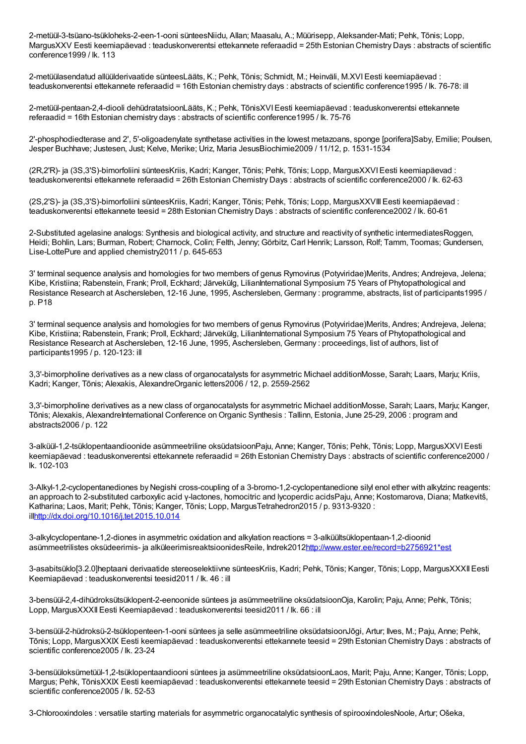2-metüül-3-tsüano-tsükloheks-2-een-1-ooni sünteesNiidu, Allan; Maasalu, A.; Müürisepp, Aleksander-Mati; Pehk, Tõnis; Lopp, MargusXXV Eesti keemiapäevad : teaduskonverentsi ettekannete referaadid = 25th Estonian Chemistry Days : abstracts of scientific conference1999 / lk. 113

2-metüülasendatud allüülderivaatide sünteesLääts, K.; Pehk, Tõnis; Schmidt, M.; Heinväli, M.XVIEesti keemiapäevad : teaduskonverentsi ettekannete referaadid = 16th Estonian chemistry days : abstracts of scientific conference1995 / lk. 76-78: ill

2-metüül-pentaan-2,4-diooli dehüdratatsioonLääts, K.; Pehk, TõnisXVIEesti keemiapäevad : teaduskonverentsi ettekannete referaadid = 16th Estonian chemistry days : abstracts of scientific conference1995 / lk. 75-76

2'-phosphodiedterase and 2', 5'-oligoadenylate synthetase activities in the lowest metazoans, sponge [porifera]Saby, Emilie; Poulsen, Jesper Buchhave; Justesen, Just; Kelve, Merike; Uriz, Maria JesusBiochimie2009 / 11/12, p. 1531-1534

(2R,2'R)- ja (3S,3'S)-bimorfoliini sünteesKriis, Kadri; Kanger, Tõnis; Pehk, Tõnis; Lopp, MargusXXVIEesti keemiapäevad : teaduskonverentsi ettekannete referaadid = 26th Estonian Chemistry Days : abstracts of scientific conference2000 / lk. 62-63

(2S,2'S)- ja (3S,3'S)-bimorfoliini sünteesKriis, Kadri; Kanger, Tõnis; Pehk, Tõnis; Lopp, MargusXXVIIIEesti keemiapäevad : teaduskonverentsi ettekannete teesid = 28th Estonian Chemistry Days : abstracts of scientific conference2002 / lk. 60-61

2-Substituted agelasine analogs: Synthesis and biological activity, and structure and reactivity of synthetic intermediatesRoggen, Heidi; Bohlin, Lars; Burman, Robert; Charnock, Colin; Felth, Jenny; Görbitz, Carl Henrik; Larsson, Rolf; Tamm, Toomas; Gundersen, Lise-LottePure and applied chemistry2011 / p. 645-653

3' terminal sequence analysis and homologies for two members of genus Rymovirus (Potyviridae)Merits, Andres; Andrejeva, Jelena; Kibe, Kristiina; Rabenstein, Frank; Proll, Eckhard; Järvekülg, LilianInternational Symposium 75 Years of Phytopathological and Resistance Research at Aschersleben, 12-16 June, 1995, Aschersleben, Germany : programme, abstracts, list of participants1995 / p. P18

3' terminal sequence analysis and homologies for two members of genus Rymovirus (Potyviridae)Merits, Andres; Andrejeva, Jelena; Kibe, Kristiina; Rabenstein, Frank; Proll, Eckhard; Järvekülg, LilianInternational Symposium 75 Years of Phytopathological and Resistance Research at Aschersleben, 12-16 June, 1995, Aschersleben, Germany : proceedings, list of authors, list of participants1995 / p. 120-123: ill

3,3'-bimorpholine derivatives as a new class of organocatalysts for asymmetric Michael additionMosse, Sarah; Laars, Marju; Kriis, Kadri; Kanger, Tõnis; Alexakis, AlexandreOrganic letters2006 / 12, p. 2559-2562

3,3'-bimorpholine derivatives as a new class of organocatalysts for asymmetric Michael additionMosse, Sarah; Laars, Marju; Kanger, Tõnis; Alexakis, AlexandreInternational Conference onOrganic Synthesis : Tallinn, Estonia, June 25-29, 2006 : program and abstracts2006 / p. 122

3-alküül-1,2-tsüklopentaandioonide asümmeetriline oksüdatsioonPaju, Anne; Kanger, Tõnis; Pehk, Tõnis; Lopp, MargusXXVIEesti keemiapäevad : teaduskonverentsi ettekannete referaadid = 26th Estonian Chemistry Days : abstracts of scientific conference2000 / lk. 102-103

3-Alkyl-1,2-cyclopentanediones by Negishi cross-coupling of a 3-bromo-1,2-cyclopentanedione silyl enol ether with alkylzinc reagents: an approach to 2-substituted carboxylic acid γ-lactones, homocitric and lycoperdic acidsPaju, Anne; Kostomarova, Diana; Matkevitš, Katharina; Laos, Marit; Pehk, Tõnis; Kanger, Tõnis; Lopp, MargusTetrahedron2015 / p. 9313-9320 : il[lhttp://dx.doi.org/10.1016/j.tet.2015.10.014](http://dx.doi.org/10.1016/j.tet.2015.10.014)

3-alkylcyclopentane-1,2-diones in asymmetric oxidation and alkylation reactions = 3-alküültsüklopentaan-1,2-dioonid asümmeetrilistes oksüdeerimis- ja alküleerimisreaktsioonidesReile, Indrek2012[http://www.ester.ee/record=b2756921\\*est](http://www.ester.ee/record=b2756921*est)

3-asabitsüklo[3.2.0]heptaani derivaatide stereoselektiivne sünteesKriis, Kadri; Pehk, Tõnis; Kanger, Tõnis; Lopp, MargusXXXIIEesti Keemiapäevad : teaduskonverentsi teesid2011 / lk. 46 : ill

3-bensüül-2,4-dihüdroksütsüklopent-2-eenoonide süntees ja asümmeetriline oksüdatsioonOja, Karolin; Paju, Anne; Pehk, Tõnis; Lopp, MargusXXXII Eesti Keemiapäevad : teaduskonverentsi teesid2011 / lk. 66 : ill

3-bensüül-2-hüdroksü-2-tsüklopenteen-1-ooni süntees ja selle asümmeetriline oksüdatsioonJõgi, Artur; Ilves, M.; Paju, Anne; Pehk, Tõnis; Lopp, MargusXXIX Eesti keemiapäevad : teaduskonverentsi ettekannete teesid = 29th Estonian Chemistry Days : abstracts of scientific conference2005 / lk. 23-24

3-bensüüloksümetüül-1,2-tsüklopentaandiooni süntees ja asümmeetriline oksüdatsioonLaos, Marit; Paju, Anne; Kanger, Tõnis; Lopp, Margus; Pehk, TõnisXXIX Eesti keemiapäevad : teaduskonverentsi ettekannete teesid = 29th Estonian Chemistry Days : abstracts of scientific conference2005 / lk. 52-53

3-Chlorooxindoles : versatile starting materials for asymmetric organocatalytic synthesis of spirooxindolesNoole, Artur; Ošeka,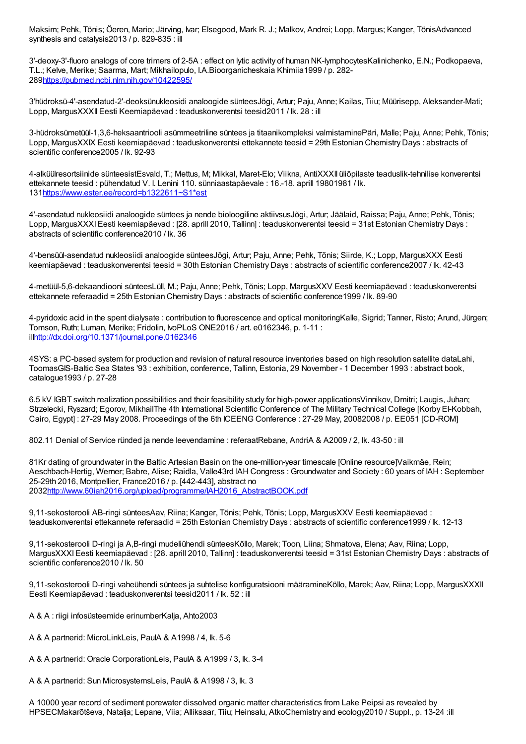Maksim; Pehk, Tõnis; Öeren, Mario; Järving, Ivar; Elsegood, Mark R. J.; Malkov, Andrei; Lopp, Margus; Kanger, TõnisAdvanced synthesis and catalysis2013 / p. 829-835 : ill

3'-deoxy-3'-fluoro analogs of core trimers of 2-5A : effect on lytic activity of human NK-lymphocytesKalinichenko, E.N.; Podkopaeva, T.L.; Kelve, Merike; Saarma, Mart; Mikhailopulo, I.A.Bioorganicheskaia Khimiia1999 / p. 282- 28[9https://pubmed.ncbi.nlm.nih.gov/10422595/](https://pubmed.ncbi.nlm.nih.gov/10422595/)

3'hüdroksü-4'-asendatud-2'-deoksünukleosidi analoogide sünteesJõgi, Artur; Paju, Anne; Kailas, Tiiu; Müürisepp, Aleksander-Mati; Lopp, MargusXXXIIEesti Keemiapäevad : teaduskonverentsi teesid2011 / lk. 28 : ill

3-hüdroksümetüül-1,3,6-heksaantriooli asümmeetriline süntees ja titaanikompleksi valmistaminePäri, Malle; Paju, Anne; Pehk, Tõnis; Lopp, MargusXXIX Eesti keemiapäevad : teaduskonverentsi ettekannete teesid = 29th Estonian Chemistry Days : abstracts of scientific conference2005 / lk. 92-93

4-alküülresortsiinide sünteesistEsvald, T.; Mettus, M; Mikkal, Maret-Elo; Viikna, AntiXXXII üliõpilaste teaduslik-tehnilise konverentsi ettekannete teesid : pühendatud V. I. Lenini 110. sünniaastapäevale : 16.-18. aprill 19801981 / lk. 13[1https://www.ester.ee/record=b1322611~S1\\*est](https://www.ester.ee/record=b1322611~S1*est)

4'-asendatud nukleosiidi analoogide süntees ja nende bioloogiline aktiivsusJõgi, Artur; Jäälaid, Raissa; Paju, Anne; Pehk, Tõnis; Lopp, MargusXXXIEesti keemiapäevad : [28. aprill 2010, Tallinn] : teaduskonverentsi teesid = 31st Estonian Chemistry Days : abstracts of scientific conference2010 / lk. 36

4'-bensüül-asendatud nukleosiidi analoogide sünteesJõgi, Artur; Paju, Anne; Pehk, Tõnis; Siirde, K.; Lopp, MargusXXX Eesti keemiapäevad : teaduskonverentsi teesid = 30th Estonian Chemistry Days : abstracts of scientific conference2007 / lk. 42-43

4-metüül-5,6-dekaandiooni sünteesLüll, M.; Paju, Anne; Pehk, Tõnis; Lopp, MargusXXV Eesti keemiapäevad : teaduskonverentsi ettekannete referaadid = 25th Estonian Chemistry Days : abstracts of scientific conference1999 / lk. 89-90

4-pyridoxic acid in the spent dialysate : contribution to fluorescence and optical monitoringKalle, Sigrid; Tanner, Risto; Arund, Jürgen; Tomson, Ruth; Luman, Merike; Fridolin, IvoPLoS ONE2016 / art. e0162346, p. 1-11 : il[lhttp://dx.doi.org/10.1371/journal.pone.0162346](http://dx.doi.org/10.1371/journal.pone.0162346)

4SYS: a PC-based system for production and revision of natural resource inventories based on high resolution satellite dataLahi, ToomasGIS-Baltic Sea States '93 : exhibition, conference, Tallinn, Estonia, 29 November - 1 December 1993 : abstract book, catalogue1993 / p. 27-28

6.5 kV IGBT switch realization possibilities and their feasibility study for high-power applicationsVinnikov, Dmitri; Laugis, Juhan; Strzelecki, Ryszard; Egorov, MikhailThe 4th International Scientific Conference of The Military Technical College [Korby El-Kobbah, Cairo, Egypt] : 27-29 May 2008. Proceedings of the 6th ICEENG Conference : 27-29 May, 20082008 / p. EE051 [CD-ROM]

802.11 Denial of Service ründed ja nende leevendamine : referaatRebane, AndriA & A2009 / 2, lk. 43-50 : ill

81Kr dating of groundwater in the Baltic Artesian Basin on the one-million-year timescale [Online resource]Vaikmäe, Rein; Aeschbach-Hertig, Werner; Babre, Alise; Raidla, Valle43rd IAH Congress : Groundwater and Society : 60 years of IAH : September 25-29th 2016, Montpellier, France2016 / p. [442-443], abstract no 203[2http://www.60iah2016.org/upload/programme/IAH2016\\_AbstractBOOK.pdf](http://www.60iah2016.org/upload/programme/IAH2016_AbstractBOOK.pdf)

9,11-sekosterooli AB-ringi sünteesAav, Riina; Kanger, Tõnis; Pehk, Tõnis; Lopp, MargusXXV Eesti keemiapäevad : teaduskonverentsi ettekannete referaadid = 25th Estonian Chemistry Days : abstracts of scientific conference1999 / lk. 12-13

9,11-sekosterooli D-ringi ja A,B-ringi mudeliühendi sünteesKõllo, Marek; Toon, Liina; Shmatova, Elena; Aav, Riina; Lopp, MargusXXXIEesti keemiapäevad : [28. aprill 2010, Tallinn] : teaduskonverentsi teesid = 31st Estonian Chemistry Days : abstracts of scientific conference2010 / lk. 50

9,11-sekosterooli D-ringi vaheühendi süntees ja suhtelise konfiguratsiooni määramineKõllo, Marek; Aav, Riina; Lopp, MargusXXXII Eesti Keemiapäevad : teaduskonverentsi teesid2011 / lk. 52 : ill

A & A : riigi infosüsteemide erinumberKalja, Ahto2003

A & A partnerid: MicroLinkLeis, PaulA & A1998 / 4, lk. 5-6

A & A partnerid: Oracle CorporationLeis, PaulA & A1999 / 3, lk. 3-4

A & A partnerid: Sun MicrosystemsLeis, PaulA & A1998 / 3, lk. 3

A 10000 year record of sediment porewater dissolved organic matter characteristics from Lake Peipsi as revealed by HPSECMakarõtševa, Natalja; Lepane, Viia; Alliksaar, Tiiu; Heinsalu, AtkoChemistry and ecology2010 / Suppl., p. 13-24 :ill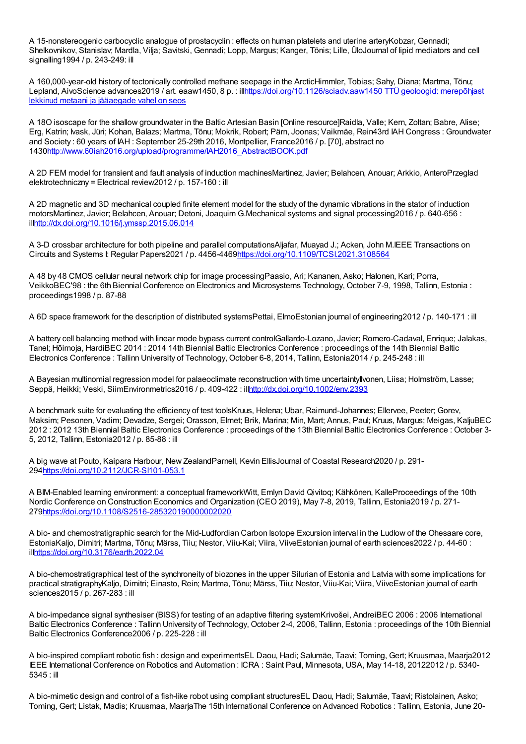A 15-nonstereogenic carbocyclic analogue of prostacyclin : effects on human platelets and uterine arteryKobzar, Gennadi; Shelkovnikov, Stanislav; Mardla, Vilja; Savitski, Gennadi; Lopp, Margus; Kanger, Tõnis; Lille, ÜloJournal of lipid mediators and cell signalling1994 / p. 243-249: ill

A 160,000-year-old history of tectonically controlled methane seepage in the ArcticHimmler, Tobias; Sahy, Diana; Martma, Tõnu; Lepland, AivoScience advances2019 / art. eaaw1450, 8 p. : [illhttps://doi.org/10.1126/sciadv.aaw1450](https://novaator.err.ee/979029/ttu-geoloogid-merepohjast-lekkinud-metaani-ja-jaaaegade-vahel-on-seos) TTÜ geoloogid: merepõhjast lekkinud metaani ja jääaegade vahel on seos

A 18O isoscape for the shallow groundwater in the Baltic Artesian Basin [Online resource]Raidla, Valle; Kern, Zoltan; Babre, Alise; Erg, Katrin; Ivask, Jüri; Kohan, Balazs; Martma, Tõnu; Mokrik, Robert; Pärn, Joonas; Vaikmäe, Rein43rd IAH Congress : Groundwater and Society : 60 years of IAH : September 25-29th 2016, Montpellier, France2016 / p. [70], abstract no 143[0http://www.60iah2016.org/upload/programme/IAH2016\\_AbstractBOOK.pdf](http://www.60iah2016.org/upload/programme/IAH2016_AbstractBOOK.pdf)

A 2D FEM model for transient and fault analysis of induction machinesMartinez, Javier; Belahcen, Anouar; Arkkio, AnteroPrzeglad elektrotechniczny = Electrical review2012 / p. 157-160 : ill

A 2D magnetic and 3D mechanical coupled finite element model for the study of the dynamic vibrations in the stator of induction motorsMartinez, Javier; Belahcen, Anouar; Detoni, Joaquim G.Mechanical systems and signal processing2016 / p. 640-656 : il[lhttp://dx.doi.org/10.1016/j.ymssp.2015.06.014](http://dx.doi.org/10.1016/j.ymssp.2015.06.014)

A 3-D crossbar architecture for both pipeline and parallel computationsAljafar, Muayad J.; Acken, John M.IEEE Transactions on Circuits and Systems I: Regular Papers2021 / p. 4456-446[9https://doi.org/10.1109/TCSI.2021.3108564](https://doi.org/10.1109/TCSI.2021.3108564)

A 48 by 48 CMOS cellular neural network chip for image processingPaasio, Ari; Kananen, Asko; Halonen, Kari; Porra, VeikkoBEC'98 : the 6th Biennial Conference on Electronics and Microsystems Technology, October 7-9, 1998, Tallinn, Estonia : proceedings1998 / p. 87-88

A 6D space framework for the description of distributed systemsPettai, ElmoEstonian journal of engineering2012 / p. 140-171 : ill

A battery cell balancing method with linear mode bypass current controlGallardo-Lozano, Javier; Romero-Cadaval, Enrique; Jalakas, Tanel; Hõimoja, HardiBEC 2014 : 2014 14th Biennial Baltic Electronics Conference : proceedings of the 14th Biennial Baltic Electronics Conference : Tallinn University of Technology, October 6-8, 2014, Tallinn, Estonia2014 / p. 245-248 : ill

A Bayesian multinomial regression model for palaeoclimate reconstruction with time uncertaintyIlvonen, Liisa; Holmström, Lasse; Seppä, Heikki; Veski, SiimEnvironmetrics2016 / p. 409-422 : il[lhttp://dx.doi.org/10.1002/env.2393](http://dx.doi.org/10.1002/env.2393)

A benchmark suite for evaluating the efficiency of test toolsKruus, Helena; Ubar, Raimund-Johannes; Ellervee, Peeter; Gorev, Maksim; Pesonen, Vadim; Devadze, Sergei; Orasson, Elmet; Brik, Marina; Min, Mart; Annus, Paul; Kruus, Margus; Meigas, KaljuBEC 2012 : 2012 13th Biennial Baltic Electronics Conference : proceedings of the 13th Biennial Baltic Electronics Conference : October 3- 5, 2012, Tallinn, Estonia2012 / p. 85-88 : ill

A big wave at Pouto, Kaipara Harbour, New ZealandParnell, Kevin EllisJournal of Coastal Research2020 / p. 291- 29[4https://doi.org/10.2112/JCR-SI101-053.1](https://doi.org/10.2112/JCR-SI101-053.1)

A BIM-Enabled learning environment: a conceptual frameworkWitt, Emlyn David Qivitoq; Kähkönen, KalleProceedings of the 10th Nordic Conference on Construction Economics and Organization (CEO 2019), May 7-8, 2019, Tallinn, Estonia2019 / p. 271- 27[9https://doi.org/10.1108/S2516-285320190000002020](https://doi.org/10.1108/S2516-285320190000002020)

A bio- and chemostratigraphic search for the Mid-Ludfordian Carbon Isotope Excursion interval in the Ludlow of the Ohesaare core, EstoniaKaljo, Dimitri; Martma, Tõnu; Märss, Tiiu; Nestor, Viiu-Kai; Viira, ViiveEstonian journal of earth sciences2022 / p. 44-60 : il[lhttps://doi.org/10.3176/earth.2022.04](https://doi.org/10.3176/earth.2022.04)

A bio-chemostratigraphical test of the synchroneity of biozones in the upper Silurian of Estonia and Latvia with some implications for practical stratigraphyKaljo, Dimitri; Einasto, Rein; Martma, Tõnu; Märss, Tiiu; Nestor, Viiu-Kai; Viira, ViiveEstonian journal of earth sciences2015 / p. 267-283 : ill

A bio-impedance signal synthesiser (BISS) for testing of an adaptive filtering systemKrivošei, AndreiBEC 2006 : 2006 International Baltic Electronics Conference : Tallinn University of Technology, October 2-4, 2006, Tallinn, Estonia : proceedings of the 10th Biennial Baltic Electronics Conference2006 / p. 225-228 : ill

A bio-inspired compliant robotic fish : design and experimentsEL Daou, Hadi; Salumäe, Taavi; Toming, Gert; Kruusmaa, Maarja2012 IEEE International Conference on Robotics and Automation : ICRA : Saint Paul, Minnesota, USA, May 14-18, 20122012 / p. 5340- 5345 : ill

A bio-mimetic design and control of a fish-like robot using compliant structuresEL Daou, Hadi; Salumäe, Taavi; Ristolainen, Asko; Toming, Gert; Listak, Madis; Kruusmaa, MaarjaThe 15th International Conference on Advanced Robotics : Tallinn, Estonia, June 20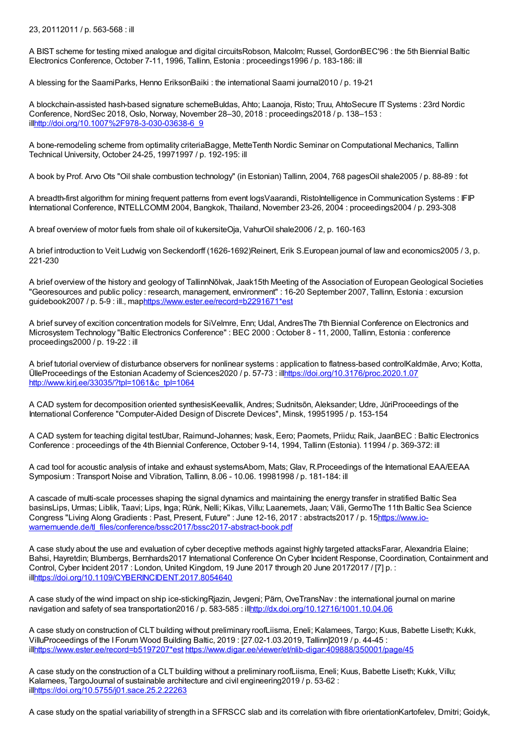23, 20112011 / p. 563-568 : ill

A BIST scheme for testing mixed analogue and digital circuitsRobson, Malcolm; Russel, GordonBEC'96 : the 5th Biennial Baltic Electronics Conference, October 7-11, 1996, Tallinn, Estonia : proceedings1996 / p. 183-186: ill

A blessing for the SaamiParks, Henno EriksonBaiki : the international Saami journal2010 / p. 19-21

A blockchain-assisted hash-based signature schemeBuldas, Ahto; Laanoja, Risto; Truu, AhtoSecure IT Systems : 23rd Nordic Conference, NordSec 2018, Oslo, Norway, November 28–30, 2018 : proceedings2018 / p. 138–153 : il[lhttp://doi.org/10.1007%2F978-3-030-03638-6\\_9](http://doi.org/10.1007%2F978-3-030-03638-6_9)

A bone-remodeling scheme from optimality criteriaBagge, MetteTenth Nordic Seminar on Computational Mechanics, Tallinn Technical University, October 24-25, 19971997 / p. 192-195: ill

A book by Prof. Arvo Ots "Oil shale combustion technology" (in Estonian) Tallinn, 2004, 768 pagesOil shale2005 / p. 88-89 : fot

A breadth-first algorithm for mining frequent patterns from event logsVaarandi, RistoIntelligence in Communication Systems : IFIP International Conference, INTELLCOMM 2004, Bangkok, Thailand, November 23-26, 2004 : proceedings2004 / p. 293-308

A breaf overview of motor fuels from shale oil of kukersiteOja, VahurOil shale2006 / 2, p. 160-163

A brief introduction to Veit Ludwig von Seckendorff (1626-1692)Reinert, Erik S.European journal of law and economics2005 / 3, p. 221-230

A brief overview of the history and geology of TallinnNõlvak, Jaak15th Meeting of the Association of EuropeanGeological Societies "Georesources and public policy : research, management, environment" : 16-20 September 2007, Tallinn, Estonia : excursion guidebook2007 / p. 5-9 : ill., ma[phttps://www.ester.ee/record=b2291671\\*est](https://www.ester.ee/record=b2291671*est)

A brief survey of excition concentration models for SiVelmre, Enn; Udal, AndresThe 7th Biennial Conference on Electronics and Microsystem Technology "Baltic Electronics Conference" : BEC 2000 : October 8 - 11, 2000, Tallinn, Estonia : conference proceedings2000 / p. 19-22 : ill

A brief tutorial overview of disturbance observers for nonlinear systems : application to flatness-based controlKaldmäe, Arvo; Kotta, ÜlleProceedings of the Estonian Academy of Sciences2020 / p. 57-73 : il[lhttps://doi.org/10.3176/proc.2020.1.07](https://doi.org/10.3176/proc.2020.1.07) [http://www.kirj.ee/33035/?tpl=1061&c\\_tpl=1064](http://www.kirj.ee/33035/?tpl=1061&c_tpl=1064)

A CAD system for decomposition oriented synthesisKeevallik, Andres; Sudnitsõn, Aleksander; Udre, JüriProceedings of the International Conference "Computer-Aided Design of Discrete Devices", Minsk, 19951995 / p. 153-154

A CAD system for teaching digital testUbar, Raimund-Johannes; Ivask, Eero; Paomets, Priidu; Raik, JaanBEC : Baltic Electronics Conference : proceedings of the 4th Biennial Conference, October 9-14, 1994, Tallinn (Estonia). 11994 / p. 369-372: ill

A cad tool for acoustic analysis of intake and exhaust systemsAbom, Mats; Glav, R.Proceedings of the International EAA/EEAA Symposium :Transport Noise and Vibration, Tallinn, 8.06 - 10.06. 19981998 / p. 181-184: ill

A cascade of multi-scale processes shaping the signal dynamics and maintaining the energy transfer in stratified Baltic Sea basinsLips, Urmas; Liblik, Taavi; Lips, Inga; Rünk, Nelli; Kikas, Villu; Laanemets, Jaan; Väli, GermoThe 11th Baltic Sea Science Congress "Living Along Gradients : Past, Present, Future" : June 12-16, 2017 : abstracts2017 / p. 15https://www.io[warnemuende.de/tl\\_files/conference/bssc2017/bssc2017-abstract-book.pdf](https://www.io-warnemuende.de/tl_files/conference/bssc2017/bssc2017-abstract-book.pdf)

A case study about the use and evaluation of cyber deceptive methods against highly targeted attacksFarar, Alexandria Elaine; Bahsi, Hayretdin; Blumbergs, Bernhards2017 International Conference On Cyber Incident Response, Coordination, Containment and Control, Cyber Incident 2017 : London, United Kingdom, 19 June 2017 through 20 June 20172017 / [7] p. : il[lhttps://doi.org/10.1109/CYBERINCIDENT.2017.8054640](https://doi.org/10.1109/CYBERINCIDENT.2017.8054640)

A case study of the wind impact on ship ice-stickingRjazin, Jevgeni; Pärn, OveTransNav : the international journal on marine navigation and safety of sea transportation2016 / p. 583-585 : il[lhttp://dx.doi.org/10.12716/1001.10.04.06](http://dx.doi.org/10.12716/1001.10.04.06)

A case study on construction of CLT building without preliminary roofLiisma, Eneli; Kalamees, Targo; Kuus, Babette Liseth; Kukk, VilluProceedings of the I Forum Wood Building Baltic, 2019 : [27.02-1.03.2019, Tallinn]2019 / p. 44-45 : il[lhttps://www.ester.ee/record=b5197207\\*est](https://www.ester.ee/record=b5197207*est) <https://www.digar.ee/viewer/et/nlib-digar:409888/350001/page/45>

A case study on the construction of a CLT building without a preliminary roofLiisma, Eneli; Kuus, Babette Liseth; Kukk, Villu; Kalamees, TargoJournal of sustainable architecture and civil engineering2019 / p. 53-62 : il[lhttps://doi.org/10.5755/j01.sace.25.2.22263](https://doi.org/10.5755/j01.sace.25.2.22263)

A case study on the spatial variability of strength in a SFRSCC slab and its correlation with fibre orientationKartofelev, Dmitri; Goidyk,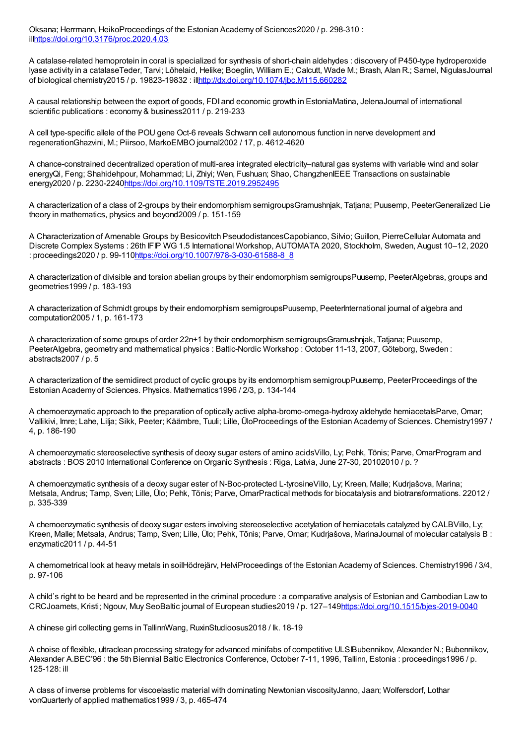Oksana; Herrmann, HeikoProceedings of the Estonian Academy of Sciences2020 / p. 298-310 : il[lhttps://doi.org/10.3176/proc.2020.4.03](https://doi.org/10.3176/proc.2020.4.03)

A catalase-related hemoprotein in coral is specialized for synthesis of short-chain aldehydes : discovery of P450-type hydroperoxide lyase activity in a catalaseTeder, Tarvi; Lõhelaid, Helike; Boeglin, William E.; Calcutt, Wade M.; Brash, Alan R.; Samel, NigulasJournal of biological chemistry2015 / p. 19823-19832 : il[lhttp://dx.doi.org/10.1074/jbc.M115.660282](http://dx.doi.org/10.1074/jbc.M115.660282)

A causal relationship between the export of goods, FDI and economic growth in EstoniaMatina, JelenaJournal of international scientific publications : economy & business2011 / p. 219-233

A cell type-specific allele of the POU gene Oct-6 reveals Schwann cell autonomous function in nerve development and regenerationGhazvini, M.; Piirsoo, MarkoEMBO journal2002 / 17, p. 4612-4620

A chance-constrained decentralized operation of multi-area integrated electricity–natural gas systems with variable wind and solar energyQi, Feng; Shahidehpour, Mohammad; Li, Zhiyi; Wen, Fushuan; Shao, ChangzhenIEEE Transactions on sustainable energy2020 / p. 2230-2240<https://doi.org/10.1109/TSTE.2019.2952495>

A characterization of a class of 2-groups by their endomorphism semigroupsGramushnjak, Tatjana; Puusemp, PeeterGeneralized Lie theory in mathematics, physics and beyond2009 / p. 151-159

A Characterization of Amenable Groups by Besicovitch PseudodistancesCapobianco, Silvio; Guillon, PierreCellular Automata and Discrete Complex Systems : 26th IFIP WG 1.5 International Workshop, AUTOMATA 2020, Stockholm, Sweden, August 10–12, 2020 : proceedings2020 / p. 99-11[0https://doi.org/10.1007/978-3-030-61588-8\\_8](https://doi.org/10.1007/978-3-030-61588-8_8)

A characterization of divisible and torsion abelian groups by their endomorphism semigroupsPuusemp, PeeterAlgebras, groups and geometries1999 / p. 183-193

A characterization of Schmidt groups by their endomorphism semigroupsPuusemp, PeeterInternational journal of algebra and computation2005 / 1, p. 161-173

A characterization of some groups of order 22n+1 by their endomorphism semigroupsGramushnjak, Tatjana; Puusemp, PeeterAlgebra, geometry and mathematical physics : Baltic-Nordic Workshop : October 11-13, 2007, Göteborg, Sweden : abstracts2007 / p. 5

A characterization of the semidirect product of cyclic groups by its endomorphism semigroupPuusemp, PeeterProceedings of the Estonian Academy of Sciences. Physics. Mathematics1996 / 2/3, p. 134-144

A chemoenzymatic approach to the preparation of optically active alpha-bromo-omega-hydroxy aldehyde hemiacetalsParve, Omar; Vallikivi, Imre; Lahe, Lilja; Sikk, Peeter; Käämbre, Tuuli; Lille, ÜloProceedings of the Estonian Academy of Sciences. Chemistry1997 / 4, p. 186-190

A chemoenzymatic stereoselective synthesis of deoxy sugar esters of amino acidsVillo, Ly; Pehk, Tõnis; Parve, OmarProgram and abstracts : BOS 2010 International Conference on Organic Synthesis : Riga, Latvia, June 27-30, 20102010 / p. ?

A chemoenzymatic synthesis of a deoxy sugar ester of N-Boc-protected L-tyrosineVillo, Ly; Kreen, Malle; Kudrjašova, Marina; Metsala, Andrus; Tamp, Sven; Lille, Ülo; Pehk, Tõnis; Parve, OmarPractical methods for biocatalysis and biotransformations. 22012 / p. 335-339

A chemoenzymatic synthesis of deoxy sugar esters involving stereoselective acetylation of hemiacetals catalyzed by CALBVillo, Ly; Kreen, Malle; Metsala, Andrus; Tamp, Sven; Lille, Ülo; Pehk, Tõnis; Parve, Omar; Kudrjašova, MarinaJournal of molecular catalysis B : enzymatic2011 / p. 44-51

A chemometrical look at heavy metals in soilHödrejärv, HelviProceedings of the Estonian Academy of Sciences. Chemistry1996 / 3/4, p. 97-106

A child's right to be heard and be represented in the criminal procedure : a comparative analysis of Estonian and Cambodian Law to CRCJoamets, Kristi; Ngouv, Muy SeoBaltic journal of European studies2019 / p. 127–14[9https://doi.org/10.1515/bjes-2019-0040](https://doi.org/10.1515/bjes-2019-0040)

A chinese girl collecting gems in TallinnWang, RuxinStudioosus2018 / lk. 18-19

A choise of flexible, ultraclean processing strategy for advanced minifabs of competitive ULSIBubennikov, Alexander N.; Bubennikov, Alexander A.BEC'96 : the 5th Biennial Baltic Electronics Conference, October 7-11, 1996, Tallinn, Estonia : proceedings1996 / p. 125-128: ill

A class of inverse problems for viscoelastic material with dominating Newtonian viscosityJanno, Jaan; Wolfersdorf, Lothar vonQuarterly of applied mathematics1999 / 3, p. 465-474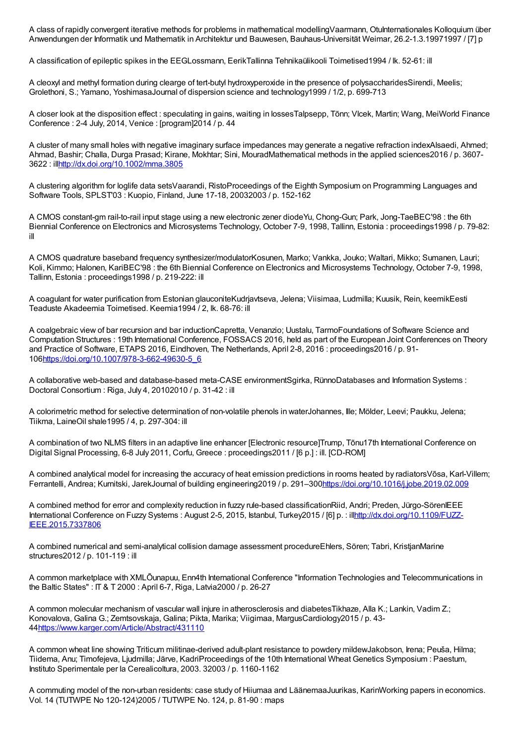A class of rapidly convergent iterative methods for problems in mathematical modellingVaarmann, OtuInternationales Kolloquium über Anwendungen der Informatik und Mathematik in Architektur und Bauwesen, Bauhaus-Universität Weimar, 26.2-1.3.19971997 / [7] p

A classification of epileptic spikes in the EEGLossmann, EerikTallinna Tehnikaülikooli Toimetised1994 / lk. 52-61: ill

A cleoxyl and methyl formation during clearge of tert-butyl hydroxyperoxide in the presence of polysaccharidesSirendi, Meelis; Grolethoni, S.; Yamano, YoshimasaJournal of dispersion science and technology1999 / 1/2, p. 699-713

A closer look at the disposition effect : speculating in gains, waiting in lossesTalpsepp, Tõnn; Vlcek, Martin; Wang, MeiWorld Finance Conference : 2-4 July, 2014, Venice : [program]2014 / p. 44

A cluster of many small holes with negative imaginary surface impedances may generate a negative refraction indexAlsaedi, Ahmed; Ahmad, Bashir; Challa, Durga Prasad; Kirane, Mokhtar; Sini, MouradMathematical methods in the applied sciences2016 / p. 3607- 3622 : il[lhttp://dx.doi.org/10.1002/mma.3805](http://dx.doi.org/10.1002/mma.3805)

A clustering algorithm for loglife data setsVaarandi, RistoProceedings of the Eighth Symposium on Programming Languages and Software Tools, SPLST'03 : Kuopio, Finland, June 17-18, 20032003 / p. 152-162

A CMOS constant-gm rail-to-rail input stage using a new electronic zener diodeYu, Chong-Gun; Park, Jong-TaeBEC'98 : the 6th Biennial Conference on Electronics and Microsystems Technology, October 7-9, 1998, Tallinn, Estonia : proceedings1998 / p. 79-82: ill

A CMOS quadrature baseband frequency synthesizer/modulatorKosunen, Marko; Vankka, Jouko; Waltari, Mikko; Sumanen, Lauri; Koli, Kimmo; Halonen, KariBEC'98 : the 6th Biennial Conference on Electronics and Microsystems Technology, October 7-9, 1998, Tallinn, Estonia : proceedings1998 / p. 219-222: ill

A coagulant for water purification from Estonian glauconiteKudrjavtseva, Jelena; Viisimaa, Ludmilla; Kuusik, Rein, keemikEesti Teaduste Akadeemia Toimetised. Keemia1994 / 2, lk. 68-76: ill

A coalgebraic view of bar recursion and bar inductionCapretta, Venanzio; Uustalu, TarmoFoundations of Software Science and Computation Structures : 19th International Conference, FOSSACS 2016, held as part of the European Joint Conferences on Theory and Practice of Software, ETAPS 2016, Eindhoven, The Netherlands, April 2-8, 2016 : proceedings2016 / p. 91- 10[6https://doi.org/10.1007/978-3-662-49630-5\\_6](https://doi.org/10.1007/978-3-662-49630-5_6)

A collaborative web-based and database-based meta-CASE environmentSgirka, RünnoDatabases and Information Systems : Doctoral Consortium : Riga, July 4, 20102010 / p. 31-42 : ill

A colorimetric method for selective determination of non-volatile phenols in waterJohannes, Ille; Mölder, Leevi; Paukku, Jelena; Tiikma, LaineOil shale1995 / 4, p. 297-304: ill

A combination of two NLMS filters in an adaptive line enhancer [Electronic resource]Trump, Tõnu17th International Conference on Digital Signal Processing, 6-8 July 2011, Corfu, Greece : proceedings2011 / [6 p.] : ill. [CD-ROM]

A combined analytical model for increasing the accuracy of heat emission predictions in rooms heated by radiatorsVõsa, Karl-Villem; Ferrantelli, Andrea; Kurnitski, JarekJournal of building engineering2019 / p. 291–300<https://doi.org/10.1016/j.jobe.2019.02.009>

A combined method for error and complexity reduction in fuzzy rule-based classificationRiid, Andri; Preden, Jürgo-SörenIEEE International Conference on Fuzzy Systems : August 2-5, 2015, Istanbul, Turkey2015 / [6] p. : illnttp://dx.doi.org/10.1109/FUZZ-IEEE.2015.7337806

A combined numerical and semi-analytical collision damage assessment procedureEhlers, Sören; Tabri, KristjanMarine structures2012 / p. 101-119 : ill

A common marketplace with XMLÕunapuu, Enn4th International Conference "Information Technologies and Telecommunications in the Baltic States" : IT & T 2000 : April 6-7, Riga, Latvia2000 / p. 26-27

A common molecular mechanism of vascular wall injure in atherosclerosis and diabetesTikhaze, Alla K.; Lankin, Vadim Z.; Konovalova, Galina G.; Zemtsovskaja, Galina; Pikta, Marika; Viigimaa, MargusCardiology2015 / p. 43- 4[4https://www.karger.com/Article/Abstract/431110](https://www.karger.com/Article/Abstract/431110)

A common wheat line showing Triticum militinae-derived adult-plant resistance to powdery mildewJakobson, Irena; Peuša, Hilma; Tiidema, Anu; Timofejeva, Ljudmilla; Järve, KadriProceedings of the 10th International Wheat Genetics Symposium : Paestum, Instituto Sperimentale per la Cerealicoltura, 2003. 32003 / p. 1160-1162

A commuting model of the non-urban residents: case study of Hiiumaa and LäänemaaJuurikas, KarinWorking papers in economics. Vol. 14 (TUTWPE No 120-124)2005 / TUTWPE No. 124, p. 81-90 : maps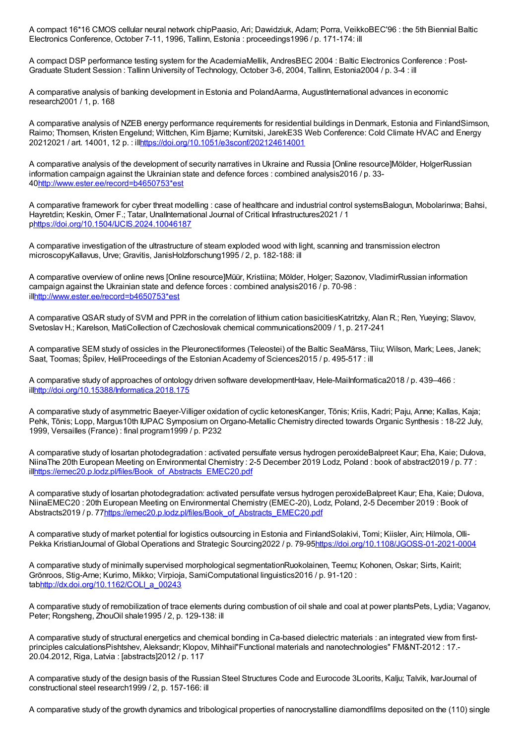A compact 16\*16 CMOS cellular neural network chipPaasio, Ari; Dawidziuk, Adam; Porra, VeikkoBEC'96 : the 5th Biennial Baltic Electronics Conference, October 7-11, 1996, Tallinn, Estonia : proceedings1996 / p. 171-174: ill

A compact DSP performance testing system for the AcademiaMellik, AndresBEC 2004 : Baltic Electronics Conference : Post-Graduate Student Session : Tallinn University of Technology, October 3-6, 2004, Tallinn, Estonia2004 / p. 3-4 : ill

A comparative analysis of banking development in Estonia and PolandAarma, AugustInternational advances in economic research2001 / 1, p. 168

A comparative analysis of NZEB energy performance requirements for residential buildings in Denmark, Estonia and FinlandSimson, Raimo; Thomsen, Kristen Engelund; Wittchen, Kim Bjarne; Kurnitski, JarekE3S Web Conference: Cold Climate HVAC and Energy 20212021 / art. 14001, 12 p. : il[lhttps://doi.org/10.1051/e3sconf/202124614001](https://doi.org/10.1051/e3sconf/202124614001)

A comparative analysis of the development of security narratives in Ukraine and Russia [Online resource]Mölder, HolgerRussian information campaign against the Ukrainian state and defence forces : combined analysis2016 / p. 33- 4[0http://www.ester.ee/record=b4650753\\*est](http://www.ester.ee/record=b4650753*est)

A comparative framework for cyber threat modelling : case of healthcare and industrial control systemsBalogun, Mobolarinwa; Bahsi, Hayretdin; Keskin, Omer F.; Tatar, UnalInternational Journal of Critical Infrastructures2021 / 1 p<https://doi.org/10.1504/IJCIS.2024.10046187>

A comparative investigation of the ultrastructure of steam exploded wood with light, scanning and transmission electron microscopyKallavus, Urve; Gravitis, JanisHolzforschung1995 / 2, p. 182-188: ill

A comparative overview of online news [Online resource]Müür, Kristiina; Mölder, Holger; Sazonov, VladimirRussian information campaign against the Ukrainian state and defence forces : combined analysis2016 / p. 70-98 : il[lhttp://www.ester.ee/record=b4650753\\*est](http://www.ester.ee/record=b4650753*est)

A comparative QSAR study of SVM and PPR in the correlation of lithium cation basicitiesKatritzky, Alan R.; Ren, Yueying; Slavov, Svetoslav H.; Karelson, MatiCollection of Czechoslovak chemical communications2009 / 1, p. 217-241

A comparative SEM study of ossicles in the Pleuronectiformes (Teleostei) of the Baltic SeaMärss, Tiiu; Wilson, Mark; Lees, Janek; Saat, Toomas; Špilev, HeliProceedings of the Estonian Academy of Sciences2015 / p. 495-517 : ill

A comparative study of approaches of ontology driven software developmentHaav, Hele-MaiInformatica2018 / p. 439–466 : il[lhttp://doi.org/10.15388/Informatica.2018.175](http://doi.org/10.15388/Informatica.2018.175)

A comparative study of asymmetric Baeyer-Villiger oxidation of cyclic ketonesKanger, Tõnis; Kriis, Kadri; Paju, Anne; Kallas, Kaja; Pehk, Tõnis; Lopp, Margus10th IUPAC Symposium on Organo-Metallic Chemistry directed towards Organic Synthesis : 18-22 July, 1999, Versailles (France) : final program1999 / p. P232

A comparative study of losartan photodegradation : activated persulfate versus hydrogen peroxideBalpreet Kaur; Eha, Kaie; Dulova, NiinaThe 20th European Meeting on Environmental Chemistry : 2-5 December 2019 Lodz, Poland : book of abstract2019 / p. 77 : il[lhttps://emec20.p.lodz.pl/files/Book\\_of\\_Abstracts\\_EMEC20.pdf](https://emec20.p.lodz.pl/files/Book_of_Abstracts_EMEC20.pdf)

A comparative study of losartan photodegradation: activated persulfate versus hydrogen peroxideBalpreet Kaur; Eha, Kaie; Dulova, NiinaEMEC20 : 20th European Meeting on Environmental Chemistry (EMEC-20), Lodz, Poland, 2-5 December 2019 : Book of Abstracts2019 / p. 77[https://emec20.p.lodz.pl/files/Book\\_of\\_Abstracts\\_EMEC20.pdf](https://emec20.p.lodz.pl/files/Book_of_Abstracts_EMEC20.pdf)

A comparative study of market potential for logistics outsourcing in Estonia and FinlandSolakivi, Tomi; Kiisler, Ain; Hilmola, Olli-Pekka KristianJournal of Global Operations and Strategic Sourcing2022 / p. 79-95<https://doi.org/10.1108/JGOSS-01-2021-0004>

A comparative study of minimally supervised morphological segmentationRuokolainen, Teemu; Kohonen, Oskar; Sirts, Kairit; Grönroos, Stig-Arne; Kurimo, Mikko; Virpioja, SamiComputational linguistics2016 / p. 91-120 : ta[bhttp://dx.doi.org/10.1162/COLI\\_a\\_00243](http://dx.doi.org/10.1162/COLI_a_00243)

A comparative study of remobilization of trace elements during combustion of oil shale and coal at power plantsPets, Lydia; Vaganov, Peter; Rongsheng, ZhouOil shale1995 / 2, p. 129-138: ill

A comparative study of structural energetics and chemical bonding in Ca-based dielectric materials : an integrated view from firstprinciples calculationsPishtshev, Aleksandr; Klopov, Mihhail"Functional materials and nanotechnologies" FM&NT-2012 : 17.- 20.04.2012, Riga, Latvia : [abstracts]2012 / p. 117

A comparative study of the design basis of the Russian Steel Structures Code and Eurocode 3Loorits, Kalju; Talvik, IvarJournal of constructional steel research1999 / 2, p. 157-166: ill

A comparative study of the growth dynamics and tribological properties of nanocrystalline diamondfilms deposited on the (110) single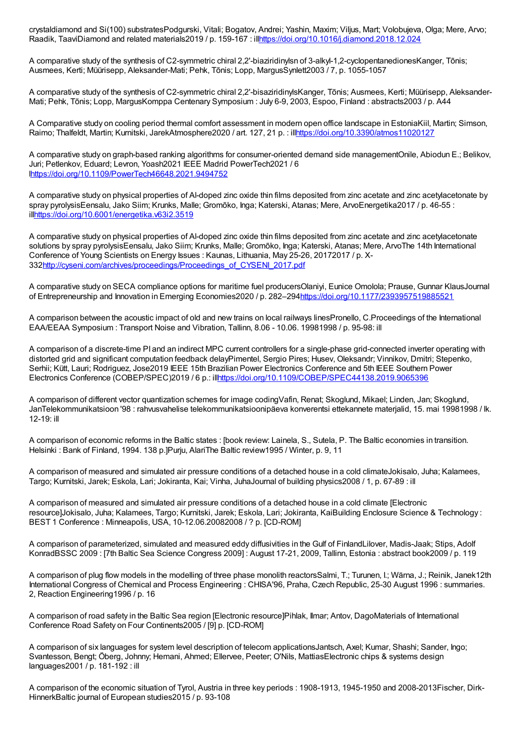crystaldiamond and Si(100) substratesPodgurski, Vitali; Bogatov, Andrei; Yashin, Maxim; Viljus, Mart; Volobujeva, Olga; Mere, Arvo; Raadik, TaaviDiamond and related materials2019 / p. 159-167 : il[lhttps://doi.org/10.1016/j.diamond.2018.12.024](https://doi.org/10.1016/j.diamond.2018.12.024)

A comparative study of the synthesis of C2-symmetric chiral 2,2'-biaziridinylsn of 3-alkyl-1,2-cyclopentanedionesKanger, Tõnis; Ausmees, Kerti; Müürisepp, Aleksander-Mati; Pehk, Tõnis; Lopp, MargusSynlett2003 / 7, p. 1055-1057

A comparative study of the synthesis of C2-symmetric chiral 2,2'-bisaziridinylsKanger, Tõnis; Ausmees, Kerti; Müürisepp, Aleksander-Mati; Pehk, Tõnis; Lopp, MargusKomppa Centenary Symposium : July 6-9, 2003, Espoo, Finland : abstracts2003 / p. A44

A Comparative study on cooling period thermal comfort assessment in modern open office landscape in EstoniaKiil, Martin; Simson, Raimo; Thalfeldt, Martin; Kurnitski, JarekAtmosphere2020 / art. 127, 21 p. : il[lhttps://doi.org/10.3390/atmos11020127](https://doi.org/10.3390/atmos11020127)

A comparative study on graph-based ranking algorithms for consumer-oriented demand side managementOnile, Abiodun E.; Belikov, Juri; Petlenkov, Eduard; Levron, Yoash2021 IEEE Madrid PowerTech2021 / 6 [lhttps://doi.org/10.1109/PowerTech46648.2021.9494752](https://doi.org/10.1109/PowerTech46648.2021.9494752)

A comparative study on physical properties of Al-doped zinc oxide thin films deposited from zinc acetate and zinc acetylacetonate by spray pyrolysisEensalu, Jako Siim; Krunks, Malle; Gromõko, Inga; Katerski, Atanas; Mere, ArvoEnergetika2017 / p. 46-55 : il[lhttps://doi.org/10.6001/energetika.v63i2.3519](https://doi.org/10.6001/energetika.v63i2.3519)

A comparative study on physical properties of Al-doped zinc oxide thin films deposited from zinc acetate and zinc acetylacetonate solutions by spray pyrolysisEensalu, Jako Siim; Krunks, Malle; Gromõko, Inga; Katerski, Atanas; Mere, ArvoThe 14th International Conference of Young Scientists on Energy Issues : Kaunas, Lithuania, May 25-26, 20172017 / p. X-33[2http://cyseni.com/archives/proceedings/Proceedings\\_of\\_CYSENI\\_2017.pdf](http://cyseni.com/archives/proceedings/Proceedings_of_CYSENI_2017.pdf)

A comparative study on SECA compliance options for maritime fuel producersOlaniyi, Eunice Omolola; Prause, Gunnar KlausJournal of Entrepreneurship and Innovation in Emerging Economies2020 / p. 282–29[4https://doi.org/10.1177/2393957519885521](https://doi.org/10.1177/2393957519885521)

A comparison between the acoustic impact of old and new trains on local railways linesPronello, C.Proceedings of the International EAA/EEAA Symposium : Transport Noise and Vibration, Tallinn, 8.06 - 10.06. 19981998 / p. 95-98: ill

A comparison of a discrete-time PI and an indirect MPC current controllers for a single-phase grid-connected inverter operating with distorted grid and significant computation feedback delayPimentel, Sergio Pires; Husev, Oleksandr; Vinnikov, Dmitri; Stepenko, Serhii; Kütt, Lauri; Rodriguez, Jose2019 IEEE 15th Brazilian Power Electronics Conference and 5th IEEE Southern Power Electronics Conference (COBEP/SPEC)2019 / 6 p.: il[lhttps://doi.org/10.1109/COBEP/SPEC44138.2019.9065396](https://doi.org/10.1109/COBEP/SPEC44138.2019.9065396)

A comparison of different vector quantization schemes for image codingVafin, Renat; Skoglund, Mikael; Linden, Jan; Skoglund, JanTelekommunikatsioon '98 : rahvusvahelise telekommunikatsioonipäeva konverentsi ettekannete materjalid, 15. mai 19981998 / lk. 12-19: ill

A comparison of economic reforms in the Baltic states : [book review: Lainela, S., Sutela, P. The Baltic economies in transition. Helsinki : Bank of Finland, 1994. 138 p.]Purju, AlariThe Baltic review1995 / Winter, p. 9, 11

A comparison of measured and simulated air pressure conditions of a detached house in a cold climateJokisalo, Juha; Kalamees, Targo; Kurnitski, Jarek; Eskola, Lari; Jokiranta, Kai; Vinha, JuhaJournal of building physics2008 / 1, p. 67-89 : ill

A comparison of measured and simulated air pressure conditions of a detached house in a cold climate [Electronic resource]Jokisalo, Juha; Kalamees, Targo; Kurnitski, Jarek; Eskola, Lari; Jokiranta, KaiBuilding Enclosure Science & Technology : BEST 1 Conference : Minneapolis, USA, 10-12.06.20082008 / ? p. [CD-ROM]

A comparison of parameterized, simulated and measured eddy diffusivities in the Gulf of FinlandLilover, Madis-Jaak; Stips, Adolf KonradBSSC 2009 : [7th Baltic Sea Science Congress 2009] : August 17-21, 2009, Tallinn, Estonia : abstract book2009 / p. 119

A comparison of plug flow models in the modelling of three phase monolith reactorsSalmi, T.; Turunen, I.; Wärna, J.; Reinik, Janek12th International Congress of Chemical and Process Engineering : CHISA'96, Praha, Czech Republic, 25-30 August 1996 : summaries. 2, Reaction Engineering1996 / p. 16

A comparison of road safety in the Baltic Sea region [Electronic resource]Pihlak, Ilmar; Antov, DagoMaterials of International Conference Road Safety on Four Continents2005 / [9] p. [CD-ROM]

A comparison of six languages for system level description of telecom applicationsJantsch, Axel; Kumar, Shashi; Sander, Ingo; Svantesson, Bengt; Öberg, Johnny; Hemani, Ahmed; Ellervee, Peeter; O'Nils, MattiasElectronic chips & systems design languages2001 / p. 181-192 : ill

A comparison of the economic situation of Tyrol, Austria in three key periods : 1908-1913, 1945-1950 and 2008-2013Fischer, Dirk-HinnerkBaltic journal of European studies2015 / p. 93-108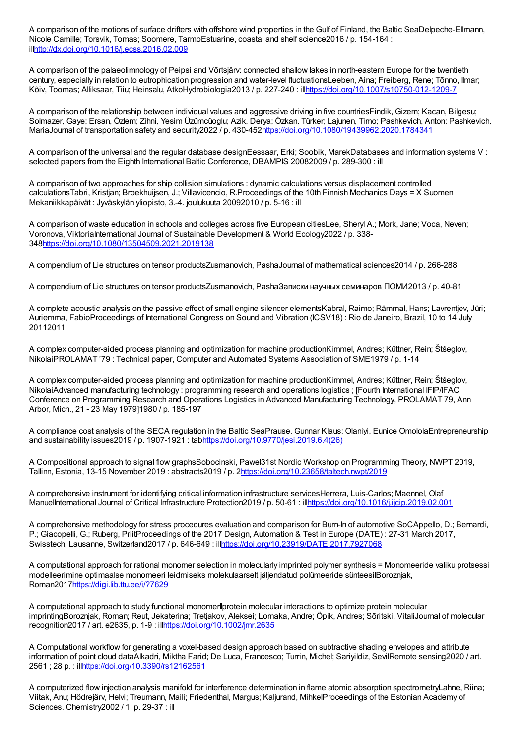A comparison of the motions of surface drifters with offshore wind properties in the Gulf of Finland, the Baltic SeaDelpeche-Ellmann, Nicole Camille; Torsvik, Tomas; Soomere, TarmoEstuarine, coastal and shelf science2016 / p. 154-164 : il[lhttp://dx.doi.org/10.1016/j.ecss.2016.02.009](http://dx.doi.org/10.1016/j.ecss.2016.02.009)

A comparison of the palaeolimnology of Peipsi and Võrtsjärv: connected shallow lakes in north-eastern Europe for the twentieth century, especially in relation to eutrophication progression and water-level fluctuationsLeeben, Aina; Freiberg, Rene; Tõnno, Ilmar; Kõiv, Toomas; Alliksaar, Tiiu; Heinsalu, AtkoHydrobiologia2013 / p. 227-240 : il[lhttps://doi.org/10.1007/s10750-012-1209-7](https://doi.org/10.1007/s10750-012-1209-7)

A comparison of the relationship between individual values and aggressive driving in five countriesFindik, Gizem; Kacan, Bilgesu; Solmazer, Gaye; Ersan, Özlem; Zihni, Yesim Üzümcüoglu; Azik, Derya; Özkan, Türker; Lajunen, Timo; Pashkevich, Anton; Pashkevich, MariaJournal of transportation safety and security2022 / p. 430-45[2https://doi.org/10.1080/19439962.2020.1784341](https://doi.org/10.1080/19439962.2020.1784341)

A comparison of the universal and the regular database designEessaar, Erki; Soobik, MarekDatabases and information systems V: selected papers from the Eighth International Baltic Conference, DBAMPIS 20082009 / p. 289-300 : ill

A comparison of two approaches for ship collision simulations : dynamic calculations versus displacement controlled calculationsTabri, Kristjan; Broekhuijsen, J.; Villavicencio, R.Proceedings of the 10th Finnish Mechanics Days = X Suomen Mekaniikkapäivät : Jyväskylän yliopisto, 3.-4. joulukuuta 20092010 / p. 5-16 : ill

A comparison of waste education in schools and colleges across five European citiesLee, Sheryl A.; Mork, Jane; Voca, Neven; Voronova, ViktoriaInternational Journal of Sustainable Development & World Ecology2022 / p. 338-34[8https://doi.org/10.1080/13504509.2021.2019138](https://doi.org/10.1080/13504509.2021.2019138)

A compendium of Lie structures on tensor productsZusmanovich, PashaJournal of mathematical sciences2014 / p. 266-288

A compendium of Lie structures on tensor productsZusmanovich, PashaЗаписки научных семинаров ПОМИ2013 / p. 40-81

A complete acoustic analysis on the passive effect of small engine silencer elementsKabral, Raimo; Rämmal, Hans; Lavrentjev, Jüri; Auriemma, FabioProceedings of International Congress on Sound and Vibration (ICSV18) : Rio de Janeiro, Brazil, 10 to 14 July 20112011

A complex computer-aided process planning and optimization for machine productionKimmel, Andres; Küttner, Rein; Štšeglov, NikolaiPROLAMAT '79 : Technical paper, Computer and Automated Systems Association of SME1979 / p. 1-14

A complex computer-aided process planning and optimization for machine productionKimmel, Andres; Küttner, Rein; Štšeglov, NikolaiAdvanced manufacturing technology : programming research and operations logistics ; [Fourth International IFIP/IFAC Conference on Programming Research and Operations Logistics in Advanced Manufacturing Technology, PROLAMAT 79, Ann Arbor, Mich., 21 - 23 May 1979]1980 / p. 185-197

A compliance cost analysis of the SECA regulation in the Baltic SeaPrause, Gunnar Klaus; Olaniyi, Eunice OmololaEntrepreneurship and sustainability issues2019 / p. 1907-1921 : ta[bhttps://doi.org/10.9770/jesi.2019.6.4\(26\)](https://doi.org/10.9770/jesi.2019.6.4(26))

A Compositional approach to signal flow graphsSobocinski, Pawel31st Nordic Workshop on Programming Theory, NWPT 2019, Tallinn, Estonia, 13-15 November 2019 : abstracts2019 / p. [2https://doi.org/10.23658/taltech.nwpt/2019](https://doi.org/10.23658/taltech.nwpt/2019)

A comprehensive instrument for identifying critical information infrastructure servicesHerrera, Luis-Carlos; Maennel, Olaf ManuelInternational Journal of Critical Infrastructure Protection2019 / p. 50-61 : il[lhttps://doi.org/10.1016/j.ijcip.2019.02.001](https://doi.org/10.1016/j.ijcip.2019.02.001)

A comprehensive methodology for stress procedures evaluation and comparison for Burn-In of automotive SoCAppello, D.; Bernardi, P.; Giacopelli, G.; Ruberg, PriitProceedings of the 2017 Design, Automation & Test in Europe (DATE) : 27-31 March 2017, Swisstech, Lausanne, Switzerland2017 / p. 646-649 : il[lhttps://doi.org/10.23919/DATE.2017.7927068](https://doi.org/10.23919/DATE.2017.7927068)

A computational approach for rational monomer selection in molecularly imprinted polymer synthesis = Monomeeride valiku protsessi modelleerimine optimaalse monomeeri leidmiseks molekulaarselt jäljendatud polümeeride sünteesilBoroznjak, Roman2017<https://digi.lib.ttu.ee/i/?7629>

A computational approach to study functional monomer protein molecular interactions to optimize protein molecular imprintingBoroznjak, Roman; Reut, Jekaterina; Tretjakov, Aleksei; Lomaka, Andre; Öpik, Andres; Sõritski, VitaliJournal of molecular recognition2017 / art. e2635, p. 1-9 : ill<https://doi.org/10.1002/jmr.2635>

A Computational workflow for generating a voxel-based design approach based on subtractive shading envelopes and attribute information of point cloud dataAlkadri, Miktha Farid; De Luca, Francesco; Turrin, Michel; Sariyildiz, SevilRemote sensing2020 / art. 2561 ; 28 p. : il[lhttps://doi.org/10.3390/rs12162561](https://doi.org/10.3390/rs12162561)

A computerized flow injection analysis manifold for interference determination in flame atomic absorption spectrometryLahne, Riina; Viitak, Anu; Hödrejärv, Helvi; Treumann, Maili; Friedenthal, Margus; Kaljurand, MihkelProceedings of the Estonian Academy of Sciences. Chemistry2002 / 1, p. 29-37 : ill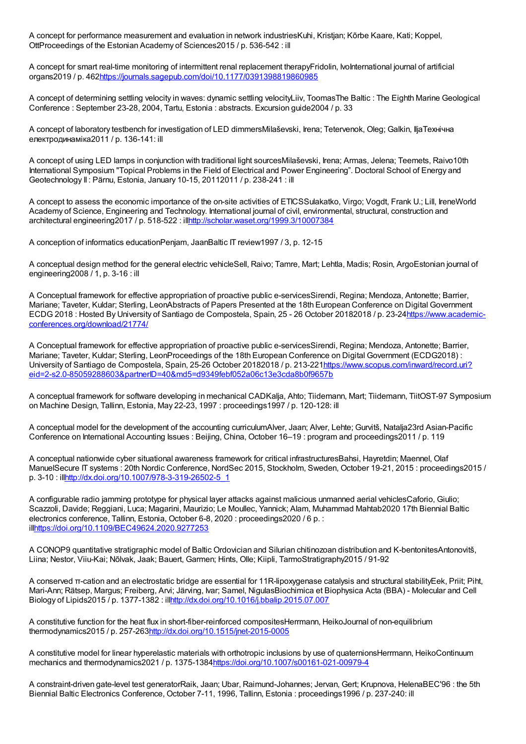A concept for performance measurement and evaluation in network industriesKuhi, Kristjan; Kõrbe Kaare, Kati; Koppel, OttProceedings of the Estonian Academy of Sciences2015 / p. 536-542 : ill

A concept for smart real-time monitoring of intermittent renal replacement therapyFridolin, IvoInternational journal of artificial organs2019 / p. 462<https://journals.sagepub.com/doi/10.1177/0391398819860985>

A concept of determining settling velocity in waves: dynamic settling velocityLiiv, ToomasThe Baltic : The Eighth Marine Geological Conference : September 23-28, 2004, Tartu, Estonia : abstracts. Excursion guide2004 / p. 33

A concept of laboratory testbench for investigation of LED dimmersMilaševski, Irena; Tetervenok, Oleg; Galkin, IljaТехнiчна електродинамiка2011 / p. 136-141: ill

A concept of using LED lamps in conjunction with traditional light sourcesMilaševski, Irena; Armas, Jelena; Teemets, Raivo10th International Symposium "Topical Problems in the Field of Electrical and Power Engineering". Doctoral School of Energy and Geotechnology II : Pärnu, Estonia, January 10-15, 20112011 / p. 238-241 : ill

A concept to assess the economic importance of the on-site activities of ETICSSulakatko, Virgo; Vogdt, Frank U.; Lill, IreneWorld Academy of Science, Engineering and Technology, International journal of civil, environmental, structural, construction and architectural engineering2017 / p. 518-522 : il[lhttp://scholar.waset.org/1999.3/10007384](http://scholar.waset.org/1999.3/10007384)

A conception of informatics educationPenjam, JaanBaltic IT review1997 / 3, p. 12-15

A conceptual design method for the general electric vehicleSell, Raivo; Tamre, Mart; Lehtla, Madis; Rosin, ArgoEstonian journal of engineering2008 / 1, p. 3-16 : ill

A Conceptual framework for effective appropriation of proactive public e-servicesSirendi, Regina; Mendoza, Antonette; Barrier, Mariane; Taveter, Kuldar; Sterling, LeonAbstracts of Papers Presented at the 18th European Conference on Digital Government ECDG 2018 : Hosted By University of Santiago de Compostela, Spain, 25 - 26 October 20182018 / p. [23-24https://www.academic](https://www.academic-conferences.org/download/21774/)conferences.org/download/21774/

A Conceptual framework for effective appropriation of proactive public e-servicesSirendi, Regina; Mendoza, Antonette; Barrier, Mariane; Taveter, Kuldar; Sterling, LeonProceedings of the 18th European Conference on Digital Government (ECDG2018) : University of Santiago de Compostela, Spain, 25-26 October 20182018 / p. 213-221https://www.scopus.com/inward/record.uri? [eid=2-s2.0-85059288603&partnerID=40&md5=d9349febf052a06c13e3cda8b0f9657b](https://www.scopus.com/inward/record.uri?eid=2-s2.0-85059288603&partnerID=40&md5=d9349febf052a06c13e3cda8b0f9657b)

A conceptual framework for software developing in mechanical CADKalja, Ahto; Tiidemann, Mart; Tiidemann, TiitOST-97 Symposium on Machine Design, Tallinn, Estonia, May 22-23, 1997 : proceedings1997 / p. 120-128: ill

A conceptual model for the development of the accounting curriculumAlver, Jaan; Alver, Lehte; Gurvitš, Natalja23rd Asian-Pacific Conference on International Accounting Issues : Beijing, China, October 16–19 : program and proceedings2011 / p. 119

A conceptual nationwide cyber situational awareness framework for critical infrastructuresBahsi, Hayretdin; Maennel, Olaf ManuelSecure IT systems : 20th Nordic Conference, NordSec 2015, Stockholm, Sweden, October 19-21, 2015 : proceedings2015 / p. 3-10 : il[lhttp://dx.doi.org/10.1007/978-3-319-26502-5\\_1](http://dx.doi.org/10.1007/978-3-319-26502-5_1)

A configurable radio jamming prototype for physical layer attacks against malicious unmanned aerial vehiclesCaforio, Giulio; Scazzoli, Davide; Reggiani, Luca; Magarini, Maurizio; Le Moullec, Yannick; Alam, Muhammad Mahtab2020 17th Biennial Baltic electronics conference, Tallinn, Estonia, October 6-8, 2020 : proceedings2020 / 6 p. : il[lhttps://doi.org/10.1109/BEC49624.2020.9277253](https://doi.org/10.1109/BEC49624.2020.9277253)

A CONOP9 quantitative stratigraphic model of Baltic Ordovician and Silurian chitinozoan distribution and K-bentonitesAntonovitš, Liina; Nestor, Viiu-Kai; Nõlvak, Jaak; Bauert, Garmen; Hints, Olle; Kiipli, TarmoStratigraphy2015 / 91-92

A conserved π-cation and an electrostatic bridge are essential for 11R-lipoxygenase catalysis and structural stabilityEek, Priit; Piht, Mari-Ann; Rätsep, Margus; Freiberg, Arvi; Järving, Ivar; Samel, NigulasBiochimica et Biophysica Acta (BBA) - Molecular and Cell Biology of Lipids2015 / p. 1377-1382 : il[lhttp://dx.doi.org/10.1016/j.bbalip.2015.07.007](http://dx.doi.org/10.1016/j.bbalip.2015.07.007)

A constitutive function for the heat flux in short-fiber-reinforced compositesHerrmann, HeikoJournal of non-equilibrium thermodynamics2015 / p. 257-26[3http://dx.doi.org/10.1515/jnet-2015-0005](http://dx.doi.org/10.1515/jnet-2015-0005)

A constitutive model for linear hyperelastic materials with orthotropic inclusions by use of quaternionsHerrmann, HeikoContinuum mechanics and thermodynamics2021 / p. 1375-1384<https://doi.org/10.1007/s00161-021-00979-4>

A constraint-driven gate-level test generatorRaik, Jaan; Ubar, Raimund-Johannes; Jervan, Gert; Krupnova, HelenaBEC'96 : the 5th Biennial Baltic Electronics Conference, October 7-11, 1996, Tallinn, Estonia : proceedings1996 / p. 237-240: ill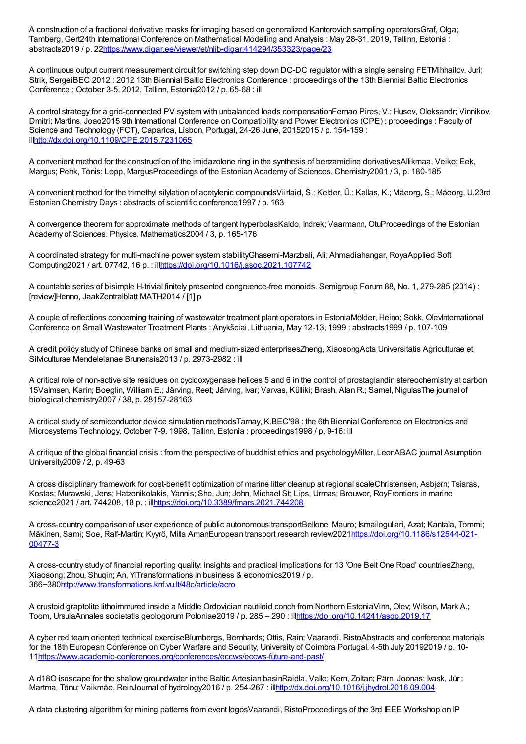A construction of a fractional derivative masks for imaging based on generalized Kantorovich sampling operatorsGraf, Olga; Tamberg, Gert24th International Conference on Mathematical Modelling and Analysis : May 28-31, 2019, Tallinn, Estonia : abstracts2019 / p. 2[2https://www.digar.ee/viewer/et/nlib-digar:414294/353323/page/23](https://www.digar.ee/viewer/et/nlib-digar:414294/353323/page/23)

A continuous output current measurement circuit for switching step down DC-DC regulator with a single sensing FETMihhailov, Juri; Strik, SergeiBEC 2012 : 2012 13th Biennial Baltic Electronics Conference : proceedings of the 13th Biennial Baltic Electronics Conference : October 3-5, 2012, Tallinn, Estonia2012 / p. 65-68 : ill

A control strategy for a grid-connected PV system with unbalanced loads compensationFernao Pires, V.; Husev, Oleksandr; Vinnikov, Dmitri; Martins, Joao2015 9th International Conference on Compatibility and Power Electronics (CPE) : proceedings : Faculty of Science and Technology (FCT), Caparica, Lisbon, Portugal, 24-26 June, 20152015 / p. 154-159 : il[lhttp://dx.doi.org/10.1109/CPE.2015.7231065](http://dx.doi.org/10.1109/CPE.2015.7231065)

A convenient method for the construction of the imidazolone ring in the synthesis of benzamidine derivativesAllikmaa, Veiko; Eek, Margus; Pehk, Tõnis; Lopp, MargusProceedings of the Estonian Academy of Sciences. Chemistry2001 / 3, p. 180-185

A convenient method for the trimethyl silylation of acetylenic compoundsViirlaid, S.; Kelder, Ü.; Kallas, K.; Mäeorg, S.; Mäeorg, U.23rd Estonian Chemistry Days : abstracts of scientific conference1997 / p. 163

A convergence theorem for approximate methods of tangent hyperbolasKaldo, Indrek; Vaarmann, OtuProceedings of the Estonian Academy of Sciences. Physics. Mathematics2004 / 3, p. 165-176

A coordinated strategy for multi-machine power system stabilityGhasemi-Marzbali, Ali; Ahmadiahangar, RoyaApplied Soft Computing2021 / art. 07742, 16 p. : il[lhttps://doi.org/10.1016/j.asoc.2021.107742](https://doi.org/10.1016/j.asoc.2021.107742)

A countable series of bisimple H-trivial finitely presented congruence-free monoids. Semigroup Forum 88, No. 1, 279-285 (2014) : [review]Henno, JaakZentralblatt MATH2014 / [1] p

A couple of reflections concerning training of wastewater treatment plant operators in EstoniaMölder, Heino; Sokk, OlevInternational Conference on Small Wastewater Treatment Plants : Anykšciai, Lithuania, May 12-13, 1999 : abstracts1999 / p. 107-109

A credit policy study of Chinese banks on small and medium-sized enterprisesZheng, XiaosongActa Universitatis Agriculturae et Silviculturae Mendeleianae Brunensis2013 / p. 2973-2982 : ill

A critical role of non-active site residues on cyclooxygenase helices 5 and 6 in the control of prostaglandin stereochemistry at carbon 15Valmsen, Karin; Boeglin, William E.; Järving, Reet; Järving, Ivar; Varvas, Külliki; Brash, Alan R.; Samel, NigulasThe journal of biological chemistry2007 / 38, p. 28157-28163

A critical study of semiconductor device simulation methodsTarnay, K.BEC'98 : the 6th Biennial Conference on Electronics and Microsystems Technology, October 7-9, 1998, Tallinn, Estonia : proceedings1998 / p. 9-16: ill

A critique of the global financial crisis : from the perspective of buddhist ethics and psychologyMiller, LeonABAC journal Asumption University2009 / 2, p. 49-63

A cross disciplinary framework for cost-benefit optimization of marine litter cleanup at regional scaleChristensen, Asbjørn; Tsiaras, Kostas; Murawski, Jens; Hatzonikolakis, Yannis; She, Jun; John, Michael St; Lips, Urmas; Brouwer, RoyFrontiers in marine science2021 / art. 744208, 18 p. : il[lhttps://doi.org/10.3389/fmars.2021.744208](https://doi.org/10.3389/fmars.2021.744208)

A cross-country comparison of user experience of public autonomous transportBellone, Mauro; Ismailogullari, Azat; Kantala, Tommi; Mäkinen, Sami; Soe, Ralf-Martin; Kyyrö, Milla AmanEuropean transport research [review2021https://doi.org/10.1186/s12544-021-](https://doi.org/10.1186/s12544-021-00477-3) 00477-3

A cross-country study of financial reporting quality: insights and practical implications for 13 'One Belt One Road' countriesZheng, Xiaosong; Zhou, Shuqin; An, YiTransformations in business & economics2019 / p. 366−380<http://www.transformations.knf.vu.lt/48c/article/acro>

A crustoid graptolite lithoimmured inside a Middle Ordovician nautiloid conch from Northern EstoniaVinn, Olev; Wilson, Mark A.; Toom, UrsulaAnnales societatis geologorum Poloniae2019 / p. 285 – 290 : il[lhttps://doi.org/10.14241/asgp.2019.17](https://doi.org/10.14241/asgp.2019.17)

A cyber red team oriented technical exerciseBlumbergs, Bernhards; Ottis, Rain; Vaarandi, RistoAbstracts and conference materials for the 18th European Conference on Cyber Warfare and Security, University of Coimbra Portugal, 4-5th July 20192019 / p. 10- 1[1https://www.academic-conferences.org/conferences/eccws/eccws-future-and-past/](https://www.academic-conferences.org/conferences/eccws/eccws-future-and-past/)

A d18O isoscape for the shallow groundwater in the Baltic Artesian basinRaidla, Valle; Kern, Zoltan; Pärn, Joonas; Ivask, Jüri; Martma, Tõnu; Vaikmäe, ReinJournal of hydrology2016 / p. 254-267 : il[lhttp://dx.doi.org/10.1016/j.jhydrol.2016.09.004](http://dx.doi.org/10.1016/j.jhydrol.2016.09.004)

A data clustering algorithm for mining patterns from event logosVaarandi, RistoProceedings of the 3rd IEEE Workshop on IP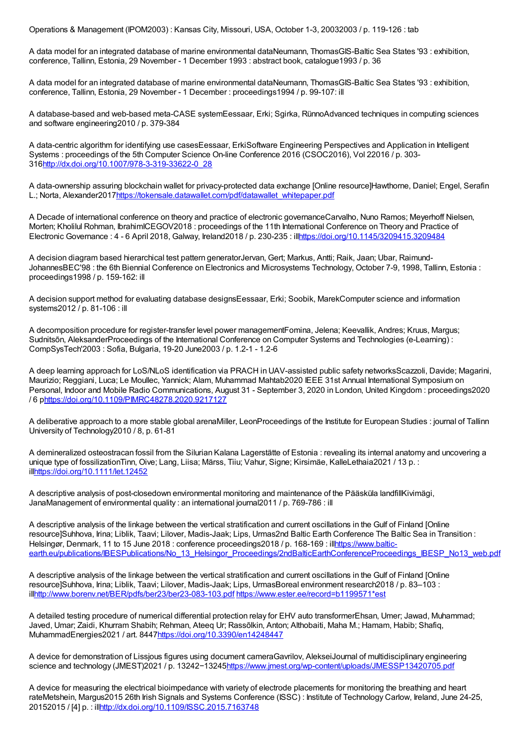Operations & Management (IPOM2003) : Kansas City, Missouri, USA, October 1-3, 20032003 / p. 119-126 : tab

A data model for an integrated database of marine environmental dataNeumann, ThomasGIS-Baltic Sea States '93 : exhibition, conference, Tallinn, Estonia, 29 November - 1 December 1993 : abstract book, catalogue1993 / p. 36

A data model for an integrated database of marine environmental dataNeumann, ThomasGIS-Baltic Sea States '93 : exhibition, conference, Tallinn, Estonia, 29 November - 1 December : proceedings1994 / p. 99-107: ill

A database-based and web-based meta-CASE systemEessaar, Erki; Sgirka, RünnoAdvanced techniques in computing sciences and software engineering2010 / p. 379-384

A data-centric algorithm for identifying use casesEessaar, ErkiSoftware Engineering Perspectives and Application in Intelligent Systems : proceedings of the 5th Computer Science On-line Conference 2016 (CSOC2016), Vol 22016 / p. 303- 31[6http://dx.doi.org/10.1007/978-3-319-33622-0\\_28](http://dx.doi.org/10.1007/978-3-319-33622-0_28)

A data-ownership assuring blockchain wallet for privacy-protected data exchange [Online resource]Hawthorne, Daniel; Engel, Serafin L.; Norta, Alexander201[7https://tokensale.datawallet.com/pdf/datawallet\\_whitepaper.pdf](https://tokensale.datawallet.com/pdf/datawallet_whitepaper.pdf)

A Decade of international conference on theory and practice of electronic governanceCarvalho, Nuno Ramos; Meyerhoff Nielsen, Morten; Kholilul Rohman, IbrahimICEGOV2018 : proceedings of the 11th International Conference on Theory and Practice of Electronic Governance : 4 - 6 April 2018, Galway, Ireland2018 / p. 230-235 : il[lhttps://doi.org/10.1145/3209415.3209484](https://doi.org/10.1145/3209415.3209484)

A decision diagram based hierarchical test pattern generatorJervan, Gert; Markus, Antti; Raik, Jaan; Ubar, Raimund-JohannesBEC'98 : the 6th Biennial Conference on Electronics and Microsystems Technology, October 7-9, 1998, Tallinn, Estonia : proceedings1998 / p. 159-162: ill

A decision support method for evaluating database designsEessaar, Erki; Soobik, MarekComputer science and information systems2012 / p. 81-106 : ill

A decomposition procedure for register-transfer level power managementFomina, Jelena; Keevallik, Andres; Kruus, Margus; Sudnitsõn, AleksanderProceedings of the International Conference on Computer Systems and Technologies (e-Learning) : CompSysTech'2003 : Sofia, Bulgaria, 19-20 June2003 / p. 1.2-1 - 1.2-6

A deep learning approach for LoS/NLoS identification via PRACH in UAV-assisted public safety networksScazzoli, Davide; Magarini, Maurizio; Reggiani, Luca; Le Moullec, Yannick; Alam, Muhammad Mahtab2020 IEEE 31st Annual International Symposium on Personal, Indoor and Mobile Radio Communications, August 31 - September 3, 2020 in London, United Kingdom : proceedings2020 / 6 p<https://doi.org/10.1109/PIMRC48278.2020.9217127>

A deliberative approach to a more stable global arenaMiller, LeonProceedings of the Institute for European Studies : journal of Tallinn University of Technology2010 / 8, p. 61-81

A demineralized osteostracan fossil from the Silurian Kalana Lagerstätte of Estonia : revealing its internal anatomy and uncovering a unique type of fossilizationTinn, Oive; Lang, Liisa; Märss, Tiiu; Vahur, Signe; Kirsimäe, KalleLethaia2021 / 13 p. : il[lhttps://doi.org/10.1111/let.12452](https://doi.org/10.1111/let.12452)

A descriptive analysis of post-closedown environmental monitoring and maintenance of the Pääsküla landfillKivimägi, JanaManagement of environmental quality : an international journal2011 / p. 769-786 : ill

A descriptive analysis of the linkage between the vertical stratification and current oscillations in the Gulf of Finland [Online resource]Suhhova, Irina; Liblik, Taavi; Lilover, Madis-Jaak; Lips, Urmas2nd Baltic Earth Conference The Baltic Sea in Transition : Helsingør, Denmark, 11 to 15 June 2018 : conference proceedings2018 / p. 168-169 : illhttps://www.baltic[earth.eu/publications/IBESPublications/No\\_13\\_Helsingor\\_Proceedings/2ndBalticEarthConferenceProceedings\\_IBESP\\_No13\\_web.pdf](https://www.baltic-earth.eu/publications/IBESPublications/No_13_Helsingor_Proceedings/2ndBalticEarthConferenceProceedings_IBESP_No13_web.pdf)

A descriptive analysis of the linkage between the vertical stratification and current oscillations in the Gulf of Finland [Online resource]Suhhova, Irina; Liblik, Taavi; Lilover, Madis-Jaak; Lips, UrmasBoreal environment research2018 / p. 83–103 : il[lhttp://www.borenv.net/BER/pdfs/ber23/ber23-083-103.pdf](http://www.borenv.net/BER/pdfs/ber23/ber23-083-103.pdf) [https://www.ester.ee/record=b1199571\\*est](https://www.ester.ee/record=b1199571*est)

A detailed testing procedure of numerical differential protection relay for EHV auto transformerEhsan, Umer; Jawad, Muhammad; Javed, Umar; Zaidi, Khurram Shabih; Rehman, Ateeq Ur; Rassõlkin, Anton; Althobaiti, Maha M.; Hamam, Habib; Shafiq, MuhammadEnergies2021 / art. 844[7https://doi.org/10.3390/en14248447](https://doi.org/10.3390/en14248447)

A device for demonstration of Lissjous figures using document cameraGavrilov, AlekseiJournal of multidisciplinary engineering science and technology (JMEST)2021 / p. 13242−1324[5https://www.jmest.org/wp-content/uploads/JMESSP13420705.pdf](https://www.jmest.org/wp-content/uploads/JMESSP13420705.pdf)

A device for measuring the electrical bioimpedance with variety of electrode placements for monitoring the breathing and heart rateMetshein, Margus2015 26th Irish Signals and Systems Conference (ISSC) : Institute of Technology Carlow, Ireland, June 24-25, 20152015 / [4] p. : il[lhttp://dx.doi.org/10.1109/ISSC.2015.7163748](http://dx.doi.org/10.1109/ISSC.2015.7163748)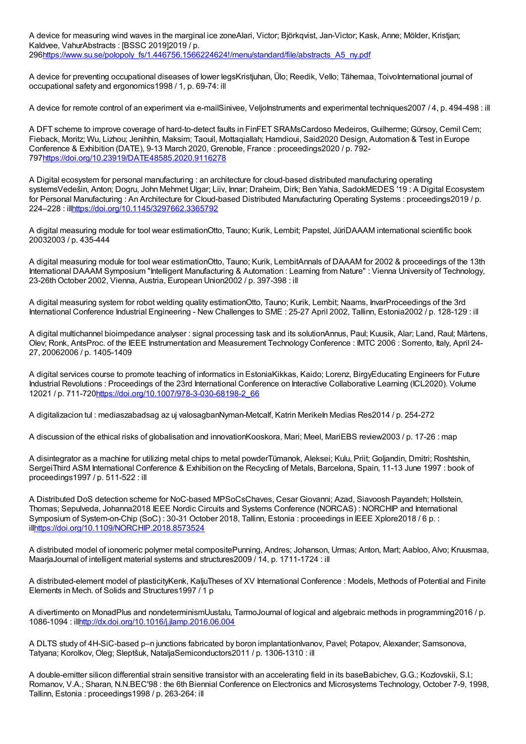A device for measuring wind waves in the marginal ice zoneAlari, Victor; Björkqvist, Jan-Victor; Kask, Anne; Mölder, Kristjan; Kaldvee, VahurAbstracts : [BSSC 2019]2019 / p. 29[6https://www.su.se/polopoly\\_fs/1.446756.1566224624!/menu/standard/file/abstracts\\_A5\\_ny.pdf](https://www.su.se/polopoly_fs/1.446756.1566224624!/menu/standard/file/abstracts_A5_ny.pdf)

A device for preventing occupational diseases of lower legsKristjuhan, Ülo; Reedik, Vello; Tähemaa, ToivoInternational journal of occupational safety and ergonomics1998 / 1, p. 69-74: ill

A device for remote control of an experiment via e-mailSinivee, VeljoInstruments and experimental techniques2007 / 4, p. 494-498 : ill

A DFT scheme to improve coverage of hard-to-detect faults in FinFET SRAMsCardoso Medeiros, Guilherme; Gürsoy, Cemil Cem; Fieback, Moritz; Wu, Lizhou; Jenihhin, Maksim; Taouil, Mottaqiallah; Hamdioui, Said2020 Design, Automation & Test in Europe Conference & Exhibition (DATE), 9-13 March 2020, Grenoble, France : proceedings2020 / p. 792- 79[7https://doi.org/10.23919/DATE48585.2020.9116278](https://doi.org/10.23919/DATE48585.2020.9116278)

A Digital ecosystem for personal manufacturing : an architecture for cloud-based distributed manufacturing operating systemsVedešin, Anton; Dogru, John Mehmet Ulgar; Liiv, Innar; Draheim, Dirk; Ben Yahia, SadokMEDES '19 : A Digital Ecosystem for Personal Manufacturing : An Architecture for Cloud-based Distributed Manufacturing Operating Systems : proceedings2019 / p. 224–228 : il[lhttps://doi.org/10.1145/3297662.3365792](https://doi.org/10.1145/3297662.3365792)

A digital measuring module for tool wear estimationOtto, Tauno; Kurik, Lembit; Papstel, JüriDAAAM international scientific book 20032003 / p. 435-444

A digital measuring module for tool wear estimationOtto, Tauno; Kurik, LembitAnnals of DAAAM for 2002 & proceedings of the 13th International DAAAM Symposium "Intelligent Manufacturing & Automation : Learning from Nature" : Vienna University of Technology, 23-26th October 2002, Vienna, Austria, European Union2002 / p. 397-398 : ill

A digital measuring system for robot welding quality estimationOtto, Tauno; Kurik, Lembit; Naams, InvarProceedings of the 3rd International Conference Industrial Engineering - New Challenges to SME : 25-27 April 2002, Tallinn, Estonia2002 / p. 128-129 : ill

A digital multichannel bioimpedance analyser : signal processing task and its solutionAnnus, Paul; Kuusik, Alar; Land, Raul; Märtens, Olev; Ronk, AntsProc. of the IEEE Instrumentation and Measurement Technology Conference : IMTC 2006 : Sorrento, Italy, April 24- 27, 20062006 / p. 1405-1409

A digital services course to promote teaching of informatics in EstoniaKikkas, Kaido; Lorenz, BirgyEducating Engineers for Future Industrial Revolutions : Proceedings of the 23rd International Conference on Interactive Collaborative Learning (ICL2020). Volume 12021 / p. 711-72[0https://doi.org/10.1007/978-3-030-68198-2\\_66](https://doi.org/10.1007/978-3-030-68198-2_66)

A digitalizacion tul : mediaszabadsag az uj valosagbanNyman-Metcalf, Katrin Merikeln Medias Res2014 / p. 254-272

A discussion of the ethical risks of globalisation and innovationKooskora, Mari; Meel, MariEBS review2003 / p. 17-26 : map

A disintegrator as a machine for utilizing metal chips to metal powderTümanok, Aleksei; Kulu, Priit; Goljandin, Dmitri; Roshtshin, SergeiThird ASM International Conference & Exhibition on the Recycling of Metals, Barcelona, Spain, 11-13 June 1997 : book of proceedings1997 / p. 511-522 : ill

A Distributed DoS detection scheme for NoC-based MPSoCsChaves, Cesar Giovanni; Azad, Siavoosh Payandeh; Hollstein, Thomas; Sepulveda, Johanna2018 IEEE Nordic Circuits and Systems Conference (NORCAS) : NORCHIP and International Symposium of System-on-Chip (SoC) : 30-31 October 2018, Tallinn, Estonia : proceedings in IEEE Xplore2018 / 6 p. : il[lhttps://doi.org/10.1109/NORCHIP.2018.8573524](https://doi.org/10.1109/NORCHIP.2018.8573524)

A distributed model of ionomeric polymer metal compositePunning, Andres; Johanson, Urmas; Anton, Mart; Aabloo, Alvo; Kruusmaa, MaarjaJournal of intelligent material systems and structures2009 / 14, p. 1711-1724 : ill

A distributed-element model of plasticityKenk, KaljuTheses of XV International Conference : Models, Methods of Potential and Finite Elements in Mech. of Solids and Structures1997 / 1 p

A divertimento on MonadPlus and nondeterminismUustalu, TarmoJournal of logical and algebraic methods in programming2016 / p. 1086-1094 : il[lhttp://dx.doi.org/10.1016/j.jlamp.2016.06.004](http://dx.doi.org/10.1016/j.jlamp.2016.06.004)

A DLTS study of 4H-SiC-based p–n junctions fabricated by boron implantationIvanov, Pavel; Potapov, Alexander; Samsonova, Tatyana; Korolkov, Oleg; Sleptšuk, NataljaSemiconductors2011 / p. 1306-1310 : ill

A double-emitter silicon differential strain sensitive transistor with an accelerating field in its baseBabichev, G.G.; Kozlovskii, S.I.; Romanov, V.A.; Sharan, N.N.BEC'98 : the 6th Biennial Conference on Electronics and Microsystems Technology, October 7-9, 1998, Tallinn, Estonia : proceedings1998 / p. 263-264: ill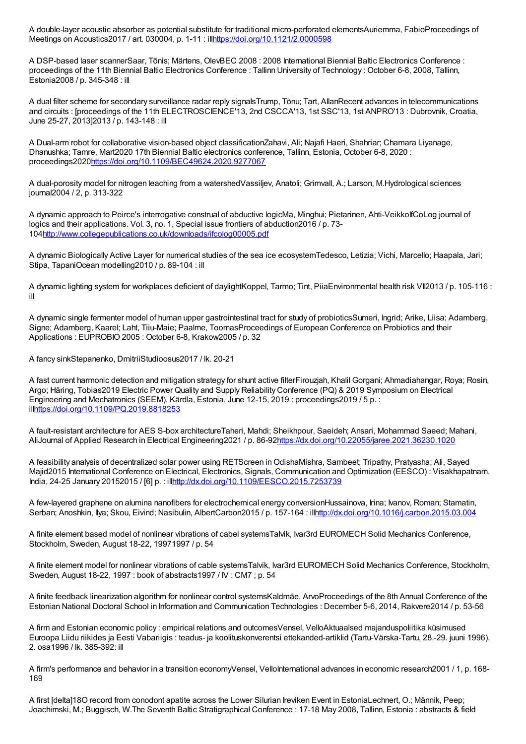A double-layer acoustic absorber as potential substitute for traditional micro-perforated elementsAuriemma, FabioProceedings of Meetings on Acoustics2017 / art. 030004, p. 1-11 : il[lhttps://doi.org/10.1121/2.0000598](https://doi.org/10.1121/2.0000598)

A DSP-based laser scannerSaar, Tõnis; Märtens, OlevBEC 2008 : 2008 International Biennial Baltic Electronics Conference : proceedings of the 11th Biennial Baltic Electronics Conference : Tallinn University of Technology : October 6-8, 2008, Tallinn, Estonia2008 / p. 345-348 : ill

A dual filter scheme for secondary surveillance radar reply signalsTrump, Tõnu; Tart, AllanRecent advances in telecommunications and circuits : [proceedings of the 11th ELECTROSCIENCE'13, 2nd CSCCA'13, 1st SSC'13, 1st ANPRO'13 : Dubrovnik, Croatia, June 25-27, 2013]2013 / p. 143-148 : ill

A Dual-arm robot for collaborative vision-based object classificationZahavi, Ali; Najafi Haeri, Shahriar; Chamara Liyanage, Dhanushka; Tamre, Mart2020 17th Biennial Baltic electronics conference, Tallinn, Estonia, October 6-8, 2020 : proceedings202[0https://doi.org/10.1109/BEC49624.2020.9277067](https://doi.org/10.1109/BEC49624.2020.9277067)

A dual-porosity model for nitrogen leaching from a watershedVassiljev, Anatoli; Grimvall, A.; Larson, M.Hydrological sciences journal2004 / 2, p. 313-322

A dynamic approach to Peirce's interrogative construal of abductive logicMa, Minghui; Pietarinen, Ahti-VeikkolfCoLog journal of logics and their applications. Vol. 3, no. 1, Special issue frontiers of abduction2016 / p. 73- 10[4http://www.collegepublications.co.uk/downloads/ifcolog00005.pdf](http://www.collegepublications.co.uk/downloads/ifcolog00005.pdf)

A dynamic Biologically Active Layer for numerical studies of the sea ice ecosystemTedesco, Letizia; Vichi, Marcello; Haapala, Jari; Stipa, TapaniOcean modelling2010 / p. 89-104 : ill

A dynamic lighting system for workplaces deficient of daylightKoppel, Tarmo; Tint, PiiaEnvironmental health risk VII2013 / p. 105-116 : ill

A dynamic single fermenter model of human upper gastrointestinal tract for study of probioticsSumeri, Ingrid; Arike, Liisa; Adamberg, Signe; Adamberg, Kaarel; Laht, Tiiu-Maie; Paalme, ToomasProceedings of European Conference on Probiotics and their Applications : EUPROBIO 2005 : October 6-8, Krakow2005 / p. 32

A fancy sinkStepanenko, DmitriiStudioosus2017 / lk. 20-21

A fast current harmonic detection and mitigation strategy for shunt active filterFirouzjah, Khalil Gorgani; Ahmadiahangar, Roya; Rosin, Argo; Häring, Tobias2019 Electric Power Quality and Supply Reliability Conference (PQ) & 2019 Symposium on Electrical Engineering and Mechatronics (SEEM), Kärdla, Estonia, June 12-15, 2019 : proceedings2019 / 5 p. : il[lhttps://doi.org/10.1109/PQ.2019.8818253](https://doi.org/10.1109/PQ.2019.8818253)

A fault-resistant architecture for AES S-box architectureTaheri, Mahdi; Sheikhpour, Saeideh; Ansari, Mohammad Saeed; Mahani, AliJournal of Applied Research in Electrical Engineering2021 / p. 86-9[2https://dx.doi.org/10.22055/jaree.2021.36230.1020](https://dx.doi.org/10.22055/jaree.2021.36230.1020)

A feasibility analysis of decentralized solar power using RETScreen inOdishaMishra, Sambeet; Tripathy, Pratyasha; Ali, Sayed Majid2015 International Conference on Electrical, Electronics, Signals, Communication and Optimization (EESCO) : Visakhapatnam, India, 24-25 January 20152015 / [6] p. : il[lhttp://dx.doi.org/10.1109/EESCO.2015.7253739](http://dx.doi.org/10.1109/EESCO.2015.7253739)

A few-layered graphene on alumina nanofibers for electrochemical energy conversionHussainova, Irina; Ivanov, Roman; Stamatin, Serban; Anoshkin, Ilya; Skou, Eivind; Nasibulin, AlbertCarbon2015 / p. 157-164 : il[lhttp://dx.doi.org/10.1016/j.carbon.2015.03.004](http://dx.doi.org/10.1016/j.carbon.2015.03.004)

A finite element based model of nonlinear vibrations of cabel systemsTalvik, Ivar3rd EUROMECH Solid Mechanics Conference, Stockholm, Sweden, August 18-22, 19971997 / p. 54

A finite element model for nonlinear vibrations of cable systemsTalvik, Ivar3rd EUROMECH Solid Mechanics Conference, Stockholm, Sweden, August 18-22, 1997 : book of abstracts1997 / IV : CM7 ; p. 54

A finite feedback linearization algorithm for nonlinear control systemsKaldmäe, ArvoProceedings of the 8th Annual Conference of the Estonian National Doctoral School in Information and Communication Technologies : December 5-6, 2014, Rakvere2014 / p. 53-56

A firm and Estonian economic policy : empirical relations and outcomesVensel, VelloAktuaalsed majanduspoliitika küsimused Euroopa Liidu riikides ja Eesti Vabariigis : teadus- ja koolituskonverentsi ettekanded-artiklid (Tartu-Värska-Tartu, 28.-29. juuni 1996). 2. osa1996 / lk. 385-392: ill

A firm's performance and behavior in a transition economyVensel, VelloInternational advances in economic research2001 / 1, p. 168- 169

A first [delta]18O record from conodont apatite across the Lower Silurian Ireviken Event in EstoniaLechnert, O.; Männik, Peep; Joachimski, M.; Buggisch, W.The Seventh Baltic Stratigraphical Conference : 17-18 May 2008, Tallinn, Estonia : abstracts & field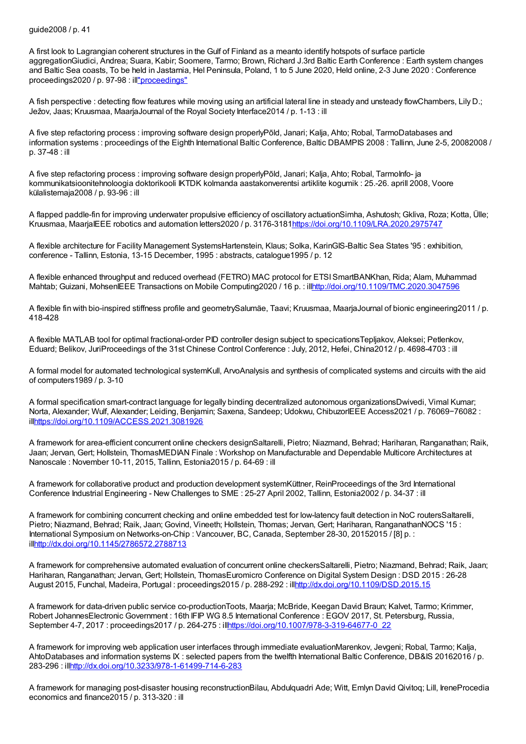## guide2008 / p. 41

A first look to Lagrangian coherent structures in the Gulf of Finland as a meanto identify hotspots of surface particle aggregationGiudici, Andrea; Suara, Kabir; Soomere, Tarmo; Brown, Richard J.3rd Baltic Earth Conference : Earth system changes and Baltic Sea coasts, To be held in Jastarnia, Hel Peninsula, Poland, 1 to 5 June 2020, Held online, 2-3 June 2020 : Conference proceedings2020 / p. 97-98 : il[l"proceedings"](https://www.baltic-earth.eu/publications/IBESPublications/No_18_Hel2020_proceedings/3rd_BalticEarth_Conference_Proceedings_lowres.pdf)

A fish perspective : detecting flow features while moving using an artificial lateral line in steady and unsteady flowChambers, Lily D.; Ježov, Jaas; Kruusmaa, MaarjaJournal of the Royal Society Interface2014 / p. 1-13 : ill

A five step refactoring process : improving software design properlyPõld, Janari; Kalja, Ahto; Robal, TarmoDatabases and information systems : proceedings of the Eighth International Baltic Conference, Baltic DBAMPIS 2008 : Tallinn, June 2-5, 20082008 / p. 37-48 : ill

A five step refactoring process : improving software design properlyPõld, Janari; Kalja, Ahto; Robal, TarmoInfo- ja kommunikatsioonitehnoloogia doktorikooli IKTDK kolmanda aastakonverentsi artiklite kogumik : 25.-26. aprill 2008, Voore külalistemaja2008 / p. 93-96 : ill

A flapped paddle-fin for improving underwater propulsive efficiency of oscillatory actuationSimha, Ashutosh; Gkliva, Roza; Kotta, Ülle; Kruusmaa, MaarjaIEEE robotics and automation letters2020 / p. 3176-318[1https://doi.org/10.1109/LRA.2020.2975747](https://doi.org/10.1109/LRA.2020.2975747)

A flexible architecture for Facility Management SystemsHartenstein, Klaus; Solka, KarinGIS-Baltic Sea States '95 : exhibition, conference - Tallinn, Estonia, 13-15 December, 1995 : abstracts, catalogue1995 / p. 12

A flexible enhanced throughput and reduced overhead (FETRO) MAC protocol for ETSISmartBANKhan, Rida; Alam, Muhammad Mahtab; Guizani, MohsenIEEE Transactions on Mobile Computing2020 / 16 p. : il[lhttp://doi.org/10.1109/TMC.2020.3047596](http://doi.org/10.1109/TMC.2020.3047596)

A flexible fin with bio-inspired stiffness profile and geometrySalumäe, Taavi; Kruusmaa, MaarjaJournal of bionic engineering2011 / p. 418-428

A flexible MATLAB tool for optimal fractional-order PID controller design subject to specicationsTepljakov, Aleksei; Petlenkov, Eduard; Belikov, JuriProceedings of the 31st Chinese Control Conference : July, 2012, Hefei, China2012 / p. 4698-4703 : ill

A formal model for automated technological systemKull, ArvoAnalysis and synthesis of complicated systems and circuits with the aid of computers1989 / p. 3-10

A formal specification smart-contract language for legally binding decentralized autonomous organizationsDwivedi, Vimal Kumar; Norta, Alexander; Wulf, Alexander; Leiding, Benjamin; Saxena, Sandeep; Udokwu, ChibuzorIEEE Access2021 / p. 76069−76082 : il[lhttps://doi.org/10.1109/ACCESS.2021.3081926](https://doi.org/10.1109/ACCESS.2021.3081926)

A framework for area-efficient concurrent online checkers designSaltarelli, Pietro; Niazmand, Behrad; Hariharan, Ranganathan; Raik, Jaan; Jervan, Gert; Hollstein, ThomasMEDIAN Finale : Workshop on Manufacturable and Dependable Multicore Architectures at Nanoscale : November 10-11, 2015, Tallinn, Estonia2015 / p. 64-69 : ill

A framework for collaborative product and production development systemKüttner, ReinProceedings of the 3rd International Conference Industrial Engineering - New Challenges to SME : 25-27 April 2002, Tallinn, Estonia2002 / p. 34-37 : ill

A framework for combining concurrent checking and online embedded test for low-latency fault detection in NoC routersSaltarelli, Pietro; Niazmand, Behrad; Raik, Jaan; Govind, Vineeth; Hollstein, Thomas; Jervan, Gert; Hariharan, RanganathanNOCS '15 : International Symposium on Networks-on-Chip : Vancouver, BC, Canada, September 28-30, 20152015 / [8] p. : il[lhttp://dx.doi.org/10.1145/2786572.2788713](http://dx.doi.org/10.1145/2786572.2788713)

A framework for comprehensive automated evaluation of concurrent online checkersSaltarelli, Pietro; Niazmand, Behrad; Raik, Jaan; Hariharan, Ranganathan; Jervan, Gert; Hollstein, ThomasEuromicro Conference on Digital System Design : DSD 2015 : 26-28 August 2015, Funchal, Madeira, Portugal : proceedings2015 / p. 288-292 : il[lhttp://dx.doi.org/10.1109/DSD.2015.15](http://dx.doi.org/10.1109/DSD.2015.15)

A framework for data-driven public service co-productionToots, Maarja; McBride, Keegan David Braun; Kalvet, Tarmo; Krimmer, Robert JohannesElectronic Government : 16th IFIP WG 8.5 International Conference : EGOV 2017, St. Petersburg, Russia, September 4-7, 2017 : proceedings2017 / p. 264-275 : il[lhttps://doi.org/10.1007/978-3-319-64677-0\\_22](https://doi.org/10.1007/978-3-319-64677-0_22)

A framework for improving web application user interfaces through immediate evaluationMarenkov, Jevgeni; Robal, Tarmo; Kalja, AhtoDatabases and information systems IX : selected papers from the twelfth International Baltic Conference, DB&IS 20162016 / p. 283-296 : il[lhttp://dx.doi.org/10.3233/978-1-61499-714-6-283](http://dx.doi.org/10.3233/978-1-61499-714-6-283)

A framework for managing post-disaster housing reconstructionBilau, Abdulquadri Ade; Witt, Emlyn David Qivitoq; Lill, IreneProcedia economics and finance2015 / p. 313-320 : ill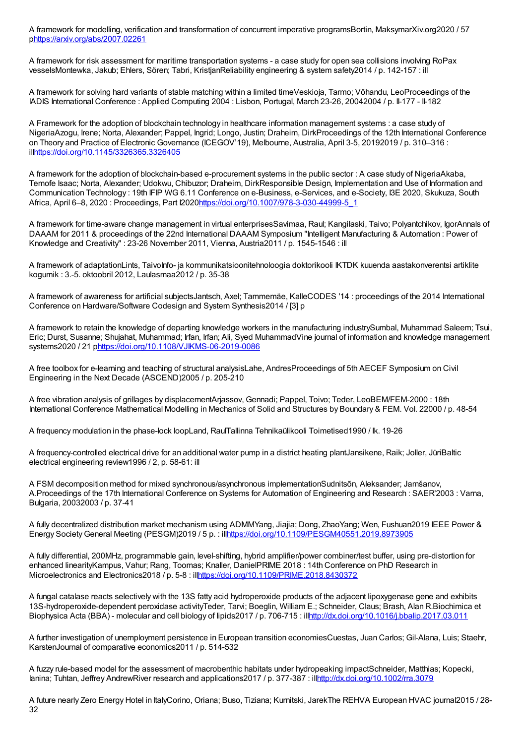A framework for modelling, verification and transformation of concurrent imperative programsBortin, MaksymarXiv.org2020 / 57 p<https://arxiv.org/abs/2007.02261>

A framework for risk assessment for maritime transportation systems - a case study for open sea collisions involving RoPax vesselsMontewka, Jakub; Ehlers, Sören; Tabri, KristjanReliability engineering & system safety2014 / p. 142-157 : ill

A framework for solving hard variants of stable matching within a limited timeVeskioja, Tarmo; Võhandu, LeoProceedings of the IADIS International Conference : Applied Computing 2004 : Lisbon, Portugal, March 23-26, 20042004 / p. II-177 - II-182

A Framework for the adoption of blockchain technology in healthcare information management systems : a case study of NigeriaAzogu, Irene; Norta, Alexander; Pappel, Ingrid; Longo, Justin; Draheim, DirkProceedings of the 12th International Conference on Theory and Practice of Electronic Governance (ICEGOV'19), Melbourne, Australia, April 3-5, 20192019 / p. 310–316 : il[lhttps://doi.org/10.1145/3326365.3326405](https://doi.org/10.1145/3326365.3326405)

A framework for the adoption of blockchain-based e-procurement systems in the public sector : A case study of NigeriaAkaba, Temofe Isaac; Norta, Alexander; Udokwu, Chibuzor; Draheim, DirkResponsible Design, Implementation and Use of Information and Communication Technology : 19th IFIP WG 6.11 Conference on e-Business, e-Services, and e-Society, I3E 2020, Skukuza, South Africa, April 6–8, 2020 : Proceedings, Part I202[0https://doi.org/10.1007/978-3-030-44999-5\\_1](https://doi.org/10.1007/978-3-030-44999-5_1)

A framework for time-aware change management in virtual enterprisesSavimaa, Raul; Kangilaski, Taivo; Polyantchikov, IgorAnnals of DAAAM for 2011 & proceedings of the 22nd International DAAAM Symposium "Intelligent Manufacturing & Automation : Power of Knowledge and Creativity" : 23-26 November 2011, Vienna, Austria2011 / p. 1545-1546 : ill

A framework of adaptationLints, TaivoInfo- ja kommunikatsioonitehnoloogia doktorikooli IKTDK kuuenda aastakonverentsi artiklite kogumik : 3.-5. oktoobril 2012, Laulasmaa2012 / p. 35-38

A framework of awareness for artificial subjectsJantsch, Axel; Tammemäe, KalleCODES '14 : proceedings of the 2014 International Conference on Hardware/Software Codesign and System Synthesis2014 / [3] p

A framework to retain the knowledge of departing knowledge workers in the manufacturing industrySumbal, Muhammad Saleem; Tsui, Eric; Durst, Susanne; Shujahat, Muhammad; Irfan, Irfan; Ali, Syed MuhammadVine journal of information and knowledge management systems2020 / 21 [phttps://doi.org/10.1108/VJIKMS-06-2019-0086](https://doi.org/10.1108/VJIKMS-06-2019-0086)

A free toolbox for e-learning and teaching of structural analysisLahe, AndresProceedings of 5th AECEF Symposium on Civil Engineering in the Next Decade (ASCEND)2005 / p. 205-210

A free vibration analysis of grillages by displacementArjassov, Gennadi; Pappel, Toivo; Teder, LeoBEM/FEM-2000 : 18th International Conference Mathematical Modelling in Mechanics of Solid and Structures by Boundary & FEM. Vol. 22000 / p. 48-54

A frequency modulation in the phase-lock loopLand, RaulTallinna Tehnikaülikooli Toimetised1990 / lk. 19-26

A frequency-controlled electrical drive for an additional water pump in a district heating plantJansikene, Raik; Joller, JüriBaltic electrical engineering review1996 / 2, p. 58-61: ill

A FSM decomposition method for mixed synchronous/asynchronous implementationSudnitsõn, Aleksander; Jamšanov, A.Proceedings of the 17th International Conference on Systems for Automation of Engineering and Research : SAER'2003 : Varna, Bulgaria, 20032003 / p. 37-41

A fully decentralized distribution market mechanism using ADMMYang, Jiajia; Dong, ZhaoYang; Wen, Fushuan2019 IEEE Power & Energy Society General Meeting (PESGM)2019 / 5 p. : il[lhttps://doi.org/10.1109/PESGM40551.2019.8973905](https://doi.org/10.1109/PESGM40551.2019.8973905)

A fully differential, 200MHz, programmable gain, level-shifting, hybrid amplifier/power combiner/test buffer, using pre-distortion for enhanced linearityKampus, Vahur; Rang, Toomas; Knaller, DanielPRIME 2018 : 14th Conference on PhD Research in Microelectronics and Electronics2018 / p. 5-8 : il[lhttps://doi.org/10.1109/PRIME.2018.8430372](https://doi.org/10.1109/PRIME.2018.8430372)

A fungal catalase reacts selectively with the 13S fatty acid hydroperoxide products of the adjacent lipoxygenase gene and exhibits 13S-hydroperoxide-dependent peroxidase activityTeder, Tarvi; Boeglin, William E.; Schneider, Claus; Brash, Alan R.Biochimica et Biophysica Acta (BBA) - molecular and cell biology of lipids2017 / p. 706-715 : il[lhttp://dx.doi.org/10.1016/j.bbalip.2017.03.011](http://dx.doi.org/10.1016/j.bbalip.2017.03.011)

A further investigation of unemployment persistence in European transition economiesCuestas, Juan Carlos; Gil-Alana, Luis; Staehr, KarstenJournal of comparative economics2011 / p. 514-532

A fuzzy rule-based model for the assessment of macrobenthic habitats under hydropeaking impactSchneider, Matthias; Kopecki, Ianina; Tuhtan, Jeffrey AndrewRiver research and applications2017 / p. 377-387 : il[lhttp://dx.doi.org/10.1002/rra.3079](http://dx.doi.org/10.1002/rra.3079)

A future nearly Zero Energy Hotel in ItalyCorino, Oriana; Buso, Tiziana; Kurnitski, JarekThe REHVA European HVAC journal2015 / 28- 32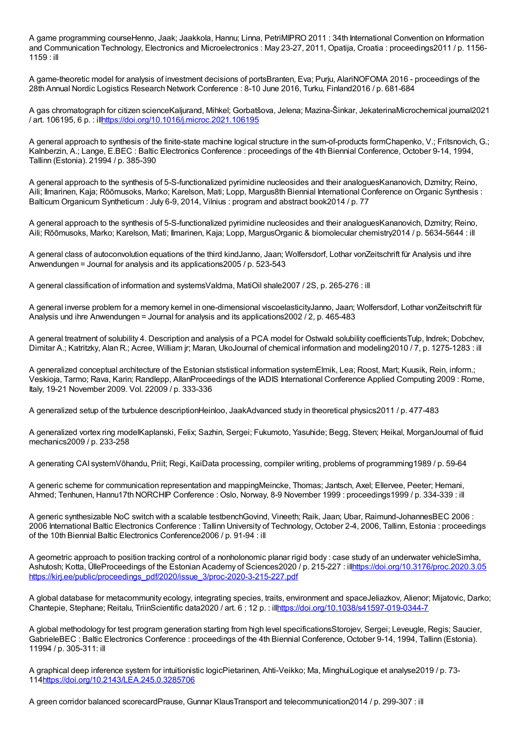A game programming courseHenno, Jaak; Jaakkola, Hannu; Linna, PetriMIPRO 2011 : 34th International Convention on Information and Communication Technology, Electronics and Microelectronics : May 23-27, 2011, Opatija, Croatia : proceedings2011 / p. 1156-1159 : ill

A game-theoretic model for analysis of investment decisions of portsBranten, Eva; Purju, AlariNOFOMA 2016 - proceedings of the 28th Annual Nordic Logistics Research Network Conference : 8-10 June 2016, Turku, Finland2016 / p. 681-684

A gas chromatograph for citizen scienceKaljurand, Mihkel; Gorbatšova, Jelena; Mazina-Šinkar, JekaterinaMicrochemical journal2021 / art. 106195, 6 p. : il[lhttps://doi.org/10.1016/j.microc.2021.106195](https://doi.org/10.1016/j.microc.2021.106195)

A general approach to synthesis of the finite-state machine logical structure in the sum-of-products formChapenko, V.; Fritsnovich, G.; Kalnberzin, A.; Lange, E.BEC : Baltic Electronics Conference : proceedings of the 4th Biennial Conference, October 9-14, 1994, Tallinn (Estonia). 21994 / p. 385-390

A general approach to the synthesis of 5-S-functionalized pyrimidine nucleosides and their analoguesKananovich, Dzmitry; Reino, Aili; Ilmarinen, Kaja; Rõõmusoks, Marko; Karelson, Mati; Lopp, Margus8th Biennial International Conference onOrganic Synthesis : Balticum Organicum Syntheticum : July 6-9, 2014, Vilnius : program and abstract book2014 / p. 77

A general approach to the synthesis of 5-S-functionalized pyrimidine nucleosides and their analoguesKananovich, Dzmitry; Reino, Aili; Rõõmusoks, Marko; Karelson, Mati; Ilmarinen, Kaja; Lopp, MargusOrganic & biomolecular chemistry2014 / p. 5634-5644 : ill

A general class of autoconvolution equations of the third kindJanno, Jaan; Wolfersdorf, Lothar vonZeitschrift für Analysis und ihre Anwendungen = Journal for analysis and its applications2005 / p. 523-543

A general classification of information and systemsValdma, MatiOil shale2007 / 2S, p. 265-276 : ill

A general inverse problem for a memory kernel in one-dimensional viscoelasticityJanno, Jaan; Wolfersdorf, Lothar vonZeitschrift für Analysis und ihre Anwendungen = Journal for analysis and its applications2002 / 2, p. 465-483

A general treatment of solubility 4. Description and analysis of a PCA model for Ostwald solubility coefficientsTulp, Indrek; Dobchev, Dimitar A.; Katritzky, Alan R.; Acree, William jr; Maran, UkoJournal of chemical information and modeling2010 / 7, p. 1275-1283 : ill

A generalized conceptual architecture of the Estonian ststistical information systemElmik, Lea; Roost, Mart; Kuusik, Rein, inform.; Veskioja, Tarmo; Rava, Karin; Randlepp, AllanProceedings of the IADIS International Conference Applied Computing 2009 : Rome, Italy, 19-21 November 2009. Vol. 22009 / p. 333-336

A generalized setup of the turbulence descriptionHeinloo, JaakAdvanced study in theoretical physics2011 / p. 477-483

A generalized vortex ring modelKaplanski, Felix; Sazhin, Sergei; Fukumoto, Yasuhide; Begg, Steven; Heikal, MorganJournal of fluid mechanics2009 / p. 233-258

A generating CAI systemVõhandu, Priit; Regi, KaiData processing, compiler writing, problems of programming1989 / p. 59-64

A generic scheme for communication representation and mappingMeincke, Thomas; Jantsch, Axel; Ellervee, Peeter; Hemani, Ahmed; Tenhunen, Hannu17th NORCHIP Conference : Oslo, Norway, 8-9 November 1999 : proceedings1999 / p. 334-339 : ill

A generic synthesizable NoC switch with a scalable testbenchGovind, Vineeth; Raik, Jaan; Ubar, Raimund-JohannesBEC 2006 : 2006 International Baltic Electronics Conference : Tallinn University of Technology, October 2-4, 2006, Tallinn, Estonia : proceedings of the 10th Biennial Baltic Electronics Conference2006 / p. 91-94 : ill

A geometric approach to position tracking control of a nonholonomic planar rigid body : case study of an underwater vehicleSimha, Ashutosh; Kotta, ÜlleProceedings of the Estonian Academy of Sciences2020 / p. 215-227 : il[lhttps://doi.org/10.3176/proc.2020.3.05](https://doi.org/10.3176/proc.2020.3.05) [https://kirj.ee/public/proceedings\\_pdf/2020/issue\\_3/proc-2020-3-215-227.pdf](https://kirj.ee/public/proceedings_pdf/2020/issue_3/proc-2020-3-215-227.pdf)

A global database for metacommunity ecology, integrating species, traits, environment and spaceJeliazkov, Alienor; Mijatovic, Darko; Chantepie, Stephane; Reitalu, TriinScientific data2020 / art. 6 ; 12 p. : il[lhttps://doi.org/10.1038/s41597-019-0344-7](https://doi.org/10.1038/s41597-019-0344-7)

A global methodology for test program generation starting from high level specificationsStorojev, Sergei; Leveugle, Regis; Saucier, GabrieleBEC : Baltic Electronics Conference : proceedings of the 4th Biennial Conference, October 9-14, 1994, Tallinn (Estonia). 11994 / p. 305-311: ill

A graphical deep inference system for intuitionistic logicPietarinen, Ahti-Veikko; Ma, MinghuiLogique et analyse2019 / p. 73- 11[4https://doi.org/10.2143/LEA.245.0.3285706](https://doi.org/10.2143/LEA.245.0.3285706)

A green corridor balanced scorecardPrause, Gunnar KlausTransport and telecommunication2014 / p. 299-307 : ill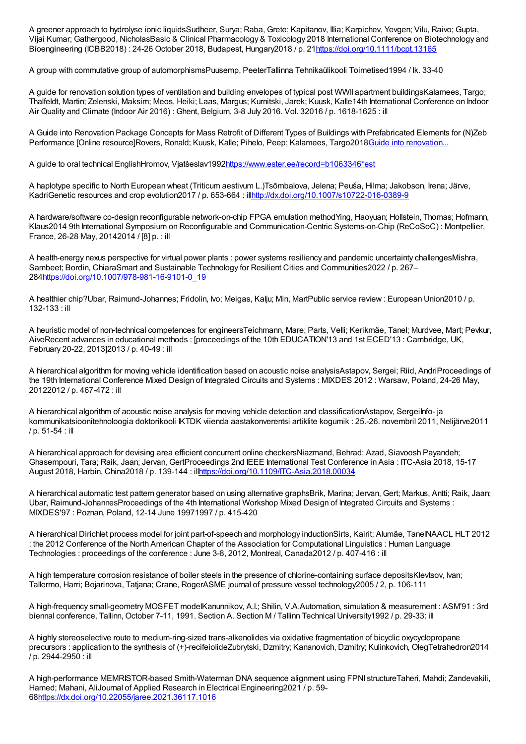A greener approach to hydrolyse ionic liquidsSudheer, Surya; Raba, Grete; Kapitanov, Illia; Karpichev, Yevgen; Vilu, Raivo; Gupta, Vijai Kumar; Gathergood, NicholasBasic & Clinical Pharmacology & Toxicology 2018 International Conference on Biotechnology and Bioengineering (ICBB2018) : 24-26 October 2018, Budapest, Hungary2018 / p. 2[1https://doi.org/10.1111/bcpt.13165](https://doi.org/10.1111/bcpt.13165)

A group with commutative group of automorphismsPuusemp, PeeterTallinna Tehnikaülikooli Toimetised1994 / lk. 33-40

A guide for renovation solution types of ventilation and building envelopes of typical post WWII apartment buildingsKalamees, Targo; Thalfeldt, Martin; Zelenski, Maksim; Meos, Heiki; Laas, Margus; Kurnitski, Jarek; Kuusk, Kalle14th International Conference on Indoor Air Quality and Climate (Indoor Air 2016) : Ghent, Belgium, 3-8 July 2016. Vol. 32016 / p. 1618-1625 : ill

A Guide into Renovation Package Concepts for Mass Retrofit of Different Types of Buildings with Prefabricated Elements for (N)Zeb Performance [Online resource]Rovers, Ronald; Kuusk, Kalle; Pihelo, Peep; Kalamees, Targo2018Guide into [renovation...](https://www.more-connect.eu/wp-content/uploads/2018/12/A-GUIDE-INTO-RENOVATION-PACKAGE-CONCEPTS-FOR-MASS-RETROFIT-OF-DIFFERENT-TYPES-OF-BUILDINGS-WITH-PREFABRICATED-ELEMENTS-FOR-NZEB-PERFORMANCE.pdf)

A guide to oral technical EnglishHromov, Vjatšeslav199[2https://www.ester.ee/record=b1063346\\*est](https://www.ester.ee/record=b1063346*est)

A haplotype specific to North European wheat (Triticum aestivum L.)Tsõmbalova, Jelena; Peuša, Hilma; Jakobson, Irena; Järve, KadriGenetic resources and crop evolution2017 / p. 653-664 : il[lhttp://dx.doi.org/10.1007/s10722-016-0389-9](http://dx.doi.org/10.1007/s10722-016-0389-9)

A hardware/software co-design reconfigurable network-on-chip FPGA emulation methodYing, Haoyuan; Hollstein, Thomas; Hofmann, Klaus2014 9th International Symposium on Reconfigurable and Communication-Centric Systems-on-Chip (ReCoSoC) : Montpellier, France, 26-28 May, 20142014 / [8] p. : ill

A health-energy nexus perspective for virtual power plants : power systems resiliency and pandemic uncertainty challengesMishra, Sambeet; Bordin, ChiaraSmart and Sustainable Technology for Resilient Cities and Communities2022 / p. 267– 28[4https://doi.org/10.1007/978-981-16-9101-0\\_19](https://doi.org/10.1007/978-981-16-9101-0_19)

A healthier chip?Ubar, Raimund-Johannes; Fridolin, Ivo; Meigas, Kalju; Min, MartPublic service review : European Union2010 / p. 132-133 : ill

A heuristic model of non-technical competences for engineersTeichmann, Mare; Parts, Velli; Kerikmäe, Tanel; Murdvee, Mart; Pevkur, AiveRecent advances in educational methods : [proceedings of the 10th EDUCATION'13 and 1st ECED'13 : Cambridge, UK, February 20-22, 2013]2013 / p. 40-49 : ill

A hierarchical algorithm for moving vehicle identification based on acoustic noise analysisAstapov, Sergei; Riid, AndriProceedings of the 19th International Conference Mixed Design of Integrated Circuits and Systems : MIXDES 2012 : Warsaw, Poland, 24-26 May, 20122012 / p. 467-472 : ill

A hierarchical algorithm of acoustic noise analysis for moving vehicle detection and classificationAstapov, SergeiInfo- ja kommunikatsioonitehnoloogia doktorikooli IKTDK viienda aastakonverentsi artiklite kogumik : 25.-26. novembril 2011, Nelijärve2011 / p. 51-54 : ill

A hierarchical approach for devising area efficient concurrent online checkersNiazmand, Behrad; Azad, Siavoosh Payandeh; Ghasempouri, Tara; Raik, Jaan; Jervan, GertProceedings 2nd IEEE International Test Conference in Asia : ITC-Asia 2018, 15-17 August 2018, Harbin, China2018 / p. 139-144 : il[lhttps://doi.org/10.1109/ITC-Asia.2018.00034](https://doi.org/10.1109/ITC-Asia.2018.00034)

A hierarchical automatic test pattern generator based on using alternative graphsBrik, Marina; Jervan, Gert; Markus, Antti; Raik, Jaan; Ubar, Raimund-JohannesProceedings of the 4th International Workshop Mixed Design of Integrated Circuits and Systems : MIXDES'97 : Poznan, Poland, 12-14 June 19971997 / p. 415-420

A hierarchical Dirichlet process model for joint part-of-speech and morphology inductionSirts, Kairit; Alumäe, TanelNAACL HLT 2012 : the 2012 Conference of the North American Chapter of the Association for Computational Linguistics : Human Language Technologies : proceedings of the conference : June 3-8, 2012, Montreal, Canada2012 / p. 407-416 : ill

A high temperature corrosion resistance of boiler steels in the presence of chlorine-containing surface depositsKlevtsov, Ivan; Tallermo, Harri; Bojarinova, Tatjana; Crane, RogerASME journal of pressure vessel technology2005 / 2, p. 106-111

A high-frequency small-geometry MOSFET modelKanunnikov, A.I.; Shilin, V.A.Automation, simulation & measurement : ASM'91 : 3rd biennal conference, Tallinn, October 7-11, 1991. Section A. Section M / Tallinn Technical University1992 / p. 29-33: ill

A highly stereoselective route to medium-ring-sized trans-alkenolides via oxidative fragmentation of bicyclic oxycyclopropane precursors : application to the synthesis of (+)-recifeiolideZubrytski, Dzmitry; Kananovich, Dzmitry; Kulinkovich, OlegTetrahedron2014 / p. 2944-2950 : ill

A high-performance MEMRISTOR-based Smith-Waterman DNA sequence alignment using FPNI structureTaheri, Mahdi; Zandevakili, Hamed; Mahani, AliJournal of Applied Research in Electrical Engineering2021 / p. 59- 6[8https://dx.doi.org/10.22055/jaree.2021.36117.1016](https://dx.doi.org/10.22055/jaree.2021.36117.1016)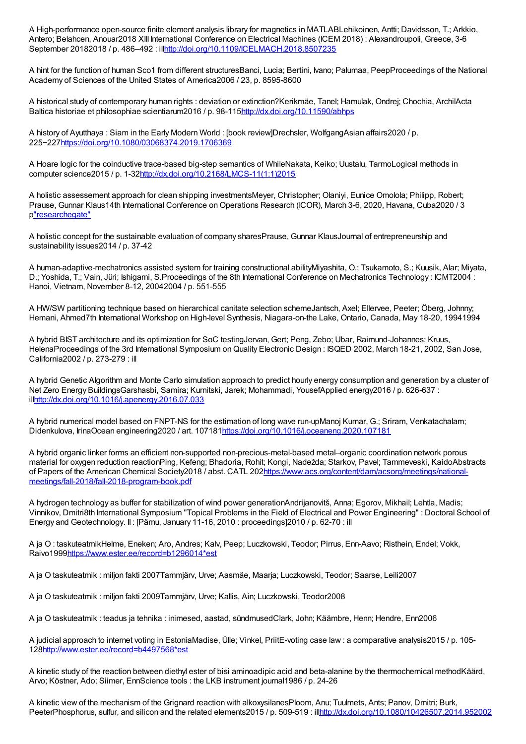A High-performance open-source finite element analysis library for magnetics in MATLABLehikoinen, Antti; Davidsson, T.; Arkkio, Antero; Belahcen, Anouar2018 XIII International Conference on Electrical Machines (ICEM 2018) : Alexandroupoli, Greece, 3-6 September 20182018 / p. 486-492 : illnttp://doi.org/10.1109/ICELMACH.2018.8507235

A hint for the function of human Sco1 from different structuresBanci, Lucia; Bertini, Ivano; Palumaa, PeepProceedings of the National Academy of Sciences of the United States of America2006 / 23, p. 8595-8600

A historical study of contemporary human rights : deviation or extinction?Kerikmäe, Tanel; Hamulak, Ondrej; Chochia, ArchilActa Baltica historiae et philosophiae scientiarum2016 / p. 98-11[5http://dx.doi.org/10.11590/abhps](http://dx.doi.org/10.11590/abhps)

A history of Ayutthaya : Siam in the Early Modern World : [book review]Drechsler, WolfgangAsian affairs2020 / p. 225−227<https://doi.org/10.1080/03068374.2019.1706369>

A Hoare logic for the coinductive trace-based big-step semantics of WhileNakata, Keiko; Uustalu, TarmoLogical methods in computer science2015 / p. 1-3[2http://dx.doi.org/10.2168/LMCS-11\(1:1\)2015](http://dx.doi.org/10.2168/LMCS-11(1:1)2015)

A holistic assessement approach for clean shipping investmentsMeyer, Christopher; Olaniyi, Eunice Omolola; Philipp, Robert; Prause, Gunnar Klaus14th International Conference on Operations Research (ICOR), March 3-6, 2020, Havana, Cuba2020 / 3 p["researchegate"](https://www.researchgate.net/publication/338558223_A_HOLISTIC_ASSESSMENT_APPROACH_FOR_CLEAN_SHIPPING_INVESTMENTS)

A holistic concept for the sustainable evaluation of company sharesPrause, Gunnar KlausJournal of entrepreneurship and sustainability issues2014 / p. 37-42

A human-adaptive-mechatronics assisted system for training constructional abilityMiyashita, O.; Tsukamoto, S.; Kuusik, Alar; Miyata, D.; Yoshida, T.; Vain, Jüri; Ishigami, S.Proceedings of the 8th International Conference on Mechatronics Technology : ICMT2004 : Hanoi, Vietnam, November 8-12, 20042004 / p. 551-555

A HW/SW partitioning technique based on hierarchical canitate selection schemeJantsch, Axel; Ellervee, Peeter; Öberg, Johnny; Hemani, Ahmed7th International Workshop on High-level Synthesis, Niagara-on-the Lake, Ontario, Canada, May 18-20, 19941994

A hybrid BIST architecture and its optimization for SoC testingJervan, Gert; Peng, Zebo; Ubar, Raimund-Johannes; Kruus, HelenaProceedings of the 3rd International Symposium onQuality Electronic Design : ISQED 2002, March 18-21, 2002, San Jose, California2002 / p. 273-279 : ill

A hybrid Genetic Algorithm and Monte Carlo simulation approach to predict hourly energy consumption and generation by a cluster of Net Zero Energy BuildingsGarshasbi, Samira; Kurnitski, Jarek; Mohammadi, YousefApplied energy2016 / p. 626-637 : il[lhttp://dx.doi.org/10.1016/j.apenergy.2016.07.033](http://dx.doi.org/10.1016/j.apenergy.2016.07.033)

A hybrid numerical model based on FNPT-NS for the estimation of long wave run-upManoj Kumar, G.; Sriram, Venkatachalam; Didenkulova, IrinaOcean engineering2020 / art. 10718[1https://doi.org/10.1016/j.oceaneng.2020.107181](https://doi.org/10.1016/j.oceaneng.2020.107181)

A hybrid organic linker forms an efficient non-supported non-precious-metal-based metal–organic coordination network porous material for oxygen reduction reactionPing, Kefeng; Bhadoria, Rohit; Kongi, Nadežda; Starkov, Pavel; Tammeveski, KaidoAbstracts of Papers of the American Chemical Society2018 / abst. CATL [202https://www.acs.org/content/dam/acsorg/meetings/national](https://www.acs.org/content/dam/acsorg/meetings/national-meetings/fall-2018/fall-2018-program-book.pdf)meetings/fall-2018/fall-2018-program-book.pdf

A hydrogen technology as buffer for stabilization of wind power generationAndrijanovitš, Anna; Egorov, Mikhail; Lehtla, Madis; Vinnikov, Dmitri8th International Symposium "Topical Problems in the Field of Electrical and Power Engineering" : Doctoral School of Energy and Geotechnology. II : [Pärnu, January 11-16, 2010 : proceedings]2010 / p. 62-70 : ill

A ja O : taskuteatmikHelme, Eneken; Aro, Andres; Kalv, Peep; Luczkowski, Teodor; Pirrus, Enn-Aavo; Risthein, Endel; Vokk, Raivo199[9https://www.ester.ee/record=b1296014\\*est](https://www.ester.ee/record=b1296014*est)

A ja O taskuteatmik : miljon fakti 2007Tammjärv, Urve; Aasmäe, Maarja; Luczkowski, Teodor; Saarse, Leili2007

A ja O taskuteatmik : miljon fakti 2009Tammjärv, Urve; Kallis, Ain; Luczkowski, Teodor2008

A ja O taskuteatmik : teadus ja tehnika : inimesed, aastad, sündmusedClark, John; Käämbre, Henn; Hendre, Enn2006

A judicial approach to internet voting in EstoniaMadise, Ülle; Vinkel, PriitE-voting case law : a comparative analysis2015 / p. 105- 12[8http://www.ester.ee/record=b4497568\\*est](http://www.ester.ee/record=b4497568*est)

A kinetic study of the reaction between diethyl ester of bisi aminoadipic acid and beta-alanine by the thermochemical methodKäärd, Arvo; Köstner, Ado; Siimer, EnnScience tools : the LKB instrument journal1986 / p. 24-26

A kinetic view of the mechanism of the Grignard reaction with alkoxysilanesPloom, Anu; Tuulmets, Ants; Panov, Dmitri; Burk, PeeterPhosphorus, sulfur, and silicon and the related elements2015 / p. 509-519 : il[lhttp://dx.doi.org/10.1080/10426507.2014.952002](http://dx.doi.org/10.1080/10426507.2014.952002)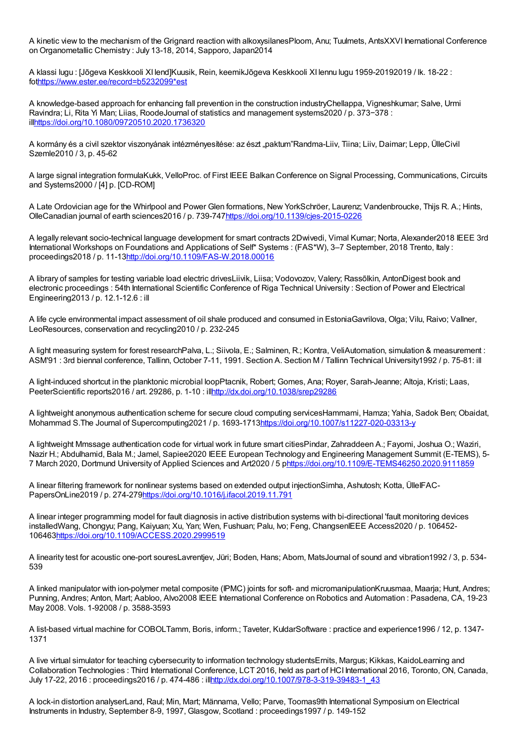A kinetic view to the mechanism of the Grignard reaction with alkoxysilanesPloom, Anu; Tuulmets, AntsXXVI Inernational Conference onOrganometallic Chemistry : July 13-18, 2014, Sapporo, Japan2014

A klassi lugu : [Jõgeva Keskkooli XI lend]Kuusik, Rein, keemikJõgeva Keskkooli XI lennu lugu 1959-20192019 / lk. 18-22 : fo[thttps://www.ester.ee/record=b5232099\\*est](https://www.ester.ee/record=b5232099*est)

A knowledge-based approach for enhancing fall prevention in the construction industryChellappa, Vigneshkumar; Salve, Urmi Ravindra; Li, Rita Yi Man; Liias, RoodeJournal of statistics and management systems2020 / p. 373−378 : il[lhttps://doi.org/10.1080/09720510.2020.1736320](https://doi.org/10.1080/09720510.2020.1736320)

A kormány és a civil szektor viszonyának intézményesítése: az észt "paktum"Randma-Liiv, Tiina; Liiv, Daimar; Lepp, ÜlleCivil Szemle2010 / 3, p. 45-62

A large signal integration formulaKukk, VelloProc. of First IEEE Balkan Conference on Signal Processing, Communications, Circuits and Systems2000 / [4] p. [CD-ROM]

A Late Ordovician age for the Whirlpool and Power Glen formations, New YorkSchröer, Laurenz; Vandenbroucke, Thijs R. A.; Hints, OlleCanadian journal of earth sciences2016 / p. 739-74[7https://doi.org/10.1139/cjes-2015-0226](https://doi.org/10.1139/cjes-2015-0226)

A legally relevant socio-technical language development for smart contracts 2Dwivedi, Vimal Kumar; Norta, Alexander2018 IEEE 3rd International Workshops on Foundations and Applications of Self\* Systems : (FAS\*W), 3–7 September, 2018 Trento, Italy : proceedings2018 / p. 11-13<http://doi.org/10.1109/FAS-W.2018.00016>

A library of samples for testing variable load electric drivesLiivik, Liisa; Vodovozov, Valery; Rassõlkin, AntonDigest book and electronic proceedings : 54th International Scientific Conference of Riga Technical University : Section of Power and Electrical Engineering2013 / p. 12.1-12.6 : ill

A life cycle environmental impact assessment of oil shale produced and consumed in EstoniaGavrilova, Olga; Vilu, Raivo; Vallner, LeoResources, conservation and recycling2010 / p. 232-245

A light measuring system for forest researchPalva, L.; Siivola, E.; Salminen, R.; Kontra, VeliAutomation, simulation & measurement : ASM'91 : 3rd biennal conference, Tallinn, October 7-11, 1991. Section A. Section M / Tallinn Technical University1992 / p. 75-81: ill

A light-induced shortcut in the planktonic microbial loopPtacnik, Robert; Gomes, Ana; Royer, Sarah-Jeanne; Altoja, Kristi; Laas, PeeterScientific reports2016 / art. 29286, p. 1-10 : il[lhttp://dx.doi.org/10.1038/srep29286](http://dx.doi.org/10.1038/srep29286)

A lightweight anonymous authentication scheme for secure cloud computing servicesHammami, Hamza; Yahia, Sadok Ben; Obaidat, Mohammad S.The Journal of Supercomputing2021 / p. 1693-171[3https://doi.org/10.1007/s11227-020-03313-y](https://doi.org/10.1007/s11227-020-03313-y)

A lightweight Mmssage authentication code for virtual work in future smart citiesPindar, Zahraddeen A.; Fayomi, Joshua O.; Waziri, Nazir H.; Abdulhamid, Bala M.; Jamel, Sapiee2020 IEEE European Technology and Engineering Management Summit (E-TEMS), 5- 7 March 2020, Dortmund University of Applied Sciences and Art2020 / 5 [phttps://doi.org/10.1109/E-TEMS46250.2020.9111859](https://doi.org/10.1109/E-TEMS46250.2020.9111859)

A linear filtering framework for nonlinear systems based on extended output injectionSimha, Ashutosh; Kotta, ÜlleIFAC-PapersOnLine2019 / p. 274-27[9https://doi.org/10.1016/j.ifacol.2019.11.791](https://doi.org/10.1016/j.ifacol.2019.11.791)

A linear integer programming model for fault diagnosis in active distribution systems with bi-directional 'fault monitoring devices installedWang, Chongyu; Pang, Kaiyuan; Xu, Yan; Wen, Fushuan; Palu, Ivo; Feng, ChangsenIEEE Access2020 / p. 106452- 106463<https://doi.org/10.1109/ACCESS.2020.2999519>

A linearity test for acoustic one-port souresLavrentjev, Jüri; Boden, Hans; Abom, MatsJournal of sound and vibration1992 / 3, p. 534- 539

A linked manipulator with ion-polymer metal composite (IPMC) joints for soft- and micromanipulationKruusmaa, Maarja; Hunt, Andres; Punning, Andres; Anton, Mart; Aabloo, Alvo2008 IEEE International Conference on Robotics and Automation : Pasadena, CA, 19-23 May 2008. Vols. 1-92008 / p. 3588-3593

A list-based virtual machine for COBOLTamm, Boris, inform.; Taveter, KuldarSoftware : practice and experience1996 / 12, p. 1347- 1371

A live virtual simulator for teaching cybersecurity to information technology studentsErnits, Margus; Kikkas, KaidoLearning and Collaboration Technologies : Third International Conference, LCT 2016, held as part of HCI International 2016, Toronto, ON, Canada, July 17-22, 2016 : proceedings2016 / p. 474-486 : il[lhttp://dx.doi.org/10.1007/978-3-319-39483-1\\_43](http://dx.doi.org/10.1007/978-3-319-39483-1_43)

A lock-in distortion analyserLand, Raul; Min, Mart; Männama, Vello; Parve, Toomas9th International Symposium on Electrical Instruments in Industry, September 8-9, 1997, Glasgow, Scotland : proceedings1997 / p. 149-152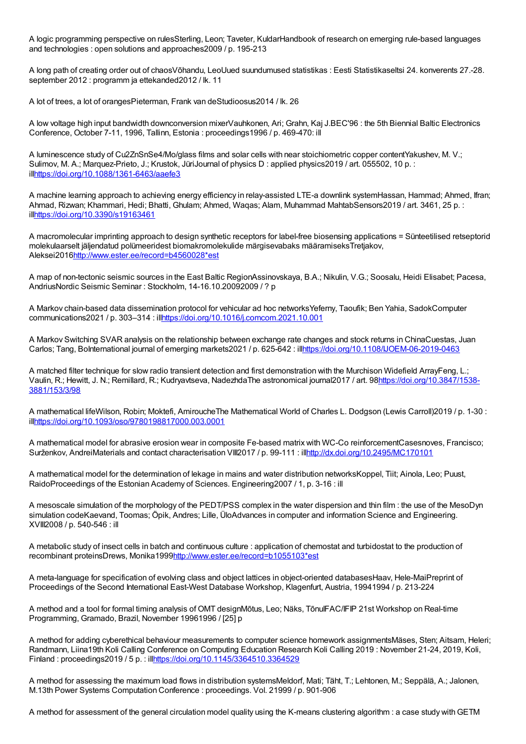A logic programming perspective on rulesSterling, Leon; Taveter, KuldarHandbook of research on emerging rule-based languages and technologies : open solutions and approaches2009 / p. 195-213

A long path of creating order out of chaosVõhandu, LeoUued suundumused statistikas : Eesti Statistikaseltsi 24. konverents 27.-28. september 2012 : programm ja ettekanded2012 / lk. 11

A lot of trees, a lot of orangesPieterman, Frank van deStudioosus2014 / lk. 26

A low voltage high input bandwidth downconversion mixerVauhkonen, Ari; Grahn, Kaj J.BEC'96 : the 5th Biennial Baltic Electronics Conference, October 7-11, 1996, Tallinn, Estonia : proceedings1996 / p. 469-470: ill

A luminescence study of Cu2ZnSnSe4/Mo/glass films and solar cells with near stoichiometric copper contentYakushev, M. V.; Sulimov, M. A.; Marquez-Prieto, J.; Krustok, JüriJournal of physics D : applied physics2019 / art. 055502, 10 p. : il[lhttps://doi.org/10.1088/1361-6463/aaefe3](https://doi.org/10.1088/1361-6463/aaefe3)

A machine learning approach to achieving energy efficiency in relay-assisted LTE-a downlink systemHassan, Hammad; Ahmed, Ifran; Ahmad, Rizwan; Khammari, Hedi; Bhatti, Ghulam; Ahmed, Waqas; Alam, Muhammad MahtabSensors2019 / art. 3461, 25 p. : il[lhttps://doi.org/10.3390/s19163461](https://doi.org/10.3390/s19163461)

A macromolecular imprinting approach to design synthetic receptors for label-free biosensing applications = Sünteetilised retseptorid molekulaarselt jäljendatud polümeeridest biomakromolekulide märgisevabaks määramiseksTretjakov, Aleksei201[6http://www.ester.ee/record=b4560028\\*est](http://www.ester.ee/record=b4560028*est)

A map of non-tectonic seismic sources in the East Baltic RegionAssinovskaya, B.A.; Nikulin, V.G.; Soosalu, Heidi Elisabet; Pacesa, AndriusNordic Seismic Seminar : Stockholm, 14-16.10.20092009 / ? p

A Markov chain-based data dissemination protocol for vehicular ad hoc networksYeferny, Taoufik; Ben Yahia, SadokComputer communications2021 / p. 303–314 : il[lhttps://doi.org/10.1016/j.comcom.2021.10.001](https://doi.org/10.1016/j.comcom.2021.10.001)

A Markov Switching SVAR analysis on the relationship between exchange rate changes and stock returns in ChinaCuestas, Juan Carlos; Tang, BoInternational journal of emerging markets2021 / p. 625-642 : il[lhttps://doi.org/10.1108/IJOEM-06-2019-0463](https://doi.org/10.1108/IJOEM-06-2019-0463)

A matched filter technique for slow radio transient detection and first demonstration with the Murchison Widefield ArrayFeng, L.; Vaulin, R.; Hewitt, J. N.; Remillard, R.; Kudryavtseva, NadezhdaThe astronomical journal2017 / art. [98https://doi.org/10.3847/1538-](https://doi.org/10.3847/1538-3881/153/3/98) 3881/153/3/98

A mathematical lifeWilson, Robin; Moktefi, AmiroucheThe Mathematical World of Charles L. Dodgson (Lewis Carroll)2019 / p. 1-30 : il[lhttps://doi.org/10.1093/oso/9780198817000.003.0001](https://doi.org/10.1093/oso/9780198817000.003.0001)

A mathematical model for abrasive erosion wear in composite Fe-based matrix with WC-Co reinforcementCasesnoves, Francisco; Surženkov, AndreiMaterials and contact characterisation VIII2017 / p. 99-111 : ill<http://dx.doi.org/10.2495/MC170101>

A mathematical model for the determination of lekage in mains and water distribution networksKoppel, Tiit; Ainola, Leo; Puust, RaidoProceedings of the Estonian Academy of Sciences. Engineering2007 / 1, p. 3-16 : ill

A mesoscale simulation of the morphology of the PEDT/PSS complex in the water dispersion and thin film : the use of the MesoDyn simulation codeKaevand, Toomas; Öpik, Andres; Lille, ÜloAdvances in computer and information Science and Engineering. XVIII2008 / p. 540-546 : ill

A metabolic study of insect cells in batch and continuous culture : application of chemostat and turbidostat to the production of recombinant proteinsDrews, Monika199[9http://www.ester.ee/record=b1055103\\*est](http://www.ester.ee/record=b1055103*est)

A meta-language for specification of evolving class and object lattices in object-oriented databasesHaav, Hele-MaiPreprint of Proceedings of the Second International East-West Database Workshop, Klagenfurt, Austria, 19941994 / p. 213-224

A method and a tool for formal timing analysis of OMT designMõtus, Leo; Näks, TõnuIFAC/IFIP 21st Workshop on Real-time Programming, Gramado, Brazil, November 19961996 / [25] p

A method for adding cyberethical behaviour measurements to computer science homework assignmentsMäses, Sten; Aitsam, Heleri; Randmann, Liina19th Koli Calling Conference on Computing Education Research Koli Calling 2019 : November 21-24, 2019, Koli, Finland : proceedings2019 / 5 p. : il[lhttps://doi.org/10.1145/3364510.3364529](https://doi.org/10.1145/3364510.3364529)

A method for assessing the maximum load flows in distribution systemsMeldorf, Mati; Täht, T.; Lehtonen, M.; Seppälä, A.; Jalonen, M.13th Power Systems Computation Conference : proceedings. Vol. 21999 / p. 901-906

A method for assessment of the general circulation model quality using the K-means clustering algorithm :a case study withGETM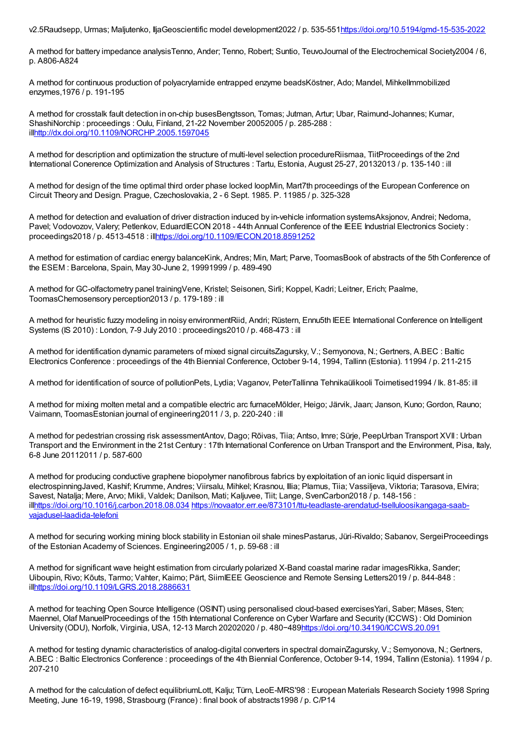v2.5Raudsepp, Urmas; Maljutenko, IljaGeoscientific model development2022 / p. 535-55[1https://doi.org/10.5194/gmd-15-535-2022](https://doi.org/10.5194/gmd-15-535-2022)

A method for battery impedance analysisTenno, Ander; Tenno, Robert; Suntio, TeuvoJournal of the Electrochemical Society2004 / 6, p. A806-A824

A method for continuous production of polyacrylamide entrapped enzyme beadsKöstner, Ado; Mandel, MihkelImmobilized enzymes,1976 / p. 191-195

A method for crosstalk fault detection in on-chip busesBengtsson, Tomas; Jutman, Artur; Ubar, Raimund-Johannes; Kumar, ShashiNorchip : proceedings : Oulu, Finland, 21-22 November 20052005 / p. 285-288 : il[lhttp://dx.doi.org/10.1109/NORCHP.2005.1597045](http://dx.doi.org/10.1109/NORCHP.2005.1597045)

A method for description and optimization the structure of multi-level selection procedureRiismaa, TiitProceedings of the 2nd International Conerence Optimization and Analysis of Structures : Tartu, Estonia, August 25-27, 20132013 / p. 135-140 : ill

A method for design of the time optimal third order phase locked loopMin, Mart7th proceedings of the European Conference on Circuit Theory and Design. Prague, Czechoslovakia, 2 - 6 Sept. 1985. P. 11985 / p. 325-328

A method for detection and evaluation of driver distraction induced by in-vehicle information systemsAksjonov, Andrei; Nedoma, Pavel; Vodovozov, Valery; Petlenkov, EduardIECON 2018 - 44th Annual Conference of the IEEE Industrial Electronics Society : proceedings2018 / p. 4513-4518 : il[lhttps://doi.org/10.1109/IECON.2018.8591252](https://doi.org/10.1109/IECON.2018.8591252)

A method for estimation of cardiac energy balanceKink, Andres; Min, Mart; Parve, ToomasBook of abstracts of the 5th Conference of the ESEM : Barcelona, Spain, May 30-June 2, 19991999 / p. 489-490

A method for GC-olfactometry panel trainingVene, Kristel; Seisonen, Sirli; Koppel, Kadri; Leitner, Erich; Paalme, ToomasChemosensory perception2013 / p. 179-189 : ill

A method for heuristic fuzzy modeling in noisy environmentRiid, Andri; Rüstern, Ennu5th IEEE International Conference on Intelligent Systems (IS 2010) : London, 7-9 July 2010 : proceedings2010 / p. 468-473 : ill

A method for identification dynamic parameters of mixed signal circuitsZagursky, V.; Semyonova, N.; Gertners, A.BEC : Baltic Electronics Conference : proceedings of the 4th Biennial Conference, October 9-14, 1994, Tallinn (Estonia). 11994 / p. 211-215

A method for identification of source of pollutionPets, Lydia; Vaganov, PeterTallinna Tehnikaülikooli Toimetised1994 / lk. 81-85: ill

A method for mixing molten metal and a compatible electric arc furnaceMõlder, Heigo; Järvik, Jaan; Janson, Kuno; Gordon, Rauno; Vaimann, ToomasEstonian journal of engineering2011 / 3, p. 220-240 : ill

A method for pedestrian crossing risk assessmentAntov, Dago; Rõivas, Tiia; Antso, Imre; Sürje, PeepUrban Transport XVII : Urban Transport and the Environment in the 21st Century : 17th International Conference on Urban Transport and the Environment, Pisa, Italy, 6-8 June 20112011 / p. 587-600

A method for producing conductive graphene biopolymer nanofibrous fabrics by exploitation of an ionic liquid dispersant in electrospinningJaved, Kashif; Krumme, Andres; Viirsalu, Mihkel; Krasnou, Illia; Plamus, Tiia; Vassiljeva, Viktoria; Tarasova, Elvira; Savest, Natalja; Mere, Arvo; Mikli, Valdek; Danilson, Mati; Kaljuvee, Tiit; Lange, SvenCarbon2018 / p. 148-156 : il[lhttps://doi.org/10.1016/j.carbon.2018.08.034](https://doi.org/10.1016/j.carbon.2018.08.034) [https://novaator.err.ee/873101/ttu-teadlaste-arendatud-tselluloosikangaga-saab](https://novaator.err.ee/873101/ttu-teadlaste-arendatud-tselluloosikangaga-saab-vajadusel-laadida-telefoni)vajadusel-laadida-telefoni

A method for securing working mining block stability in Estonian oil shale minesPastarus, Jüri-Rivaldo; Sabanov, SergeiProceedings of the Estonian Academy of Sciences. Engineering2005 / 1, p. 59-68 : ill

A method for significant wave height estimation from circularly polarized X-Band coastal marine radar imagesRikka, Sander; Uiboupin, Rivo; Kõuts, Tarmo; Vahter, Kaimo; Pärt, SiimIEEE Geoscience and Remote Sensing Letters2019 / p. 844-848 : il[lhttps://doi.org/10.1109/LGRS.2018.2886631](https://doi.org/10.1109/LGRS.2018.2886631)

A method for teaching Open Source Intelligence (OSINT) using personalised cloud-based exercisesYari, Saber; Mäses, Sten; Maennel, Olaf ManuelProceedings of the 15th International Conference on Cyber Warfare and Security (ICCWS) : Old Dominion University (ODU), Norfolk, Virginia, USA, 12-13 March 20202020 / p. 480−489<https://doi.org/10.34190/ICCWS.20.091>

A method for testing dynamic characteristics of analog-digital converters in spectral domainZagursky, V.; Semyonova, N.; Gertners, A.BEC : Baltic Electronics Conference : proceedings of the 4th Biennial Conference, October 9-14, 1994, Tallinn (Estonia). 11994 / p. 207-210

A method for the calculation of defect equilibriumLott, Kalju; Türn, LeoE-MRS'98 : European Materials Research Society 1998 Spring Meeting, June 16-19, 1998, Strasbourg (France) : final book of abstracts1998 / p. C/P14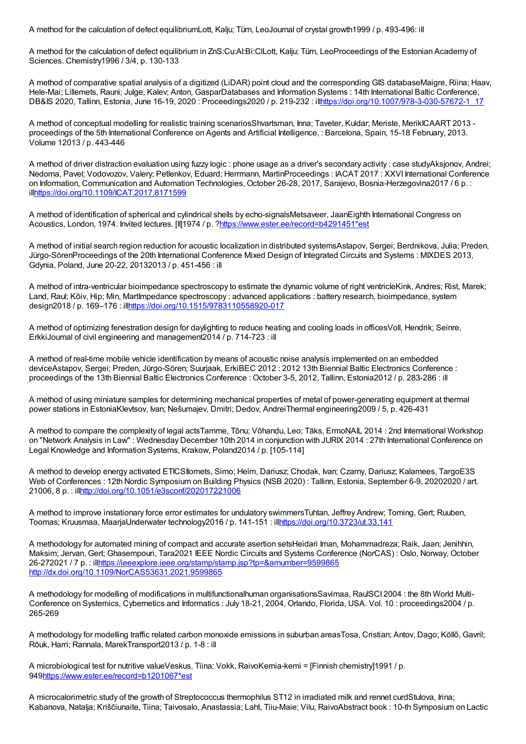A method for the calculation of defect equilibriumLott, Kalju; Türn, LeoJournal of crystal growth1999 / p. 493-496: ill

A method for the calculation of defect equilibrium in ZnS:Cu:Al:Bi:ClLott, Kalju; Türn, LeoProceedings of the Estonian Academy of Sciences. Chemistry1996 / 3/4, p. 130-133

A method of comparative spatial analysis of a digitized (LiDAR) point cloud and the corresponding GIS databaseMaigre, Riina; Haav, Hele-Mai; Lillemets, Rauni; Julge, Kalev; Anton, GasparDatabases and Information Systems : 14th International Baltic Conference, DB&IS 2020, Tallinn, Estonia, June 16-19, 2020 : Proceedings2020 / p. 219-232 : il[lhttps://doi.org/10.1007/978-3-030-57672-1\\_17](https://doi.org/10.1007/978-3-030-57672-1_17)

A method of conceptual modelling for realistic training scenariosShvartsman, Inna; Taveter, Kuldar; Meriste, MerikICAART 2013 proceedings of the 5th International Conference on Agents and Artificial Intelligence, : Barcelona, Spain, 15-18 February, 2013. Volume 12013 / p. 443-446

A method of driver distraction evaluation using fuzzy logic : phone usage as a driver's secondary activity : case studyAksjonov, Andrei; Nedoma, Pavel; Vodovozov, Valery; Petlenkov, Eduard; Herrmann, MartinProceedings : IACAT 2017 : XXVI International Conference on Information, Communication and Automation Technologies, October 26-28, 2017, Sarajevo, Bosnia-Herzegovina2017 / 6 p. : il[lhttps://doi.org/10.1109/ICAT.2017.8171599](https://doi.org/10.1109/ICAT.2017.8171599)

A method of identification of spherical and cylindrical shells by echo-signalsMetsaveer, JaanEighth International Congress on Acoustics, London, 1974. Invited lectures. [II]1974 / p. [?https://www.ester.ee/record=b4291451\\*est](https://www.ester.ee/record=b4291451*est)

A method of initial search region reduction for acoustic localization in distributed systemsAstapov, Sergei; Berdnikova, Julia; Preden, Jürgo-SörenProceedings of the 20th International Conference Mixed Design of Integrated Circuits and Systems : MIXDES 2013, Gdynia, Poland, June 20-22, 20132013 / p. 451-456 : ill

A method of intra-ventricular bioimpedance spectroscopy to estimate the dynamic volume of right ventricleKink, Andres; Rist, Marek; Land, Raul; Kõiv, Hip; Min, MartImpedance spectroscopy : advanced applications : battery research, bioimpedance, system design2018 / p. 169–176 : il[lhttps://doi.org/10.1515/9783110558920-017](https://doi.org/10.1515/9783110558920-017)

A method of optimizing fenestration design for daylighting to reduce heating and cooling loads in officesVoll, Hendrik; Seinre, ErkkiJournal of civil engineering and management2014 / p. 714-723 : ill

A method of real-time mobile vehicle identification by means of acoustic noise analysis implemented on an embedded deviceAstapov, Sergei; Preden, Jürgo-Sören; Suurjaak, ErkiBEC 2012 : 2012 13th Biennial Baltic Electronics Conference : proceedings of the 13th Biennial Baltic Electronics Conference : October 3-5, 2012, Tallinn, Estonia2012 / p. 283-286 : ill

A method of using miniature samples for determining mechanical properties of metal of power-generating equipment at thermal power stations in EstoniaKlevtsov, Ivan; Nešumajev, Dmitri; Dedov, AndreiThermal engineering2009 / 5, p. 426-431

A method to compare the complexity of legal actsTamme, Tõnu; Võhandu, Leo; Täks, ErmoNAIL 2014 : 2nd International Workshop on "Network Analysis in Law" : Wednesday December 10th 2014 in conjunction with JURIX 2014 : 27th International Conference on Legal Knowledge and Information Systems, Krakow, Poland2014 / p. [105-114]

A method to develop energy activated ETICSIlomets, Simo; Heim, Dariusz; Chodak, Ivan; Czarny, Dariusz; Kalamees, TargoE3S Web of Conferences : 12th Nordic Symposium on Building Physics (NSB 2020) : Tallinn, Estonia, September 6-9, 20202020 / art. 21006, 8 p. : il[lhttp://doi.org/10.1051/e3sconf/202017221006](http://doi.org/10.1051/e3sconf/202017221006)

A method to improve instationary force error estimates for undulatory swimmersTuhtan, Jeffrey Andrew; Toming, Gert; Ruuben, Toomas; Kruusmaa, MaarjaUnderwater technology2016 / p. 141-151 : il[lhttps://doi.org/10.3723/ut.33.141](https://doi.org/10.3723/ut.33.141)

A methodology for automated mining of compact and accurate asertion setsHeidari Iman, Mohammadreza; Raik, Jaan; Jenihhin, Maksim; Jervan, Gert; Ghasempouri, Tara2021 IEEE Nordic Circuits and Systems Conference (NorCAS) : Oslo, Norway, October 26-272021 / 7 p. : il[lhttps://ieeexplore.ieee.org/stamp/stamp.jsp?tp=&arnumber=9599865](https://ieeexplore.ieee.org/stamp/stamp.jsp?tp=&arnumber=9599865) <http://dx.doi.org/10.1109/NorCAS53631.2021.9599865>

A methodology for modelling of modifications in multifunctionalhuman organisationsSavimaa, RaulSCI 2004 : the 8th World Multi-Conference on Systemics, Cybernetics and Informatics : July 18-21, 2004, Orlando, Florida, USA. Vol. 10 : proceedings2004 / p. 265-269

A methodology for modelling traffic related carbon monoxide emissions in suburban areasTosa, Cristian; Antov, Dago; Köllő, Gavril; Rõuk, Harri; Rannala, MarekTransport2013 / p. 1-8 : ill

A microbiological test for nutritive valueVeskus, Tiina; Vokk, RaivoKemia-kemi = [Finnish chemistry]1991 / p. 94[9https://www.ester.ee/record=b1201067\\*est](https://www.ester.ee/record=b1201067*est)

A microcalorimetric study of the growth of Streptococcus thermophilus ST12 in irradiated milk and rennet curdStulova, Irina; Kabanova, Natalja; Kriščiunaite, Tiina; Taivosalo, Anastassia; Laht, Tiiu-Maie; Vilu, RaivoAbstract book : 10-th Symposium on Lactic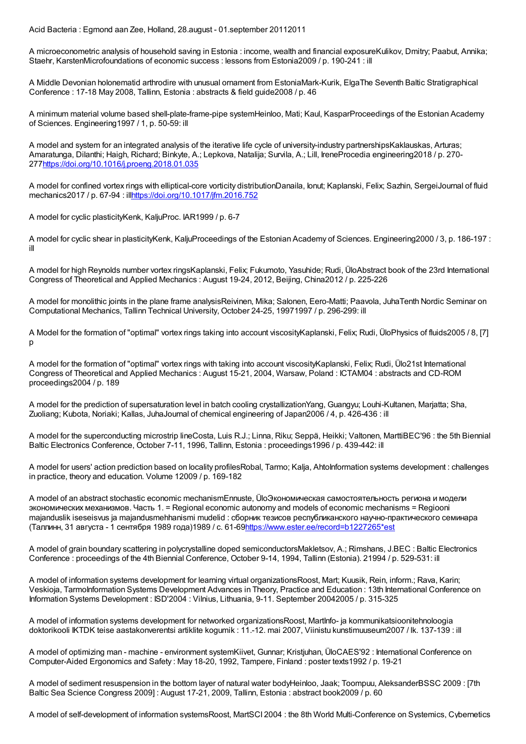Acid Bacteria : Egmond aan Zee, Holland, 28.august - 01.september 20112011

A microeconometric analysis of household saving in Estonia : income, wealth and financial exposureKulikov, Dmitry; Paabut, Annika; Staehr, KarstenMicrofoundations of economic success : lessons from Estonia2009 / p. 190-241 : ill

A Middle Devonian holonematid arthrodire with unusual ornament from EstoniaMark-Kurik, ElgaThe Seventh Baltic Stratigraphical Conference : 17-18 May 2008, Tallinn, Estonia : abstracts & field guide2008 / p. 46

A minimum material volume based shell-plate-frame-pipe systemHeinloo, Mati; Kaul, KasparProceedings of the Estonian Academy of Sciences. Engineering1997 / 1, p. 50-59: ill

A model and system for an integrated analysis of the iterative life cycle of university-industry partnershipsKaklauskas, Arturas; Amaratunga, Dilanthi; Haigh, Richard; Binkyte, A.; Lepkova, Natalija; Survila, A.; Lill, IreneProcedia engineering2018 / p. 270- 27[7https://doi.org/10.1016/j.proeng.2018.01.035](https://doi.org/10.1016/j.proeng.2018.01.035)

A model for confined vortex rings with elliptical-core vorticity distributionDanaila, Ionut; Kaplanski, Felix; Sazhin, SergeiJournal of fluid mechanics2017 / p. 67-94 : ill<https://doi.org/10.1017/jfm.2016.752>

A model for cyclic plasticityKenk, KaljuProc. IAR1999 / p. 6-7

A model for cyclic shear in plasticityKenk, KaljuProceedings of the Estonian Academy of Sciences. Engineering2000 / 3, p. 186-197 : ill

A model for high Reynolds number vortex ringsKaplanski, Felix; Fukumoto, Yasuhide; Rudi, ÜloAbstract book of the 23rd International Congress of Theoretical and Applied Mechanics : August 19-24, 2012, Beijing, China2012 / p. 225-226

A model for monolithic joints in the plane frame analysisReivinen, Mika; Salonen, Eero-Matti; Paavola, JuhaTenth Nordic Seminar on Computational Mechanics, Tallinn Technical University, October 24-25, 19971997 / p. 296-299: ill

A Model for the formation of "optimal" vortex rings taking into account viscosityKaplanski, Felix; Rudi, ÜloPhysics of fluids2005 / 8, [7] p

A model for the formation of "optimal" vortex rings with taking into account viscosityKaplanski, Felix; Rudi, Ülo21st International Congress of Theoretical and Applied Mechanics : August 15-21, 2004, Warsaw, Poland : ICTAM04 : abstracts and CD-ROM proceedings2004 / p. 189

A model for the prediction of supersaturation level in batch cooling crystallizationYang, Guangyu; Louhi-Kultanen, Marjatta; Sha, Zuoliang; Kubota, Noriaki; Kallas, JuhaJournal of chemical engineering of Japan2006 / 4, p. 426-436 : ill

A model for the superconducting microstrip lineCosta, Luis R.J.; Linna, Riku; Seppä, Heikki; Valtonen, MarttiBEC'96 : the 5th Biennial Baltic Electronics Conference, October 7-11, 1996, Tallinn, Estonia : proceedings1996 / p. 439-442: ill

A model for users' action prediction based on locality profilesRobal, Tarmo; Kalja, AhtoInformation systems development : challenges in practice, theory and education. Volume 12009 / p. 169-182

A model of an abstract stochastic economic mechanismEnnuste, ÜloЭкономическая самостоятельность региона и модели экономических механизмов. Часть 1. = Regional economic autonomy and models of economic mechanisms = Regiooni majanduslik iseseisvus ja majandusmehhanismi mudelid : сборник тезисов республиканского научно-практического семинара (Таллинн, 31 августа - 1 сентября 1989 года)1989 / с. 61-6[9https://www.ester.ee/record=b1227265\\*est](https://www.ester.ee/record=b1227265*est)

A model of grain boundary scattering in polycrystalline doped semiconductorsMakletsov, A.; Rimshans, J.BEC : Baltic Electronics Conference : proceedings of the 4th Biennial Conference, October 9-14, 1994, Tallinn (Estonia). 21994 / p. 529-531: ill

A model of information systems development for learning virtual organizationsRoost, Mart; Kuusik, Rein, inform.; Rava, Karin; Veskioja, TarmoInformation Systems Development Advances in Theory, Practice and Education : 13th International Conference on Information Systems Development : ISD'2004 : Vilnius, Lithuania, 9-11. September 20042005 / p. 315-325

A model of information systems development for networked organizationsRoost, MartInfo- ja kommunikatsioonitehnoloogia doktorikooli IKTDK teise aastakonverentsi artiklite kogumik : 11.-12. mai 2007, Viinistu kunstimuuseum2007 / lk. 137-139 : ill

A model of optimizing man - machine - environment systemKiivet, Gunnar; Kristjuhan, ÜloCAES'92 : International Conference on Computer-Aided Ergonomics and Safety : May 18-20, 1992, Tampere, Finland : poster texts1992 / p. 19-21

A model of sediment resuspension in the bottom layer of natural water bodyHeinloo, Jaak; Toompuu, AleksanderBSSC 2009 : [7th Baltic Sea Science Congress 2009] : August 17-21, 2009, Tallinn, Estonia : abstract book2009 / p. 60

A model of self-development of information systemsRoost, MartSCI 2004 : the 8th World Multi-Conference on Systemics, Cybernetics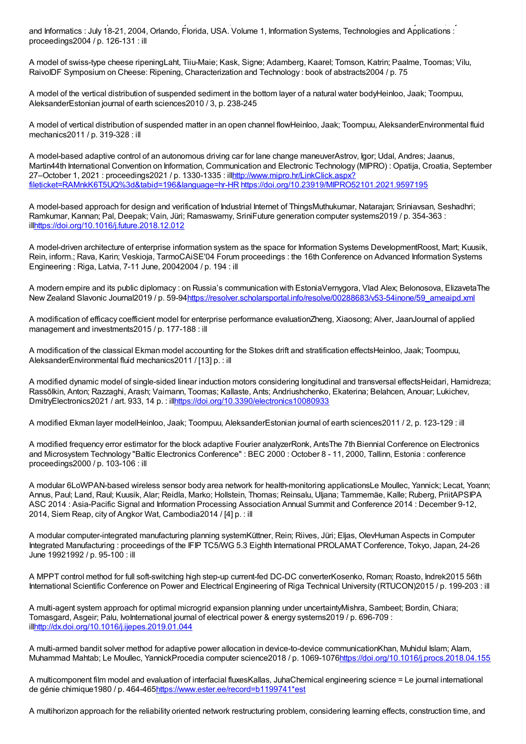A model of information systems  $\mathcal{A}$  ,  $\mathcal{A}$  and  $\mathcal{A}$  and  $\mathcal{A}$  and  $\mathcal{A}$  and  $\mathcal{A}$  and  $\mathcal{A}$  and  $\mathcal{A}$  and  $\mathcal{A}$  and  $\mathcal{A}$  and  $\mathcal{A}$  and  $\mathcal{A}$  and  $\mathcal{A}$  and  $\mathcal{A}$  and  $\mathcal{A}$  a and Informatics : July 18-21, 2004, Orlando, Florida, USA. Volume 1, Information Systems, Technologies and Applications : proceedings2004 / p. 126-131 : ill

A model of swiss-type cheese ripeningLaht, Tiiu-Maie; Kask, Signe; Adamberg, Kaarel; Tomson, Katrin; Paalme, Toomas; Vilu, RaivoIDF Symposium on Cheese: Ripening, Characterization and Technology : book of abstracts2004 / p. 75

A model of the vertical distribution of suspended sediment in the bottom layer of a natural water bodyHeinloo, Jaak; Toompuu, AleksanderEstonian journal of earth sciences2010 / 3, p. 238-245

A model of vertical distribution of suspended matter in an open channel flowHeinloo, Jaak; Toompuu, AleksanderEnvironmental fluid mechanics2011 / p. 319-328 : ill

A model-based adaptive control of an autonomous driving car for lane change maneuverAstrov, Igor; Udal, Andres; Jaanus, Martin44th International Convention on Information, Communication and Electronic Technology (MIPRO) : Opatija, Croatia, September 27–October 1, 2021 : proceedings2021 / p. 1330-1335 : illhttp://www.mipro.hr/LinkClick.aspx? [fileticket=RAMnkK6T5UQ%3d&tabid=196&language=hr-HR](http://www.mipro.hr/LinkClick.aspx?fileticket=RAMnkK6T5UQ%3d&tabid=196&language=hr-HR) <https://doi.org/10.23919/MIPRO52101.2021.9597195>

A model-based approach for design and verification of Industrial Internet of ThingsMuthukumar, Natarajan; Sriniavsan, Seshadhri; Ramkumar, Kannan; Pal, Deepak; Vain, Jüri; Ramaswamy, SriniFuture generation computer systems2019 / p. 354-363 : il[lhttps://doi.org/10.1016/j.future.2018.12.012](https://doi.org/10.1016/j.future.2018.12.012)

A model-driven architecture of enterprise information system as the space for Information Systems DevelopmentRoost, Mart; Kuusik, Rein, inform.; Rava, Karin; Veskioja, TarmoCAiSE'04 Forum proceedings : the 16th Conference on Advanced Information Systems Engineering : Riga, Latvia, 7-11 June, 20042004 / p. 194 : ill

A modern empire and its public diplomacy : on Russia's communication with EstoniaVernygora, Vlad Alex; Belonosova, ElizavetaThe New Zealand Slavonic Journal2019 / p. 59-94[https://resolver.scholarsportal.info/resolve/00288683/v53-54inone/59\\_ameaipd.xml](https://resolver.scholarsportal.info/resolve/00288683/v53-54inone/59_ameaipd.xml)

A modification of efficacy coefficient model for enterprise performance evaluationZheng, Xiaosong; Alver, JaanJournal of applied management and investments2015 / p. 177-188 : ill

A modification of the classical Ekman model accounting for the Stokes drift and stratification effectsHeinloo, Jaak; Toompuu, AleksanderEnvironmental fluid mechanics2011 / [13] p. : ill

A modified dynamic model of single-sided linear induction motors considering longitudinal and transversal effectsHeidari, Hamidreza; Rassõlkin, Anton; Razzaghi, Arash; Vaimann, Toomas; Kallaste, Ants; Andriushchenko, Ekaterina; Belahcen, Anouar; Lukichev, DmitryElectronics2021 / art. 933, 14 p. : il[lhttps://doi.org/10.3390/electronics10080933](https://doi.org/10.3390/electronics10080933)

A modified Ekman layer modelHeinloo, Jaak; Toompuu, AleksanderEstonian journal of earth sciences2011 / 2, p. 123-129 : ill

A modified frequency error estimator for the block adaptive Fourier analyzerRonk, AntsThe 7th Biennial Conference on Electronics and Microsystem Technology "Baltic Electronics Conference" : BEC 2000 : October 8 - 11, 2000, Tallinn, Estonia : conference proceedings2000 / p. 103-106 : ill

A modular 6LoWPAN-based wireless sensor body area network for health-monitoring applicationsLe Moullec, Yannick; Lecat, Yoann; Annus, Paul; Land, Raul; Kuusik, Alar; Reidla, Marko; Hollstein, Thomas; Reinsalu, Uljana; Tammemäe, Kalle; Ruberg, PriitAPSIPA ASC 2014 : Asia-Pacific Signal and Information Processing Association Annual Summit and Conference 2014 : December 9-12, 2014, Siem Reap, city of Angkor Wat, Cambodia2014 / [4] p. : ill

A modular computer-integrated manufacturing planning systemKüttner, Rein; Riives, Jüri; Eljas, OlevHuman Aspects in Computer Integrated Manufacturing : proceedings of the IFIP TC5/WG 5.3 Eighth International PROLAMAT Conference, Tokyo, Japan, 24-26 June 19921992 / p. 95-100 : ill

A MPPT control method for full soft-switching high step-up current-fed DC-DC converterKosenko, Roman; Roasto, Indrek2015 56th International Scientific Conference on Power and Electrical Engineering of Riga Technical University (RTUCON)2015 / p. 199-203 : ill

A multi-agent system approach for optimal microgrid expansion planning under uncertaintyMishra, Sambeet; Bordin, Chiara; Tomasgard, Asgeir; Palu, IvoInternational journal of electrical power & energy systems2019 / p. 696-709 : il[lhttp://dx.doi.org/10.1016/j.ijepes.2019.01.044](http://dx.doi.org/10.1016/j.ijepes.2019.01.044)

A multi-armed bandit solver method for adaptive power allocation in device-to-device communicationKhan, Muhidul Islam; Alam, Muhammad Mahtab; Le Moullec, YannickProcedia computer science2018 / p. 1069-107[6https://doi.org/10.1016/j.procs.2018.04.155](https://doi.org/10.1016/j.procs.2018.04.155)

A multicomponent film model and evaluation of interfacial fluxesKallas, JuhaChemical engineering science = Le journal international de génie chimique1980 / p. 464-46[5https://www.ester.ee/record=b1199741\\*est](https://www.ester.ee/record=b1199741*est)

A multihorizon approach for the reliability oriented network restructuring problem, considering learning effects, construction time, and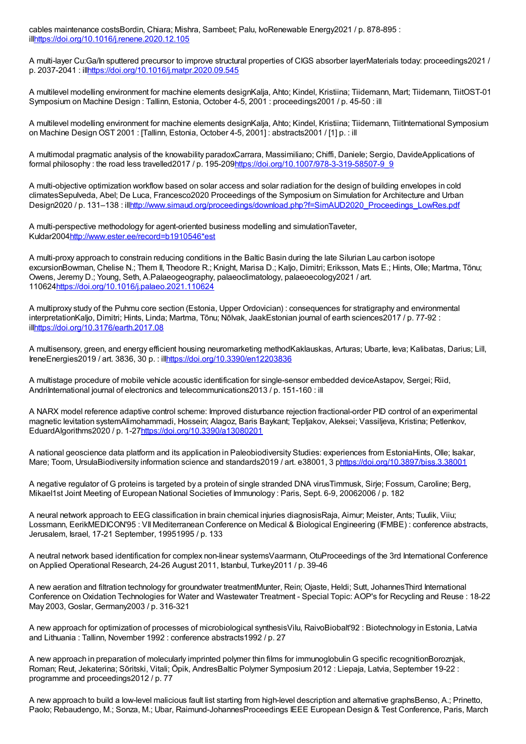cables maintenance costsBordin, Chiara; Mishra, Sambeet; Palu, IvoRenewable Energy2021 / p. 878-895 : il[lhttps://doi.org/10.1016/j.renene.2020.12.105](https://doi.org/10.1016/j.renene.2020.12.105)

A multi-layer Cu:Ga/In sputtered precursor to improve structural properties of CIGS absorber layerMaterials today: proceedings2021 / p. 2037-2041 : il[lhttps://doi.org/10.1016/j.matpr.2020.09.545](https://doi.org/10.1016/j.matpr.2020.09.545)

A multilevel modelling environment for machine elements designKalja, Ahto; Kindel, Kristiina; Tiidemann, Mart; Tiidemann, TiitOST-01 Symposium on Machine Design : Tallinn, Estonia, October 4-5, 2001 : proceedings2001 / p. 45-50 : ill

A multilevel modelling environment for machine elements designKalja, Ahto; Kindel, Kristiina; Tiidemann, TiitInternational Symposium on Machine DesignOST 2001 : [Tallinn, Estonia, October 4-5, 2001] : abstracts2001 / [1] p. : ill

A multimodal pragmatic analysis of the knowability paradoxCarrara, Massimiliano; Chiffi, Daniele; Sergio, DavideApplications of formal philosophy : the road less travelled2017 / p. 195-20[9https://doi.org/10.1007/978-3-319-58507-9\\_9](https://doi.org/10.1007/978-3-319-58507-9_9)

A multi-objective optimization workflow based on solar access and solar radiation for the design of building envelopes in cold climatesSepulveda, Abel; De Luca, Francesco2020 Proceedings of the Symposium on Simulation for Architecture and Urban Design2020 / p. 131-138 : il[lhttp://www.simaud.org/proceedings/download.php?f=SimAUD2020\\_Proceedings\\_LowRes.pdf](http://www.simaud.org/proceedings/download.php?f=SimAUD2020_Proceedings_LowRes.pdf)

A multi-perspective methodology for agent-oriented business modelling and simulationTaveter, Kuldar200[4http://www.ester.ee/record=b1910546\\*est](http://www.ester.ee/record=b1910546*est)

A multi-proxy approach to constrain reducing conditions in the Baltic Basin during the late Silurian Lau carbon isotope excursionBowman, Chelise N.; Them II, Theodore R.; Knight, Marisa D.; Kaljo, Dimitri; Eriksson, Mats E.; Hints, Olle; Martma, Tõnu; Owens, Jeremy D.; Young, Seth, A.Palaeogeography, palaeoclimatology, palaeoecology2021 / art. 110624<https://doi.org/10.1016/j.palaeo.2021.110624>

A multiproxy study of the Puhmu core section (Estonia, Upper Ordovician) : consequences for stratigraphy and environmental interpretationKaljo, Dimitri; Hints, Linda; Martma, Tõnu; Nõlvak, JaakEstonian journal of earth sciences2017 / p. 77-92 : il[lhttps://doi.org/10.3176/earth.2017.08](https://doi.org/10.3176/earth.2017.08)

A multisensory, green, and energy efficient housing neuromarketing methodKaklauskas, Arturas; Ubarte, Ieva; Kalibatas, Darius; Lill, IreneEnergies2019 / art. 3836, 30 p. : il[lhttps://doi.org/10.3390/en12203836](https://doi.org/10.3390/en12203836)

A multistage procedure of mobile vehicle acoustic identification for single-sensor embedded deviceAstapov, Sergei; Riid, AndriInternational journal of electronics and telecommunications2013 / p. 151-160 : ill

A NARX model reference adaptive control scheme: Improved disturbance rejection fractional-order PID control of an experimental magnetic levitation systemAlimohammadi, Hossein; Alagoz, Baris Baykant; Tepljakov, Aleksei; Vassiljeva, Kristina; Petlenkov, EduardAlgorithms2020 / p. 1-2[7https://doi.org/10.3390/a13080201](https://doi.org/10.3390/a13080201)

A national geoscience data platform and its application in Paleobiodiversity Studies: experiences from EstoniaHints, Olle; Isakar, Mare; Toom, UrsulaBiodiversity information science and standards2019 / art. e38001, 3 p<https://doi.org/10.3897/biss.3.38001>

A negative regulator of G proteins is targeted by a protein of single stranded DNA virusTimmusk, Sirje; Fossum, Caroline; Berg, Mikael1st Joint Meeting of European National Societies of Immunology : Paris, Sept. 6-9, 20062006 / p. 182

A neural network approach to EEG classification in brain chemical injuries diagnosisRaja, Aimur; Meister, Ants; Tuulik, Viiu; Lossmann, EerikMEDICON'95 : VIIMediterranean Conference on Medical & Biological Engineering (IFMBE) : conference abstracts, Jerusalem, Israel, 17-21 September, 19951995 / p. 133

A neutral network based identification for complex non-linear systemsVaarmann, OtuProceedings of the 3rd International Conference on Applied Operational Research, 24-26 August 2011, Istanbul, Turkey2011 / p. 39-46

A new aeration and filtration technology for groundwater treatmentMunter, Rein; Ojaste, Heldi; Sutt, JohannesThird International Conference on Oxidation Technologies for Water and Wastewater Treatment - Special Topic: AOP's for Recycling and Reuse : 18-22 May 2003, Goslar, Germany2003 / p. 316-321

A new approach for optimization of processes of microbiological synthesisVilu, RaivoBiobalt'92 : Biotechnology in Estonia, Latvia and Lithuania : Tallinn, November 1992 : conference abstracts1992 / p. 27

A new approach in preparation of molecularly imprinted polymer thin films for immunoglobulinG specific recognitionBoroznjak, Roman; Reut, Jekaterina; Sõritski, Vitali; Öpik, AndresBaltic Polymer Symposium 2012 : Liepaja, Latvia, September 19-22 : programme and proceedings2012 / p. 77

A new approach to build a low-level malicious fault list starting from high-level description and alternative graphsBenso, A.; Prinetto, Paolo; Rebaudengo, M.; Sonza, M.; Ubar, Raimund-JohannesProceedings IEEE European Design & Test Conference, Paris, March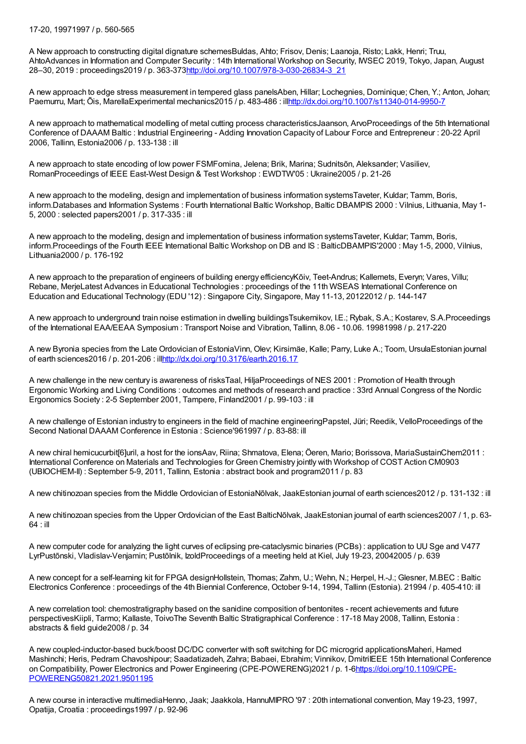## 17-20, 19971997 / p. 560-565

A New approach to constructing digital dignature schemesBuldas, Ahto; Frisov, Denis; Laanoja, Risto; Lakk, Henri; Truu, AhtoAdvances in Information and Computer Security : 14th International Workshop on Security, IWSEC 2019, Tokyo, Japan, August 28–30, 2019 : proceedings2019 / p. 363-37[3http://doi.org/10.1007/978-3-030-26834-3\\_21](http://doi.org/10.1007/978-3-030-26834-3_21)

A new approach to edge stress measurement in tempered glass panelsAben, Hillar; Lochegnies, Dominique; Chen, Y.; Anton, Johan; Paemurru, Mart; Õis, MarellaExperimental mechanics2015 / p. 483-486 : il[lhttp://dx.doi.org/10.1007/s11340-014-9950-7](http://dx.doi.org/10.1007/s11340-014-9950-7)

A new approach to mathematical modelling of metal cutting process characteristicsJaanson, ArvoProceedings of the 5th International Conference of DAAAM Baltic : Industrial Engineering - Adding Innovation Capacity of Labour Force and Entrepreneur : 20-22 April 2006, Tallinn, Estonia2006 / p. 133-138 : ill

A new approach to state encoding of low power FSMFomina, Jelena; Brik, Marina; Sudnitsõn, Aleksander; Vasiliev, RomanProceedings of IEEE East-West Design & Test Workshop : EWDTW'05 : Ukraine2005 / p. 21-26

A new approach to the modeling, design and implementation of business information systemsTaveter, Kuldar; Tamm, Boris, inform.Databases and Information Systems : Fourth International Baltic Workshop, Baltic DBAMPIS 2000 : Vilnius, Lithuania, May 1- 5, 2000 : selected papers2001 / p. 317-335 : ill

A new approach to the modeling, design and implementation of business information systemsTaveter, Kuldar; Tamm, Boris, inform.Proceedings of the Fourth IEEE International Baltic Workshop on DB and IS : BalticDBAMPIS'2000 : May 1-5, 2000, Vilnius, Lithuania2000 / p. 176-192

A new approach to the preparation of engineers of building energy efficiencyKõiv, Teet-Andrus; Kallemets, Everyn; Vares, Villu; Rebane, MerjeLatest Advances in Educational Technologies : proceedings of the 11th WSEAS International Conference on Education and Educational Technology (EDU '12) : Singapore City, Singapore, May 11-13, 20122012 / p. 144-147

A new approach to underground train noise estimation in dwelling buildingsTsukernikov, I.E.; Rybak, S.A.; Kostarev, S.A.Proceedings of the International EAA/EEAA Symposium : Transport Noise and Vibration, Tallinn, 8.06 - 10.06. 19981998 / p. 217-220

A new Byronia species from the Late Ordovician of EstoniaVinn, Olev; Kirsimäe, Kalle; Parry, Luke A.; Toom, UrsulaEstonian journal of earth sciences2016 / p. 201-206 : il[lhttp://dx.doi.org/10.3176/earth.2016.17](http://dx.doi.org/10.3176/earth.2016.17)

A new challenge in the new century is awareness of risksTaal, HiljaProceedings of NES 2001 : Promotion of Health through Ergonomic Working and Living Conditions : outcomes and methods of research and practice : 33rd Annual Congress of the Nordic Ergonomics Society : 2-5 September 2001, Tampere, Finland2001 / p. 99-103 : ill

A new challenge of Estonian industry to engineers in the field of machine engineeringPapstel, Jüri; Reedik, VelloProceedings of the Second National DAAAM Conference in Estonia : Science'961997 / p. 83-88: ill

A new chiral hemicucurbit[6]uril, a host for the ionsAav, Riina; Shmatova, Elena; Öeren, Mario; Borissova, MariaSustainChem2011 : International Conference on Materials and Technologies for Green Chemistry jointly with Workshop of COST Action CM0903 (UBIOCHEM-II) : September 5-9, 2011, Tallinn, Estonia : abstract book and program2011 / p. 83

A new chitinozoan species from the Middle Ordovician of EstoniaNõlvak, JaakEstonian journal of earth sciences2012 / p. 131-132 : ill

A new chitinozoan species from the Upper Ordovician of the East BalticNõlvak, JaakEstonian journal of earth sciences2007 / 1, p. 63-  $64 \cdot$  ill

A new computer code for analyzing the light curves of eclipsing pre-cataclysmic binaries (PCBs) : application to UU Sge and V477 LyrPustõnski, Vladislav-Venjamin; Pustõlnik, IzoldProceedings of a meeting held at Kiel, July 19-23, 20042005 / p. 639

A new concept for a self-learning kit for FPGA designHollstein, Thomas; Zahm, U.; Wehn, N.; Herpel, H.-J.; Glesner, M.BEC : Baltic Electronics Conference : proceedings of the 4th Biennial Conference, October 9-14, 1994, Tallinn (Estonia). 21994 / p. 405-410: ill

A new correlation tool: chemostratigraphy based on the sanidine composition of bentonites - recent achievements and future perspectivesKiipli, Tarmo; Kallaste, ToivoThe Seventh Baltic Stratigraphical Conference : 17-18 May 2008, Tallinn, Estonia : abstracts & field guide2008 / p. 34

A new coupled-inductor-based buck/boost DC/DC converter with soft switching for DC microgrid applicationsMaheri, Hamed Mashinchi; Heris, Pedram Chavoshipour; Saadatizadeh, Zahra; Babaei, Ebrahim; Vinnikov, DmitriIEEE 15th International Conference on Compatibility, Power Electronics and Power Engineering (CPE-POWERENG)2021 / p. [1-6https://doi.org/10.1109/CPE-](https://doi.org/10.1109/CPE-POWERENG50821.2021.9501195)POWERENG50821.2021.9501195

A new course in interactive multimediaHenno, Jaak; Jaakkola, HannuMIPRO '97 : 20th international convention, May 19-23, 1997, Opatija, Croatia : proceedings1997 / p. 92-96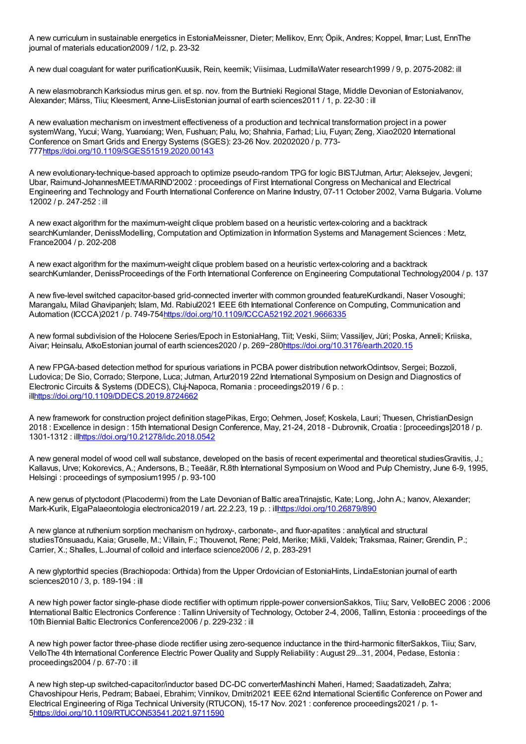A new curriculum in sustainable energetics in EstoniaMeissner, Dieter; Mellikov, Enn; Öpik, Andres; Koppel, Ilmar; Lust, EnnThe journal of materials education2009 / 1/2, p. 23-32

A new dual coagulant for water purificationKuusik, Rein, keemik; Viisimaa, LudmillaWater research1999 / 9, p. 2075-2082: ill

A new elasmobranch Karksiodus mirus gen. et sp. nov. from the Burtnieki Regional Stage, Middle Devonian of EstoniaIvanov, Alexander; Märss, Tiiu; Kleesment, Anne-LiisEstonian journal of earth sciences2011 / 1, p. 22-30 : ill

A new evaluation mechanism on investment effectiveness of a production and technical transformation project in a power systemWang, Yucui; Wang, Yuanxiang; Wen, Fushuan; Palu, Ivo; Shahnia, Farhad; Liu, Fuyan; Zeng, Xiao2020 International Conference on Smart Grids and Energy Systems (SGES): 23-26 Nov. 20202020 / p. 773- 77[7https://doi.org/10.1109/SGES51519.2020.00143](https://doi.org/10.1109/SGES51519.2020.00143)

A new evolutionary-technique-based approach to optimize pseudo-random TPG for logic BISTJutman, Artur; Aleksejev, Jevgeni; Ubar, Raimund-JohannesMEET/MARIND'2002 : proceedings of First International Congress on Mechanical and Electrical Engineering and Technology and Fourth International Conference on Marine Industry, 07-11 October 2002, Varna Bulgaria. Volume 12002 / p. 247-252 : ill

A new exact algorithm for the maximum-weight clique problem based on a heuristic vertex-coloring and a backtrack searchKumlander, DenissModelling, Computation and Optimization in Information Systems and Management Sciences : Metz, France2004 / p. 202-208

A new exact algorithm for the maximum-weight clique problem based on a heuristic vertex-coloring and a backtrack searchKumlander, DenissProceedings of the Forth International Conference on Engineering Computational Technology2004 / p. 137

A new five-level switched capacitor-based grid-connected inverter with common grounded featureKurdkandi, Naser Vosoughi; Marangalu, Milad Ghavipanjeh; Islam, Md. Rabiul2021 IEEE 6th International Conference on Computing, Communication and Automation (ICCCA)2021 / p. 749-75[4https://doi.org/10.1109/ICCCA52192.2021.9666335](https://doi.org/10.1109/ICCCA52192.2021.9666335)

A new formal subdivision of the Holocene Series/Epoch in EstoniaHang, Tiit; Veski, Siim; Vassiljev, Jüri; Poska, Anneli; Kriiska, Aivar; Heinsalu, AtkoEstonian journal of earth sciences2020 / p. 269−28[0https://doi.org/10.3176/earth.2020.15](https://doi.org/10.3176/earth.2020.15)

A new FPGA-based detection method for spurious variations in PCBA power distribution networkOdintsov, Sergei; Bozzoli, Ludovica; De Sio, Corrado; Sterpone, Luca; Jutman, Artur2019 22nd International Symposium on Design and Diagnostics of Electronic Circuits & Systems (DDECS), Cluj-Napoca, Romania : proceedings2019 / 6 p. : il[lhttps://doi.org/10.1109/DDECS.2019.8724662](https://doi.org/10.1109/DDECS.2019.8724662)

A new framework for construction project definition stagePikas, Ergo; Oehmen, Josef; Koskela, Lauri; Thuesen, ChristianDesign 2018 : Excellence in design : 15th International Design Conference, May, 21-24, 2018 - Dubrovnik, Croatia : [proceedings]2018 / p. 1301-1312 : il[lhttps://doi.org/10.21278/idc.2018.0542](https://doi.org/10.21278/idc.2018.0542)

A new general model of wood cell wall substance, developed on the basis of recent experimental and theoretical studiesGravitis, J.; Kallavus, Urve; Kokorevics, A.; Andersons, B.; Teeäär, R.8th International Symposium on Wood and Pulp Chemistry, June 6-9, 1995, Helsingi : proceedings of symposium1995 / p. 93-100

A new genus of ptyctodont (Placodermi) from the Late Devonian of Baltic areaTrinajstic, Kate; Long, John A.; Ivanov, Alexander; Mark-Kurik, ElgaPalaeontologia electronica2019 / art. 22.2.23, 19 p. : il[lhttps://doi.org/10.26879/890](https://doi.org/10.26879/890)

A new glance at ruthenium sorption mechanism on hydroxy-, carbonate-, and fluor-apatites : analytical and structural studiesTõnsuaadu, Kaia; Gruselle, M.; Villain, F.; Thouvenot, Rene; Peld, Merike; Mikli, Valdek; Traksmaa, Rainer; Grendin, P.; Carrier, X.; Shalles, L.Journal of colloid and interface science2006 / 2, p. 283-291

A new glyptorthid species (Brachiopoda: Orthida) from the Upper Ordovician of EstoniaHints, LindaEstonian journal of earth sciences2010 / 3, p. 189-194 : ill

A new high power factor single-phase diode rectifier with optimum ripple-power conversionSakkos, Tiiu; Sarv, VelloBEC 2006 : 2006 International Baltic Electronics Conference : Tallinn University of Technology, October 2-4, 2006, Tallinn, Estonia : proceedings of the 10th Biennial Baltic Electronics Conference2006 / p. 229-232 : ill

A new high power factor three-phase diode rectifier using zero-sequence inductance in the third-harmonic filterSakkos, Tiiu; Sarv, VelloThe 4th International Conference Electric Power Quality and Supply Reliability : August 29...31, 2004, Pedase, Estonia : proceedings2004 / p. 67-70 : ill

A new high step-up switched-capacitor/inductor based DC-DC converterMashinchi Maheri, Hamed; Saadatizadeh, Zahra; Chavoshipour Heris, Pedram; Babaei, Ebrahim; Vinnikov, Dmitri2021 IEEE 62nd International Scientific Conference on Power and Electrical Engineering of Riga Technical University (RTUCON), 15-17 Nov. 2021 : conference proceedings2021 / p. 1- 5<https://doi.org/10.1109/RTUCON53541.2021.9711590>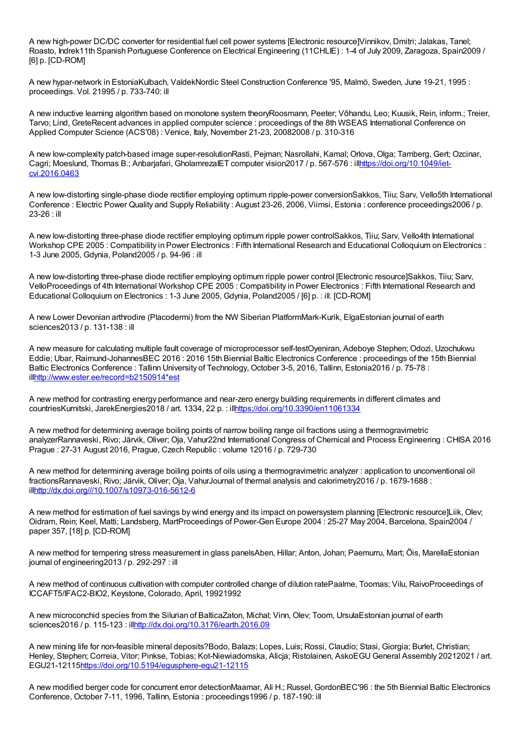A new high-power DC/DC converter for residential fuel cell power systems [Electronic resource]Vinnikov, Dmitri; Jalakas, Tanel; Roasto, Indrek11th Spanish Portuguese Conference on Electrical Engineering (11CHLIE) : 1-4 of July 2009, Zaragoza, Spain2009 / [6] p. [CD-ROM]

A new hypar-network in EstoniaKulbach, ValdekNordic Steel Construction Conference '95, Malmö, Sweden, June 19-21, 1995 : proceedings. Vol. 21995 / p. 733-740: ill

A new inductive learning algorithm based on monotone system theoryRoosmann, Peeter; Võhandu, Leo; Kuusik, Rein, inform.; Treier, Tarvo; Lind, GreteRecent advances in applied computer science : proceedings of the 8th WSEAS International Conference on Applied Computer Science (ACS'08) : Venice, Italy, November 21-23, 20082008 / p. 310-316

A new low-complexity patch-based image super-resolutionRasti, Pejman; Nasrollahi, Kamal; Orlova, Olga; Tamberg, Gert; Ozcinar, Cagri: Moeslund, Thomas B.; Anbariafari, GholamrezaIET computer vision2017 / p. 567-576 : [illhttps://doi.org/10.1049/iet](https://doi.org/10.1049/iet-cvi.2016.0463)cvi.2016.0463

A new low-distorting single-phase diode rectifier employing optimum ripple-power conversionSakkos, Tiiu; Sarv, Vello5th International Conference : Electric Power Quality and Supply Reliability : August 23-26, 2006, Viimsi, Estonia : conference proceedings2006 / p. 23-26 : ill

A new low-distorting three-phase diode rectifier employing optimum ripple power controlSakkos, Tiiu; Sarv, Vello4th International Workshop CPE 2005 : Compatibility in Power Electronics : Fifth International Research and Educational Colloquium on Electronics : 1-3 June 2005, Gdynia, Poland2005 / p. 94-96 : ill

A new low-distorting three-phase diode rectifier employing optimum ripple power control [Electronic resource]Sakkos, Tiiu; Sarv, VelloProceedings of 4th International Workshop CPE 2005 : Compatibility in Power Electronics : Fifth International Research and Educational Colloquium on Electronics : 1-3 June 2005, Gdynia, Poland2005 / [6] p. : ill. [CD-ROM]

A new Lower Devonian arthrodire (Placodermi) from the NW Siberian PlatformMark-Kurik, ElgaEstonian journal of earth sciences2013 / p. 131-138 : ill

A new measure for calculating multiple fault coverage of microprocessor self-testOyeniran, Adeboye Stephen; Odozi, Uzochukwu Eddie; Ubar, Raimund-JohannesBEC 2016 : 2016 15th Biennial Baltic Electronics Conference : proceedings of the 15th Biennial Baltic Electronics Conference : Tallinn University of Technology, October 3-5, 2016, Tallinn, Estonia2016 / p. 75-78 : il[lhttp://www.ester.ee/record=b2150914\\*est](http://www.ester.ee/record=b2150914*est)

A new method for contrasting energy performance and near-zero energy building requirements in different climates and countriesKurnitski, JarekEnergies2018 / art. 1334, 22 p. : il[lhttps://doi.org/10.3390/en11061334](https://doi.org/10.3390/en11061334)

A new method for determining average boiling points of narrow boiling range oil fractions using a thermogravimetric analyzerRannaveski, Rivo; Järvik, Oliver; Oja, Vahur22nd International Congress of Chemical and Process Engineering : CHISA 2016 Prague : 27-31 August 2016, Prague, Czech Republic : volume 12016 / p. 729-730

A new method for determining average boiling points of oils using a thermogravimetric analyzer : application to unconventional oil fractionsRannaveski, Rivo; Järvik, Oliver; Oja, VahurJournal of thermal analysis and calorimetry2016 / p. 1679-1688 : il[lhttp://dx.doi.org///10.1007/s10973-016-5612-6](http://dx.doi.org///10.1007/s10973-016-5612-6)

A new method for estimation of fuel savings by wind energy and its impact on powersystem planning [Electronic resource]Liik, Olev; Oidram, Rein; Keel, Matti; Landsberg, MartProceedings of Power-Gen Europe 2004 : 25-27 May 2004, Barcelona, Spain2004 / paper 357, [18] p. [CD-ROM]

A new method for tempering stress measurement in glass panelsAben, Hillar; Anton, Johan; Paemurru, Mart; Õis, MarellaEstonian journal of engineering2013 / p. 292-297 : ill

A new method of continuous cultivation with computer controlled change of dilution ratePaalme, Toomas; Vilu, RaivoProceedings of ICCAFT5/IFAC2-BIO2, Keystone, Colorado, April, 19921992

A new microconchid species from the Silurian of BalticaZaton, Michal; Vinn, Olev; Toom, UrsulaEstonian journal of earth sciences2016 / p. 115-123 : il[lhttp://dx.doi.org/10.3176/earth.2016.09](http://dx.doi.org/10.3176/earth.2016.09)

A new mining life for non-feasible mineral deposits?Bodo, Balazs; Lopes, Luis; Rossi, Claudio; Stasi, Giorgia; Burlet, Christian; Henley, Stephen; Correia, Vitor; Pinkse, Tobias; Kot-Niewiadomska, Alicja; Ristolainen, AskoEGU General Assembly 20212021 / art. EGU21-12115<https://doi.org/10.5194/egusphere-egu21-12115>

A new modified berger code for concurrent error detectionMaamar, Ali H.; Russel, GordonBEC'96 : the 5th Biennial Baltic Electronics Conference, October 7-11, 1996, Tallinn, Estonia : proceedings1996 / p. 187-190: ill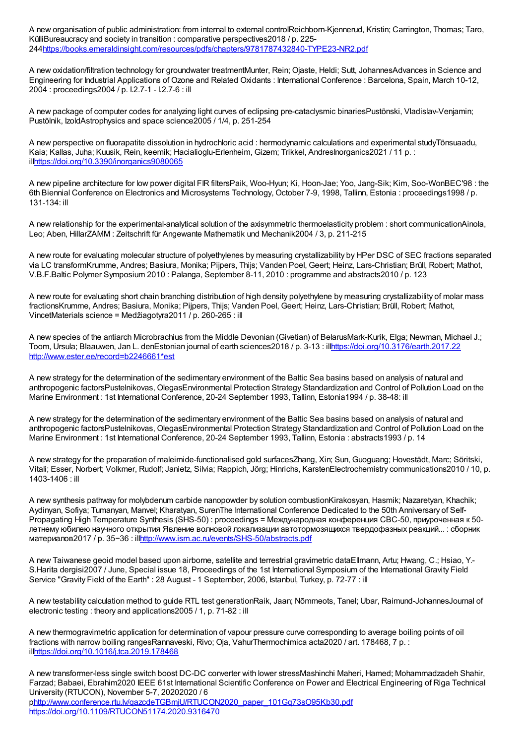A new organisation of public administration: from internal to external controlReichborn-Kjennerud, Kristin; Carrington, Thomas; Taro, KülliBureaucracy and society in transition : comparative perspectives2018 / p. 225- 24[4https://books.emeraldinsight.com/resources/pdfs/chapters/9781787432840-TYPE23-NR2.pdf](https://books.emeraldinsight.com/resources/pdfs/chapters/9781787432840-TYPE23-NR2.pdf)

A new oxidation/filtration technology for groundwater treatmentMunter, Rein; Ojaste, Heldi; Sutt, JohannesAdvances in Science and Engineering for Industrial Applications of Ozone and Related Oxidants : International Conference : Barcelona, Spain, March 10-12, 2004 : proceedings2004 / p. I.2.7-1 - I.2.7-6 : ill

A new package of computer codes for analyzing light curves of eclipsing pre-cataclysmic binariesPustõnski, Vladislav-Venjamin; Pustõlnik, IzoldAstrophysics and space science2005 / 1/4, p. 251-254

A new perspective on fluorapatite dissolution in hydrochloric acid : hermodynamic calculations and experimental studyTõnsuaadu, Kaia; Kallas, Juha; Kuusik, Rein, keemik; Hacialioglu-Erlenheim, Gizem; Trikkel, AndresInorganics2021 / 11 p. : il[lhttps://doi.org/10.3390/inorganics9080065](https://doi.org/10.3390/inorganics9080065)

A new pipeline architecture for low power digital FIR filtersPaik, Woo-Hyun; Ki, Hoon-Jae; Yoo, Jang-Sik; Kim, Soo-WonBEC'98 : the 6th Biennial Conference on Electronics and Microsystems Technology, October 7-9, 1998, Tallinn, Estonia : proceedings1998 / p. 131-134: ill

A new relationship for the experimental-analytical solution of the axisymmetric thermoelasticity problem : short communicationAinola, Leo: Aben, HillarZAMM : Zeitschrift für Angewante Mathematik und Mechanik2004 / 3, p. 211-215

A new route for evaluating molecular structure of polyethylenes by measuring crystallizability by HPer DSC of SEC fractions separated via LC transformKrumme, Andres; Basiura, Monika; Pijpers, Thijs; Vanden Poel, Geert; Heinz, Lars-Christian; Brüll, Robert; Mathot, V.B.F.Baltic Polymer Symposium 2010 : Palanga, September 8-11, 2010 : programme and abstracts2010 / p. 123

A new route for evaluating short chain branching distribution of high density polyethylene by measuring crystallizability of molar mass fractionsKrumme, Andres; Basiura, Monika; Pijpers, Thijs; Vanden Poel, Geert; Heinz, Lars-Christian; Brüll, Robert; Mathot, VincetMaterials science = Medžiagotyra2011 / p. 260-265 : ill

A new species of the antiarch Microbrachius from the Middle Devonian (Givetian) of BelarusMark-Kurik, Elga; Newman, Michael J.; Toom, Ursula; Blaauwen, Jan L. denEstonian journal of earth sciences2018 / p. 3-13 : il[lhttps://doi.org/10.3176/earth.2017.22](https://doi.org/10.3176/earth.2017.22) [http://www.ester.ee/record=b2246661\\*est](http://www.ester.ee/record=b2246661*est)

A new strategy for the determination of the sedimentary environment of the Baltic Sea basins based on analysis of natural and anthropogenic factorsPustelnikovas, OlegasEnvironmental Protection Strategy Standardization and Control of Pollution Load on the Marine Environment : 1st International Conference, 20-24 September 1993, Tallinn, Estonia1994 / p. 38-48: ill

A new strategy for the determination of the sedimentary environment of the Baltic Sea basins based on analysis of natural and anthropogenic factorsPustelnikovas, OlegasEnvironmental Protection Strategy Standardization and Control of Pollution Load on the Marine Environment : 1st International Conference, 20-24 September 1993, Tallinn, Estonia : abstracts1993 / p. 14

A new strategy for the preparation of maleimide-functionalised gold surfacesZhang, Xin; Sun, Guoguang; Hovestädt, Marc; Sõritski, Vitali; Esser, Norbert; Volkmer, Rudolf; Janietz, Silvia; Rappich, Jörg; Hinrichs, KarstenElectrochemistry communications2010 / 10, p. 1403-1406 : ill

A new synthesis pathway for molybdenum carbide nanopowder by solution combustionKirakosyan, Hasmik; Nazaretyan, Khachik; Aydinyan, Sofiya; Tumanyan, Manvel; Kharatyan, SurenThe International Conference Dedicated to the 50th Anniversary of Self-Propagating High Temperature Synthesis (SHS-50) : proceedings = Международная конференция СВС-50, приуроченная к 50 летнему юбилею научного открытия Явление волновой локализации автотормозящихся твердофазных реакций... : сборник материалов2017 / p. 35−36 : il[lhttp://www.ism.ac.ru/events/SHS-50/abstracts.pdf](http://www.ism.ac.ru/events/SHS-50/abstracts.pdf)

A new Taiwanese geoid model based upon airborne, satellite and terrestrial gravimetric dataEllmann, Artu; Hwang, C.; Hsiao, Y.- S.Harita dergisi2007 / June, Special issue 18, Proceedings of the 1st International Symposium of the International Gravity Field Service "Gravity Field of the Earth" : 28 August - 1 September, 2006, Istanbul, Turkey, p. 72-77 : ill

A new testability calculation method to guide RTL test generationRaik, Jaan; Nõmmeots, Tanel; Ubar, Raimund-JohannesJournal of electronic testing : theory and applications2005 / 1, p. 71-82 : ill

A new thermogravimetric application for determination of vapour pressure curve corresponding to average boiling points of oil fractions with narrow boiling rangesRannaveski, Rivo; Oja, VahurThermochimica acta2020 / art. 178468, 7 p. : il[lhttps://doi.org/10.1016/j.tca.2019.178468](https://doi.org/10.1016/j.tca.2019.178468)

A new transformer-less single switch boost DC-DC converter with lower stressMashinchi Maheri, Hamed; Mohammadzadeh Shahir, Farzad; Babaei, Ebrahim2020 IEEE 61st International Scientific Conference on Power and Electrical Engineering of Riga Technical University (RTUCON), November 5-7, 20202020 / 6 phttp://www.conference.rtu.lv/gazcdeTGBmjU/RTUCON2020\_paper\_101Gq73sO95Kb30.pdf <https://doi.org/10.1109/RTUCON51174.2020.9316470>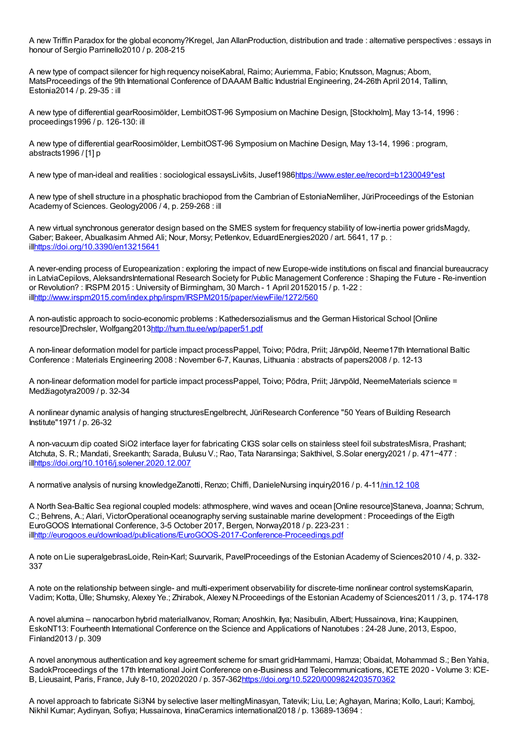A new Triffin Paradox for the global economy?Kregel, Jan AllanProduction, distribution and trade : alternative perspectives : essays in honour of Sergio Parrinello2010 / p. 208-215

A new type of compact silencer for high requency noiseKabral, Raimo; Auriemma, Fabio; Knutsson, Magnus; Abom, MatsProceedings of the 9th International Conference of DAAAM Baltic Industrial Engineering, 24-26th April 2014, Tallinn, Estonia2014 / p. 29-35 : ill

A new type of differential gearRoosimölder, LembitOST-96 Symposium on Machine Design, [Stockholm], May 13-14, 1996 : proceedings1996 / p. 126-130: ill

A new type of differential gearRoosimölder, LembitOST-96 Symposium on Machine Design, May 13-14, 1996 : program, abstracts1996 / [1] p

A new type of man-ideal and realities : sociological essaysLivšits, Jusef1986[https://www.ester.ee/record=b1230049\\*est](https://www.ester.ee/record=b1230049*est)

A new type of shell structure in a phosphatic brachiopod from the Cambrian of EstoniaNemliher, JüriProceedings of the Estonian Academy of Sciences. Geology2006 / 4, p. 259-268 : ill

A new virtual synchronous generator design based on the SMES system for frequency stability of low-inertia power gridsMagdy, Gaber; Bakeer, Abualkasim Ahmed Ali; Nour, Morsy; Petlenkov, EduardEnergies2020 / art. 5641, 17 p. : il[lhttps://doi.org/10.3390/en13215641](https://doi.org/10.3390/en13215641)

A never-ending process of Europeanization : exploring the impact of new Europe-wide institutions on fiscal and financial bureaucracy in LatviaCepilovs, AleksandrsInternational Research Society for Public Management Conference : Shaping the Future - Re-invention or Revolution? : IRSPM 2015 : University of Birmingham, 30 March - 1 April 20152015 / p. 1-22 : il[lhttp://www.irspm2015.com/index.php/irspm/IRSPM2015/paper/viewFile/1272/560](http://www.irspm2015.com/index.php/irspm/IRSPM2015/paper/viewFile/1272/560)

A non-autistic approach to socio-economic problems : Kathedersozialismus and the German Historical School [Online resource]Drechsler, Wolfgang2013<http://hum.ttu.ee/wp/paper51.pdf>

A non-linear deformation model for particle impact processPappel, Toivo; Põdra, Priit; Järvpõld, Neeme17th International Baltic Conference : Materials Engineering 2008 : November 6-7, Kaunas, Lithuania : abstracts of papers2008 / p. 12-13

A non-linear deformation model for particle impact processPappel, Toivo; Põdra, Priit; Järvpõld, NeemeMaterials science = Medžiagotyra2009 / p. 32-34

A nonlinear dynamic analysis of hanging structuresEngelbrecht, JüriResearch Conference "50 Years of Building Research Institute"1971 / p. 26-32

A non-vacuum dip coated SiO2 interface layer for fabricating CIGS solar cells on stainless steel foil substratesMisra, Prashant; Atchuta, S. R.; Mandati, Sreekanth; Sarada, Bulusu V.; Rao, Tata Naransinga; Sakthivel, S.Solar energy2021 / p. 471−477 : il[lhttps://doi.org/10.1016/j.solener.2020.12.007](https://doi.org/10.1016/j.solener.2020.12.007)

A normative analysis of nursing knowledgeZanotti, Renzo; Chiffi, DanieleNursing inquiry2016 / p. 4-1[1/nin.12](http://dx.doi.org/10.1111) 108

A North Sea-Baltic Sea regional coupled models: athmosphere, wind waves and ocean [Online resource]Staneva, Joanna; Schrum, C.; Behrens, A.; Alari, VictorOperational oceanography serving sustainable marine development : Proceedings of the Eigth EuroGOOS International Conference, 3-5 October 2017, Bergen, Norway2018 / p. 223-231 : il[lhttp://eurogoos.eu/download/publications/EuroGOOS-2017-Conference-Proceedings.pdf](http://eurogoos.eu/download/publications/EuroGOOS-2017-Conference-Proceedings.pdf)

A note on Lie superalgebrasLoide, Rein-Karl; Suurvarik, PavelProceedings of the Estonian Academy of Sciences2010 / 4, p. 332- 337

A note on the relationship between single- and multi-experiment observability for discrete-time nonlinear control systemsKaparin, Vadim; Kotta, Ülle; Shumsky, Alexey Ye.; Zhirabok, Alexey N.Proceedings of the Estonian Academy of Sciences2011 / 3, p. 174-178

A novel alumina – nanocarbon hybrid materialIvanov, Roman; Anoshkin, Ilya; Nasibulin, Albert; Hussainova, Irina; Kauppinen, EskoNT13: Fourheenth International Conference on the Science and Applications of Nanotubes : 24-28 June, 2013, Espoo, Finland2013 / p. 309

A novel anonymous authentication and key agreement scheme for smart gridHammami, Hamza; Obaidat, Mohammad S.; Ben Yahia, SadokProceedings of the 17th International Joint Conference on e-Business and Telecommunications, ICETE 2020 - Volume 3: ICE-B, Lieusaint, Paris, France, July 8-10, 20202020 / p. 357-36[2https://doi.org/10.5220/0009824203570362](https://doi.org/10.5220/0009824203570362)

A novel approach to fabricate Si3N4 by selective laser meltingMinasyan, Tatevik; Liu, Le; Aghayan, Marina; Kollo, Lauri; Kamboj, Nikhil Kumar; Aydinyan, Sofiya; Hussainova, IrinaCeramics international2018 / p. 13689-13694 :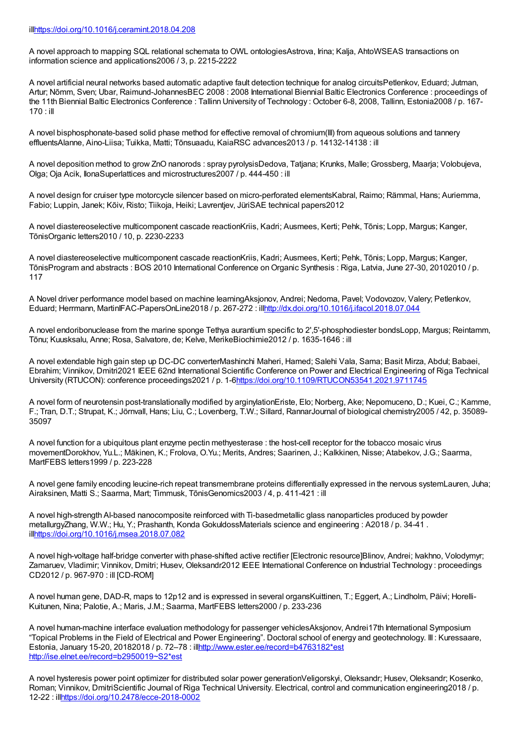A novel approach to mapping SQL relational schemata to OWL ontologiesAstrova, Irina; Kalja, AhtoWSEAS transactions on information science and applications2006 / 3, p. 2215-2222

A novel artificial neural networks based automatic adaptive fault detection technique for analog circuitsPetlenkov, Eduard; Jutman, Artur; Nõmm, Sven; Ubar, Raimund-JohannesBEC 2008 : 2008 International Biennial Baltic Electronics Conference : proceedings of the 11th Biennial Baltic Electronics Conference : Tallinn University of Technology : October 6-8, 2008, Tallinn, Estonia2008 / p. 167- 170 : ill

A novel bisphosphonate-based solid phase method for effective removal of chromium(III) from aqueous solutions and tannery effluentsAlanne, Aino-Liisa; Tuikka, Matti; Tõnsuaadu, KaiaRSC advances2013 / p. 14132-14138 : ill

A novel deposition method to grow ZnO nanorods : spray pyrolysisDedova, Tatjana; Krunks, Malle; Grossberg, Maarja; Volobujeva, Olga; Oja Acik, IlonaSuperlattices and microstructures2007 / p. 444-450 : ill

A novel design for cruiser type motorcycle silencer based on micro-perforated elementsKabral, Raimo; Rämmal, Hans; Auriemma, Fabio; Luppin, Janek; Kõiv, Risto; Tiikoja, Heiki; Lavrentjev, JüriSAE technical papers2012

A novel diastereoselective multicomponent cascade reactionKriis, Kadri; Ausmees, Kerti; Pehk, Tõnis; Lopp, Margus; Kanger, TõnisOrganic letters2010 / 10, p. 2230-2233

A novel diastereoselective multicomponent cascade reactionKriis, Kadri; Ausmees, Kerti; Pehk, Tõnis; Lopp, Margus; Kanger, TõnisProgram and abstracts : BOS 2010 International Conference on Organic Synthesis : Riga, Latvia, June 27-30, 20102010 / p. 117

A Novel driver performance model based on machine learningAksjonov, Andrei; Nedoma, Pavel; Vodovozov, Valery; Petlenkov, Eduard; Herrmann, MartinIFAC-PapersOnLine2018 / p. 267-272 : il[lhttp://dx.doi.org/10.1016/j.ifacol.2018.07.044](http://dx.doi.org/10.1016/j.ifacol.2018.07.044)

A novel endoribonuclease from the marine sponge Tethya aurantium specific to 2',5'-phosphodiester bondsLopp, Margus; Reintamm, Tõnu; Kuusksalu, Anne; Rosa, Salvatore, de; Kelve, MerikeBiochimie2012 / p. 1635-1646 : ill

A novel extendable high gain step up DC-DC converterMashinchi Maheri, Hamed; Salehi Vala, Sama; Basit Mirza, Abdul; Babaei, Ebrahim; Vinnikov, Dmitri2021 IEEE 62nd International Scientific Conference on Power and Electrical Engineering of Riga Technical University (RTUCON): conference proceedings2021 / p. 1-[6https://doi.org/10.1109/RTUCON53541.2021.9711745](https://doi.org/10.1109/RTUCON53541.2021.9711745)

A novel form of neurotensin post-translationally modified by arginylationEriste, Elo; Norberg, Ake; Nepomuceno, D.; Kuei, C.; Kamme, F.; Tran, D.T.; Strupat, K.; Jörnvall, Hans; Liu, C.; Lovenberg, T.W.; Sillard, RannarJournal of biological chemistry2005 / 42, p. 35089- 35097

A novel function for a ubiquitous plant enzyme pectin methyesterase : the host-cell receptor for the tobacco mosaic virus movementDorokhov, Yu.L.; Mäkinen, K.; Frolova, O.Yu.; Merits, Andres; Saarinen, J.; Kalkkinen, Nisse; Atabekov, J.G.; Saarma, MartFEBS letters1999 / p. 223-228

A novel gene family encoding leucine-rich repeat transmembrane proteins differentially expressed in the nervous systemLauren, Juha; Airaksinen, Matti S.; Saarma, Mart; Timmusk, TõnisGenomics2003 / 4, p. 411-421 : ill

A novel high-strength Al-based nanocomposite reinforced with Ti-basedmetallic glass nanoparticles produced by powder metallurgyZhang, W.W.; Hu, Y.; Prashanth, Konda GokuldossMaterials science and engineering : A2018 / p. 34-41 . il[lhttps://doi.org/10.1016/j.msea.2018.07.082](https://doi.org/10.1016/j.msea.2018.07.082)

A novel high-voltage half-bridge converter with phase-shifted active rectifier [Electronic resource]Blinov, Andrei; Ivakhno, Volodymyr; Zamaruev, Vladimir; Vinnikov, Dmitri; Husev, Oleksandr2012 IEEE International Conference on Industrial Technology : proceedings CD2012 / p. 967-970 : ill [CD-ROM]

A novel human gene, DAD-R, maps to 12p12 and is expressed in several organsKuittinen, T.; Eggert, A.; Lindholm, Päivi; Horelli-Kuitunen, Nina; Palotie, A.; Maris, J.M.; Saarma, MartFEBS letters2000 / p. 233-236

A novel human-machine interface evaluation methodology for passenger vehiclesAksjonov, Andrei17th International Symposium "Topical Problems in the Field of Electrical and Power Engineering". Doctoral school of energy and geotechnology. III : Kuressaare, Estonia, January 15-20, 20182018 / p. 72–78 : il[lhttp://www.ester.ee/record=b4763182\\*est](http://www.ester.ee/record=b4763182*est) [http://ise.elnet.ee/record=b2950019~S2\\*est](http://ise.elnet.ee/record=b2950019~S2*est)

A novel hysteresis power point optimizer for distributed solar power generationVeligorskyi, Oleksandr; Husev, Oleksandr; Kosenko, Roman; Vinnikov, DmitriScientific Journal of Riga Technical University. Electrical, control and communication engineering2018 / p. 12-22 : il[lhttps://doi.org/10.2478/ecce-2018-0002](https://doi.org/10.2478/ecce-2018-0002)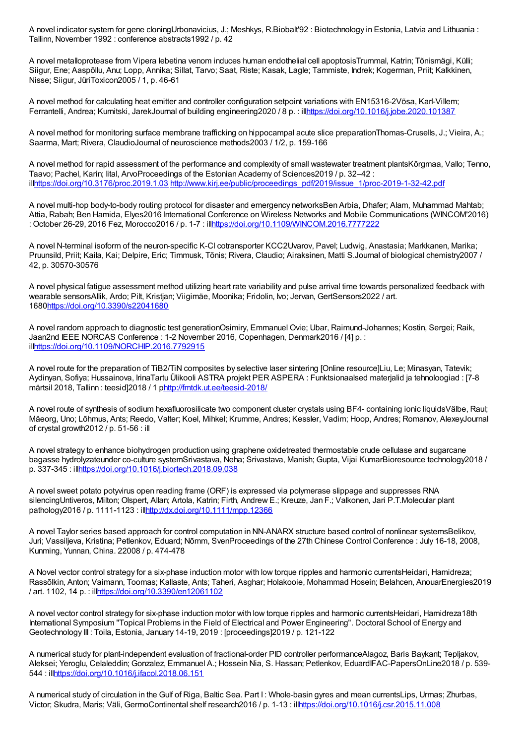A novel indicator system for gene cloningUrbonavicius, J.; Meshkys, R.Biobalt'92 : Biotechnology in Estonia, Latvia and Lithuania : Tallinn, November 1992 : conference abstracts1992 / p. 42

A novel metalloprotease from Vipera lebetina venom induces human endothelial cell apoptosisTrummal, Katrin; Tõnismägi, Külli; Siigur, Ene; Aaspõllu, Anu; Lopp, Annika; Sillat, Tarvo; Saat, Riste; Kasak, Lagle; Tammiste, Indrek; Kogerman, Priit; Kalkkinen, Nisse; Siigur, JüriToxicon2005 / 1, p. 46-61

A novel method for calculating heat emitter and controller configuration setpoint variations with EN15316-2Võsa, Karl-Villem; Ferrantelli, Andrea; Kurnitski, JarekJournal of building engineering2020 / 8 p. : ill<https://doi.org/10.1016/j.jobe.2020.101387>

A novel method for monitoring surface membrane trafficking on hippocampal acute slice preparationThomas-Crusells, J.; Vieira, A.; Saarma, Mart; Rivera, ClaudioJournal of neuroscience methods2003 / 1/2, p. 159-166

A novel method for rapid assessment of the performance and complexity of small wastewater treatment plantsKõrgmaa, Vallo; Tenno, Taavo; Pachel, Karin; Iital, ArvoProceedings of the Estonian Academy of Sciences2019 / p. 32–42 : il[lhttps://doi.org/10.3176/proc.2019.1.03](https://doi.org/10.3176/proc.2019.1.03) [http://www.kirj.ee/public/proceedings\\_pdf/2019/issue\\_1/proc-2019-1-32-42.pdf](http://www.kirj.ee/public/proceedings_pdf/2019/issue_1/proc-2019-1-32-42.pdf)

A novel multi-hop body-to-body routing protocol for disaster and emergency networksBen Arbia, Dhafer; Alam, Muhammad Mahtab; Attia, Rabah; Ben Hamida, Elyes2016 International Conference on Wireless Networks and Mobile Communications (WINCOM'2016) : October 26-29, 2016 Fez, Morocco2016 / p. 1-7 : il[lhttps://doi.org/10.1109/WINCOM.2016.7777222](https://doi.org/10.1109/WINCOM.2016.7777222)

A novel N-terminal isoform of the neuron-specific K-Cl cotransporter KCC2Uvarov, Pavel; Ludwig, Anastasia; Markkanen, Marika; Pruunsild, Priit; Kaila, Kai; Delpire, Eric; Timmusk, Tõnis; Rivera, Claudio; Airaksinen, Matti S.Journal of biological chemistry2007 / 42, p. 30570-30576

A novel physical fatigue assessment method utilizing heart rate variability and pulse arrival time towards personalized feedback with wearable sensorsAllik, Ardo; Pilt, Kristjan; Viigimäe, Moonika; Fridolin, Ivo; Jervan, GertSensors2022 / art. 168[0https://doi.org/10.3390/s22041680](https://doi.org/10.3390/s22041680)

A novel random approach to diagnostic test generationOsimiry, Emmanuel Ovie; Ubar, Raimund-Johannes; Kostin, Sergei; Raik, Jaan2nd IEEE NORCAS Conference : 1-2 November 2016, Copenhagen, Denmark2016 / [4] p. : il[lhttps://doi.org/10.1109/NORCHIP.2016.7792915](https://doi.org/10.1109/NORCHIP.2016.7792915)

A novel route for the preparation of TiB2/TiN composites by selective laser sintering [Online resource]Liu, Le; Minasyan, Tatevik; Aydinyan, Sofiya; Hussainova, IrinaTartu Ülikooli ASTRA projekt PER ASPERA : Funktsionaalsed materjalid ja tehnoloogiad : [7-8 märtsil 2018, Tallinn : teesid]2018 / 1 [phttp://fmtdk.ut.ee/teesid-2018/](http://fmtdk.ut.ee/teesid-2018/)

A novel route of synthesis of sodium hexafluorosilicate two component cluster crystals using BF4- containing ionic liquidsVälbe, Raul; Mäeorg, Uno; Lõhmus, Ants; Reedo, Valter; Koel, Mihkel; Krumme, Andres; Kessler, Vadim; Hoop, Andres; Romanov, AlexeyJournal of crystal growth2012 / p. 51-56 : ill

A novel strategy to enhance biohydrogen production using graphene oxidetreated thermostable crude cellulase and sugarcane bagasse hydrolyzateunder co-culture systemSrivastava, Neha; Srivastava, Manish; Gupta, Vijai KumarBioresource technology2018 / p. 337-345 : il[lhttps://doi.org/10.1016/j.biortech.2018.09.038](https://doi.org/10.1016/j.biortech.2018.09.038)

A novel sweet potato potyvirus open reading frame (ORF) is expressed via polymerase slippage and suppresses RNA silencingUntiveros, Milton; Olspert, Allan; Artola, Katrin; Firth, Andrew E.; Kreuze, Jan F.; Valkonen, Jari P.T.Molecular plant pathology2016 / p. 1111-1123 : il[lhttp://dx.doi.org/10.1111/mpp.12366](http://dx.doi.org/10.1111/mpp.12366)

A novel Taylor series based approach for control computation in NN-ANARX structure based control of nonlinear systemsBelikov, Juri; Vassiljeva, Kristina; Petlenkov, Eduard; Nõmm, SvenProceedings of the 27th Chinese Control Conference : July 16-18, 2008, Kunming, Yunnan, China. 22008 / p. 474-478

A Novel vector control strategy for a six-phase induction motor with low torque ripples and harmonic currentsHeidari, Hamidreza; Rassõlkin, Anton; Vaimann, Toomas; Kallaste, Ants; Taheri, Asghar; Holakooie, Mohammad Hosein; Belahcen, AnouarEnergies2019 / art. 1102, 14 p. : il[lhttps://doi.org/10.3390/en12061102](https://doi.org/10.3390/en12061102)

A novel vector control strategy for six-phase induction motor with low torque ripples and harmonic currentsHeidari, Hamidreza18th International Symposium "Topical Problems in the Field of Electrical and Power Engineering". Doctoral School of Energy and Geotechnology III : Toila, Estonia, January 14-19, 2019 : [proceedings]2019 / p. 121-122

A numerical study for plant-independent evaluation of fractional-order PID controller performanceAlagoz, Baris Baykant; Tepljakov, Aleksei; Yeroglu, Celaleddin; Gonzalez, Emmanuel A.; Hossein Nia, S. Hassan; Petlenkov, EduardIFAC-PapersOnLine2018 / p. 539- 544 : il[lhttps://doi.org/10.1016/j.ifacol.2018.06.151](https://doi.org/10.1016/j.ifacol.2018.06.151)

A numerical study of circulation in the Gulf of Riga, Baltic Sea. Part I : Whole-basin gyres and mean currentsLips, Urmas; Zhurbas, Victor; Skudra, Maris; Väli, GermoContinental shelf research2016 / p. 1-13 : il[lhttps://doi.org/10.1016/j.csr.2015.11.008](https://doi.org/10.1016/j.csr.2015.11.008)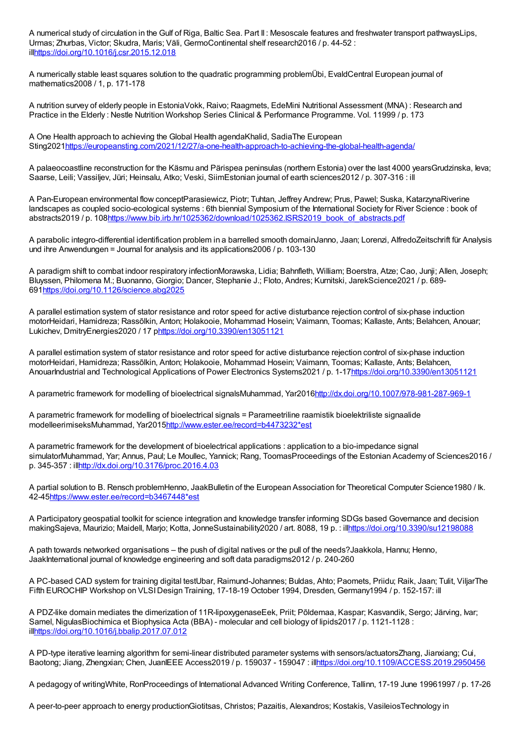A numerical study of circulation in the Gulf of Riga, Baltic Sea. Part II : Mesoscale features and freshwater transport pathwaysLips, Urmas; Zhurbas, Victor; Skudra, Maris; Väli, GermoContinental shelf research2016 / p. 44-52 : il[lhttps://doi.org/10.1016/j.csr.2015.12.018](https://doi.org/10.1016/j.csr.2015.12.018)

A numerically stable least squares solution to the quadratic programming problemÜbi, EvaldCentral European journal of mathematics2008 / 1, p. 171-178

A nutrition survey of elderly people in EstoniaVokk, Raivo; Raagmets, EdeMini Nutritional Assessment (MNA) : Research and Practice in the Elderly : Nestle Nutrition Workshop Series Clinical & Performance Programme. Vol. 11999 / p. 173

A One Health approach to achieving the Global Health agendaKhalid, SadiaThe European Sting2021<https://europeansting.com/2021/12/27/a-one-health-approach-to-achieving-the-global-health-agenda/>

A palaeocoastline reconstruction for the Käsmu and Pärispea peninsulas (northern Estonia) over the last 4000 yearsGrudzinska, Ieva; Saarse, Leili; Vassiljev, Jüri; Heinsalu, Atko; Veski, SiimEstonian journal of earth sciences2012 / p. 307-316 : ill

A Pan-European environmental flow conceptParasiewicz, Piotr; Tuhtan, Jeffrey Andrew; Prus, Pawel; Suska, KatarzynaRiverine landscapes as coupled socio-ecological systems : 6th biennial Symposium of the International Society for River Science : book of abstracts2019 / p. 10[8https://www.bib.irb.hr/1025362/download/1025362.ISRS2019\\_book\\_of\\_abstracts.pdf](https://www.bib.irb.hr/1025362/download/1025362.ISRS2019_book_of_abstracts.pdf)

A parabolic integro-differential identification problem in a barrelled smooth domainJanno, Jaan; Lorenzi, AlfredoZeitschrift für Analysis und ihre Anwendungen = Journal for analysis and its applications2006 / p. 103-130

A paradigm shift to combat indoor respiratory infectionMorawska, Lidia; Bahnfleth, William; Boerstra, Atze; Cao, Junji; Allen, Joseph; Bluyssen, Philomena M.; Buonanno, Giorgio; Dancer, Stephanie J.; Floto, Andres; Kurnitski, JarekScience2021 / p. 689- 69[1https://doi.org/10.1126/science.abg2025](https://doi.org/10.1126/science.abg2025)

A parallel estimation system of stator resistance and rotor speed for active disturbance rejection control of six-phase induction motorHeidari, Hamidreza; Rassõlkin, Anton; Holakooie, Mohammad Hosein; Vaimann, Toomas; Kallaste, Ants; Belahcen, Anouar; Lukichev, DmitryEnergies2020 / 17 p<https://doi.org/10.3390/en13051121>

A parallel estimation system of stator resistance and rotor speed for active disturbance rejection control of six-phase induction motorHeidari, Hamidreza; Rassõlkin, Anton; Holakooie, Mohammad Hosein; Vaimann, Toomas; Kallaste, Ants; Belahcen, AnouarIndustrial and Technological Applications of Power Electronics Systems2021 / p. 1-1[7https://doi.org/10.3390/en13051121](https://doi.org/10.3390/en13051121)

A parametric framework for modelling of bioelectrical signalsMuhammad, Yar201[6http://dx.doi.org/10.1007/978-981-287-969-1](http://dx.doi.org/10.1007/978-981-287-969-1)

A parametric framework for modelling of bioelectrical signals = Parameetriline raamistik bioelektriliste signaalide modelleerimiseksMuhammad, Yar201[5http://www.ester.ee/record=b4473232\\*est](http://www.ester.ee/record=b4473232*est)

A parametric framework for the development of bioelectrical applications : application to a bio-impedance signal simulatorMuhammad, Yar; Annus, Paul; Le Moullec, Yannick; Rang, ToomasProceedings of the Estonian Academy of Sciences2016 / p. 345-357 : il[lhttp://dx.doi.org/10.3176/proc.2016.4.03](http://dx.doi.org/10.3176/proc.2016.4.03)

A partial solution to B. Rensch problemHenno, JaakBulletin of the European Association for Theoretical Computer Science1980 / lk. 42-4[5https://www.ester.ee/record=b3467448\\*est](https://www.ester.ee/record=b3467448*est)

A Participatory geospatial toolkit for science integration and knowledge transfer informing SDGs based Governance and decision makingSajeva, Maurizio; Maidell, Marjo; Kotta, JonneSustainability2020 / art. 8088, 19 p. : il[lhttps://doi.org/10.3390/su12198088](https://doi.org/10.3390/su12198088)

A path towards networked organisations – the push of digital natives or the pull of the needs?Jaakkola, Hannu; Henno, JaakInternational journal of knowledge engineering and soft data paradigms2012 / p. 240-260

A PC-based CAD system for training digital testUbar, Raimund-Johannes; Buldas, Ahto; Paomets, Priidu; Raik, Jaan; Tulit, ViljarThe Fifth EUROCHIP Workshop on VLSIDesign Training, 17-18-19 October 1994, Dresden, Germany1994 / p. 152-157: ill

A PDZ-like domain mediates the dimerization of 11R-lipoxygenaseEek, Priit; Põldemaa, Kaspar; Kasvandik, Sergo; Järving, Ivar; Samel, NigulasBiochimica et Biophysica Acta (BBA) - molecular and cell biology of lipids2017 / p. 1121-1128 : il[lhttps://doi.org/10.1016/j.bbalip.2017.07.012](https://doi.org/10.1016/j.bbalip.2017.07.012)

A PD-type iterative learning algorithm for semi-linear distributed parameter systems with sensors/actuatorsZhang, Jianxiang; Cui, Baotong; Jiang, Zhengxian; Chen, JuanIEEE Access2019 / p. 159037 - 159047 : il[lhttps://doi.org/10.1109/ACCESS.2019.2950456](https://doi.org/10.1109/ACCESS.2019.2950456)

A pedagogy of writingWhite, RonProceedings of International Advanced Writing Conference, Tallinn, 17-19 June 19961997 / p. 17-26

A peer-to-peer approach to energy productionGiotitsas, Christos; Pazaitis, Alexandros; Kostakis, VasileiosTechnology in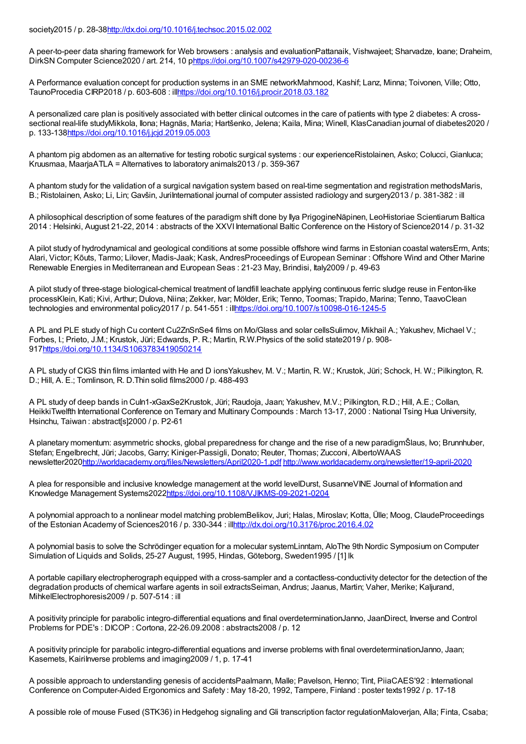## society2015 / p. 28-3[8http://dx.doi.org/10.1016/j.techsoc.2015.02.002](http://dx.doi.org/10.1016/j.techsoc.2015.02.002)

A peer-to-peer data sharing framework for Web browsers : analysis and evaluationPattanaik, Vishwajeet; Sharvadze, Ioane; Draheim, DirkSN Computer Science2020 / art. 214, 10 [phttps://doi.org/10.1007/s42979-020-00236-6](https://doi.org/10.1007/s42979-020-00236-6)

A Performance evaluation concept for production systems in an SME networkMahmood, Kashif; Lanz, Minna; Toivonen, Ville; Otto, TaunoProcedia CIRP2018 / p. 603-608 : il[lhttps://doi.org/10.1016/j.procir.2018.03.182](https://doi.org/10.1016/j.procir.2018.03.182)

A personalized care plan is positively associated with better clinical outcomes in the care of patients with type 2 diabetes: A crosssectional real-life studyMikkola, Ilona; Hagnäs, Maria; Hartšenko, Jelena; Kaila, Mina; Winell, KlasCanadian journal of diabetes2020 / p. 133-13[8https://doi.org/10.1016/j.jcjd.2019.05.003](https://doi.org/10.1016/j.jcjd.2019.05.003)

A phantom pig abdomen as an alternative for testing robotic surgical systems : our experienceRistolainen, Asko; Colucci, Gianluca; Kruusmaa, MaarjaATLA = Alternatives to laboratory animals2013 / p. 359-367

A phantom study for the validation of a surgical navigation system based on real-time segmentation and registration methodsMaris, B.; Ristolainen, Asko; Li, Lin; Gavšin, JuriInternational journal of computer assisted radiology and surgery2013 / p. 381-382 : ill

A philosophical description of some features of the paradigm shift done by Ilya PrigogineNäpinen, LeoHistoriae Scientiarum Baltica 2014 : Helsinki, August 21-22, 2014 : abstracts of the XXVI International Baltic Conference on the History of Science2014 / p. 31-32

A pilot study of hydrodynamical and geological conditions at some possible offshore wind farms in Estonian coastal watersErm, Ants; Alari, Victor; Kõuts, Tarmo; Lilover, Madis-Jaak; Kask, AndresProceedings of European Seminar : Offshore Wind and Other Marine Renewable Energies in Mediterranean and European Seas : 21-23 May, Brindisi, Italy2009 / p. 49-63

A pilot study of three-stage biological-chemical treatment of landfill leachate applying continuous ferric sludge reuse in Fenton-like processKlein, Kati; Kivi, Arthur; Dulova, Niina; Zekker, Ivar; Mölder, Erik; Tenno, Toomas; Trapido, Marina; Tenno, TaavoClean technologies and environmental policy2017 / p. 541-551 : il[lhttps://doi.org/10.1007/s10098-016-1245-5](https://doi.org/10.1007/s10098-016-1245-5)

A PL and PLE study of high Cu content Cu2ZnSnSe4 films on Mo/Glass and solar cellsSulimov, Mikhail A.; Yakushev, Michael V.; Forbes, I.; Prieto, J.M.; Krustok, Jüri; Edwards, P. R.; Martin, R.W.Physics of the solid state2019 / p. 908- 91[7https://doi.org/10.1134/S1063783419050214](https://doi.org/10.1134/S1063783419050214)

A PL study of CIGS thin films imlanted with He and D ionsYakushev, M. V.; Martin, R. W.; Krustok, Jüri; Schock, H. W.; Pilkington, R. D.; Hill, A. E.; Tomlinson, R. D.Thin solid films2000 / p. 488-493

A PL study of deep bands in CuIn1-xGaxSe2Krustok, Jüri; Raudoja, Jaan; Yakushev, M.V.; Pilkington, R.D.; Hill, A.E.; Collan, HeikkiTwelfth International Conference on Ternary and Multinary Compounds : March 13-17, 2000 : National Tsing Hua University, Hsinchu, Taiwan : abstract[s]2000 / p. P2-61

A planetary momentum: asymmetric shocks, global preparedness for change and the rise of a new paradigmŠlaus, Ivo; Brunnhuber, Stefan; Engelbrecht, Jüri; Jacobs, Garry; Kiniger-Passigli, Donato; Reuter, Thomas; Zucconi, AlbertoWAAS newsletter202[0http://worldacademy.org/files/Newsletters/April2020-1.pdf](http://worldacademy.org/files/Newsletters/April2020-1.pdf) <http://www.worldacademy.org/newsletter/19-april-2020>

A plea for responsible and inclusive knowledge management at the world levelDurst, SusanneVINE Journal of Information and Knowledge Management Systems202[2https://doi.org/10.1108/VJIKMS-09-2021-0204](https://doi.org/10.1108/VJIKMS-09-2021-0204)

A polynomial approach to a nonlinear model matching problemBelikov, Juri; Halas, Miroslav; Kotta, Ülle; Moog, ClaudeProceedings of the Estonian Academy of Sciences2016 / p. 330-344 : il[lhttp://dx.doi.org/10.3176/proc.2016.4.02](http://dx.doi.org/10.3176/proc.2016.4.02)

A polynomial basis to solve the Schrödinger equation for a molecular systemLinntam, AloThe 9th Nordic Symposium on Computer Simulation of Liquids and Solids, 25-27 August, 1995, Hindas, Göteborg, Sweden1995 / [1] lk

A portable capillary electropherograph equipped with a cross-sampler and a contactless-conductivity detector for the detection of the degradation products of chemical warfare agents in soil extractsSeiman, Andrus; Jaanus, Martin; Vaher, Merike; Kaljurand, MihkelElectrophoresis2009 / p. 507-514 : ill

A positivity principle for parabolic integro-differential equations and final overdeterminationJanno, JaanDirect, Inverse and Control Problems for PDE's : DICOP : Cortona, 22-26.09.2008 : abstracts2008 / p. 12

A positivity principle for parabolic integro-differential equations and inverse problems with final overdeterminationJanno, Jaan; Kasemets, Kairilnverse problems and imaging 2009 / 1, p. 17-41

A possible approach to understanding genesis of accidentsPaalmann, Malle; Pavelson, Henno; Tint, PiiaCAES'92 : International Conference on Computer-Aided Ergonomics and Safety : May 18-20, 1992, Tampere, Finland : poster texts1992 / p. 17-18

A possible role of mouse Fused (STK36) in Hedgehog signaling and Gli transcription factor regulationMaloverjan, Alla; Finta, Csaba;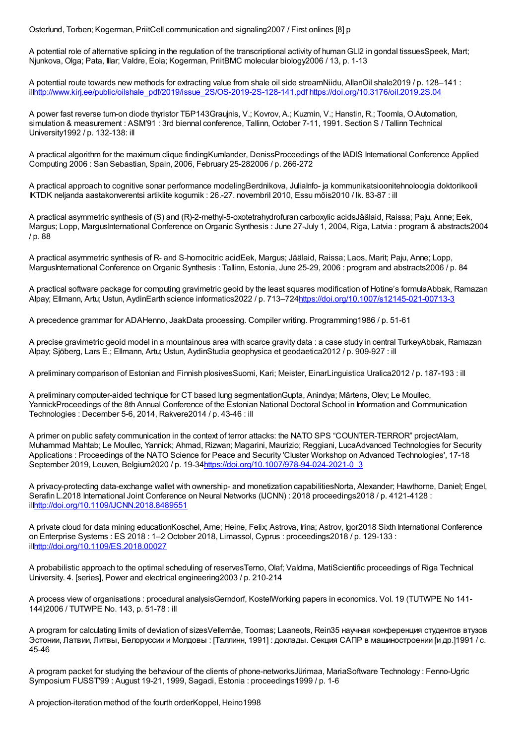Osterlund, Torben; Kogerman, PriitCell communication and signaling2007 / First onlines [8] p

A potential role of alternative splicing in the regulation of the transcriptional activity of human GLI2 in gondal tissuesSpeek, Mart; Njunkova, Olga; Pata, Illar; Valdre, Eola; Kogerman, PriitBMC molecular biology2006 / 13, p. 1-13

A potential route towards new methods for extracting value from shale oil side streamNiidu, AllanOil shale2019 / p. 128–141 : il[lhttp://www.kirj.ee/public/oilshale\\_pdf/2019/issue\\_2S/OS-2019-2S-128-141.pdf](http://www.kirj.ee/public/oilshale_pdf/2019/issue_2S/OS-2019-2S-128-141.pdf) <https://doi.org/10.3176/oil.2019.2S.04>

A power fast reverse turn-on diode thyristor ТБР143Graujnis, V.; Kovrov, A.; Kuzmin, V.; Hanstin, R.; Toomla, O.Automation, simulation & measurement : ASM'91 : 3rd biennal conference, Tallinn, October 7-11, 1991. Section S / Tallinn Technical University1992 / p. 132-138: ill

A practical algorithm for the maximum clique findingKumlander, DenissProceedings of the IADIS International Conference Applied Computing 2006 : San Sebastian, Spain, 2006, February 25-282006 / p. 266-272

A practical approach to cognitive sonar performance modelingBerdnikova, JuliaInfo- ja kommunikatsioonitehnoloogia doktorikooli IKTDK neljanda aastakonverentsi artiklite kogumik : 26.-27. novembril 2010, Essu mõis2010 / lk. 83-87 : ill

A practical asymmetric synthesis of (S) and (R)-2-methyl-5-oxotetrahydrofuran carboxylic acidsJäälaid, Raissa; Paju, Anne; Eek, Margus; Lopp, MargusInternational Conference on Organic Synthesis : June 27-July 1, 2004, Riga, Latvia : program & abstracts2004 / p. 88

A practical asymmetric synthesis of R- and S-homocitric acidEek, Margus; Jäälaid, Raissa; Laos, Marit; Paju, Anne; Lopp, MargusInternational Conference onOrganic Synthesis : Tallinn, Estonia, June 25-29, 2006 : program and abstracts2006 / p. 84

A practical software package for computing gravimetric geoid by the least squares modification of Hotine's formulaAbbak, Ramazan Alpay; Ellmann, Artu; Ustun, AydinEarth science informatics2022 / p. 713–724<https://doi.org/10.1007/s12145-021-00713-3>

A precedence grammar for ADAHenno, JaakData processing. Compiler writing. Programming1986 / p. 51-61

A precise gravimetric geoid model in a mountainous area with scarce gravity data : a case study in central TurkeyAbbak, Ramazan Alpay; Sjöberg, Lars E.; Ellmann, Artu; Ustun, AydinStudia geophysica et geodaetica2012 / p. 909-927 : ill

A preliminary comparison of Estonian and Finnish plosivesSuomi, Kari; Meister, EinarLinguistica Uralica2012 / p. 187-193 : ill

A preliminary computer-aided technique for CT based lung segmentationGupta, Anindya; Märtens, Olev; Le Moullec, YannickProceedings of the 8th Annual Conference of the Estonian National Doctoral School in Information and Communication Technologies : December 5-6, 2014, Rakvere2014 / p. 43-46 : ill

A primer on public safety communication in the context of terror attacks: the NATO SPS "COUNTER-TERROR" projectAlam, Muhammad Mahtab; Le Moullec, Yannick; Ahmad, Rizwan; Magarini, Maurizio; Reggiani, LucaAdvanced Technologies for Security Applications : Proceedings of the NATO Science for Peace and Security 'Cluster Workshop on Advanced Technologies', 17-18 September 2019, Leuven, Belgium2020 / p. 19-34[https://doi.org/10.1007/978-94-024-2021-0\\_3](https://doi.org/10.1007/978-94-024-2021-0_3)

A privacy-protecting data-exchange wallet with ownership- and monetization capabilitiesNorta, Alexander; Hawthorne, Daniel; Engel, Serafin L.2018 International Joint Conference on Neural Networks (IJCNN) : 2018 proceedings2018 / p. 4121-4128 : il[lhttp://doi.org/10.1109/IJCNN.2018.8489551](http://doi.org/10.1109/IJCNN.2018.8489551)

A private cloud for data mining educationKoschel, Arne; Heine, Felix; Astrova, Irina; Astrov, Igor2018 Sixth International Conference on Enterprise Systems : ES 2018 : 1–2 October 2018, Limassol, Cyprus : proceedings2018 / p. 129-133 : il[lhttp://doi.org/10.1109/ES.2018.00027](http://doi.org/10.1109/ES.2018.00027)

A probabilistic approach to the optimal scheduling of reservesTerno, Olaf; Valdma, MatiScientific proceedings of Riga Technical University. 4. [series], Power and electrical engineering2003 / p. 210-214

A process view of organisations : procedural analysisGerndorf, KostelWorking papers in economics. Vol. 19 (TUTWPE No 141- 144)2006 / TUTWPE No. 143, p. 51-78 : ill

A program for calculating limits of deviation of sizesVellemäe, Toomas; Laaneots, Rein35 научная конференция студентов втузов Эстонии, Латвии, Литвы, Белоруссии и Молдовы : [Таллинн, 1991] : доклады. Секция САПР в машиностроении [и др.]1991 / с. 45-46

A program packet for studying the behaviour of the clients of phone-networksJürimaa, MariaSoftware Technology : Fenno-Ugric Symposium FUSST99 : August 19-21, 1999, Sagadi, Estonia : proceedings1999 / p. 1-6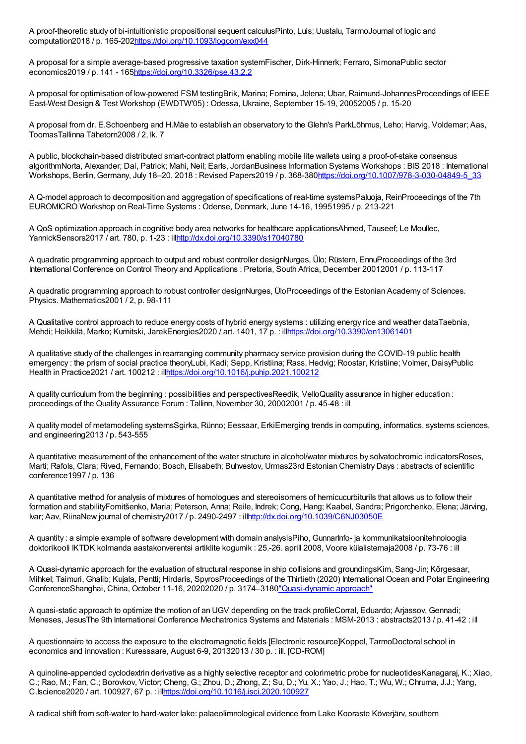A proof-theoretic study of bi-intuitionistic propositional sequent calculusPinto, Luis; Uustalu, TarmoJournal of logic and computation2018 / p. 165-20[2https://doi.org/10.1093/logcom/exx044](https://doi.org/10.1093/logcom/exx044)

A proposal for a simple average-based progressive taxation systemFischer, Dirk-Hinnerk; Ferraro, SimonaPublic sector economics2019 / p. 141 - 16[5https://doi.org/10.3326/pse.43.2.2](https://doi.org/10.3326/pse.43.2.2)

A proposal for optimisation of low-powered FSM testingBrik, Marina; Fomina, Jelena; Ubar, Raimund-JohannesProceedings of IEEE East-West Design & Test Workshop (EWDTW'05) : Odessa, Ukraine, September 15-19, 20052005 / p. 15-20

A proposal from dr. E.Schoenberg and H.Mäe to establish an observatory to the Glehn's ParkLõhmus, Leho; Harvig, Voldemar; Aas, ToomasTallinna Tähetorn2008 / 2, lk. 7

A public, blockchain-based distributed smart-contract platform enabling mobile lite wallets using a proof-of-stake consensus algorithmNorta, Alexander; Dai, Patrick; Mahi, Neil; Earls, JordanBusiness Information Systems Workshops : BIS 2018 : International Workshops, Berlin, Germany, July 18–20, 2018 : Revised Papers2019 / p. 368-380[https://doi.org/10.1007/978-3-030-04849-5\\_33](https://doi.org/10.1007/978-3-030-04849-5_33)

A Q-model approach to decomposition and aggregation of specifications of real-time systemsPaluoja, ReinProceedings of the 7th EUROMICRO Workshop on Real-Time Systems : Odense, Denmark, June 14-16, 19951995 / p. 213-221

A QoS optimization approach in cognitive body area networks for healthcare applicationsAhmed, Tauseef; Le Moullec, YannickSensors2017 / art. 780, p. 1-23 : il[lhttp://dx.doi.org/10.3390/s17040780](http://dx.doi.org/10.3390/s17040780)

A quadratic programming approach to output and robust controller designNurges, Ülo; Rüstern, EnnuProceedings of the 3rd International Conference on Control Theory and Applications : Pretoria, South Africa, December 20012001 / p. 113-117

A quadratic programming approach to robust controller designNurges, ÜloProceedings of the Estonian Academy of Sciences. Physics. Mathematics2001 / 2, p. 98-111

A Qualitative control approach to reduce energy costs of hybrid energy systems : utilizing energy rice and weather dataTaebnia, Mehdi; Heikkilä, Marko; Kurnitski, JarekEnergies2020 / art. 1401, 17 p. : il[lhttps://doi.org/10.3390/en13061401](https://doi.org/10.3390/en13061401)

A qualitative study of the challenges in rearranging community pharmacy service provision during the COVID-19 public health emergency : the prism of social practice theoryLubi, Kadi; Sepp, Kristiina; Rass, Hedvig; Roostar, Kristiine; Volmer, DaisyPublic Health in Practice2021 / art. 100212 : il[lhttps://doi.org/10.1016/j.puhip.2021.100212](https://doi.org/10.1016/j.puhip.2021.100212)

A quality curriculum from the beginning : possibilities and perspectivesReedik, VelloQuality assurance in higher education : proceedings of the Quality Assurance Forum : Tallinn, November 30, 20002001 / p. 45-48 : ill

A quality model of metamodeling systemsSgirka, Rünno; Eessaar, ErkiEmerging trends in computing, informatics, systems sciences, and engineering2013 / p. 543-555

A quantitative measurement of the enhancement of the water structure in alcohol/water mixtures by solvatochromic indicatorsRoses, Marti; Rafols, Clara; Rived, Fernando; Bosch, Elisabeth; Buhvestov, Urmas23rd Estonian Chemistry Days : abstracts of scientific conference1997 / p. 136

A quantitative method for analysis of mixtures of homologues and stereoisomers of hemicucurbiturils that allows us to follow their formation and stabilityFomitšenko, Maria; Peterson, Anna; Reile, Indrek; Cong, Hang; Kaabel, Sandra; Prigorchenko, Elena; Järving, Ivar; Aav, RiinaNew journal of chemistry2017 / p. 2490-2497 : il[lhttp://dx.doi.org/10.1039/C6NJ03050E](http://dx.doi.org/10.1039/C6NJ03050E)

A quantity : a simple example of software development with domain analysisPiho, GunnarInfo- ja kommunikatsioonitehnoloogia doktorikooli IKTDK kolmanda aastakonverentsi artiklite kogumik : 25.-26. aprill 2008, Voore külalistemaja2008 / p. 73-76 : ill

A Quasi-dynamic approach for the evaluation of structural response in ship collisions and groundingsKim, Sang-Jin; Kõrgesaar, Mihkel; Taimuri, Ghalib; Kujala, Pentti; Hirdaris, SpyrosProceedings of the Thirtieth (2020) International Ocean and Polar Engineering ConferenceShanghai, China, October 11-16, 20202020 / p. 3174–318[0"Quasi-dynamic](http://publications.isope.org/proceedings/ISOPE/ISOPE 2020/data/pdfs_Vol4/4152-20TPC-0254.pdf#search=%22%22) approach"

A quasi-static approach to optimize the motion of an UGV depending on the track profileCorral, Eduardo; Arjassov, Gennadi; Meneses, JesusThe 9th International Conference Mechatronics Systems and Materials : MSM-2013 : abstracts2013 / p. 41-42 : ill

A questionnaire to access the exposure to the electromagnetic fields [Electronic resource]Koppel, TarmoDoctoral school in economics and innovation : Kuressaare, August 6-9, 20132013 / 30 p. : ill. [CD-ROM]

A quinoline-appended cyclodextrin derivative as a highly selective receptor and colorimetric probe for nucleotidesKanagaraj, K.; Xiao, C.; Rao, M.; Fan, C.; Borovkov, Victor; Cheng, G.; Zhou, D.; Zhong, Z.; Su, D.; Yu, X.; Yao, J.; Hao, T.; Wu, W.; Chruma, J.J.; Yang, C.Iscience2020 / art. 100927, 67 p. : ill<https://doi.org/10.1016/j.isci.2020.100927>

A radical shift from soft-water to hard-water lake: palaeolimnological evidence from Lake Kooraste Kõverjärv, southern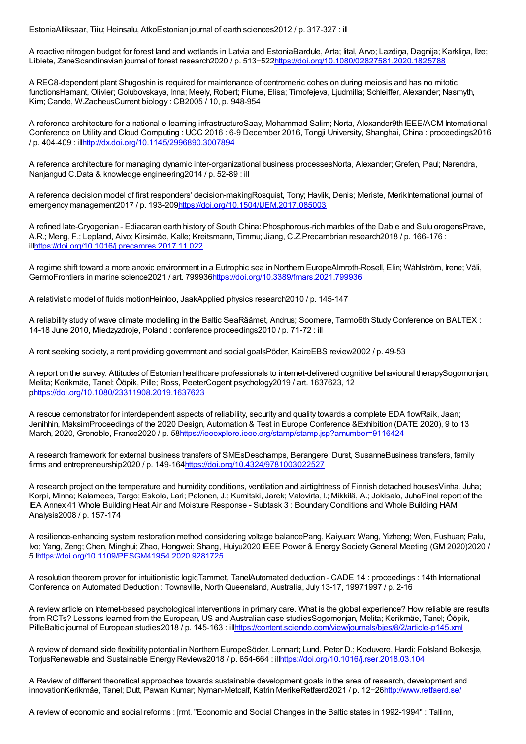EstoniaAlliksaar, Tiiu; Heinsalu, AtkoEstonian journal of earth sciences2012 / p. 317-327 : ill

A reactive nitrogen budget for forest land and wetlands in Latvia and EstoniaBardule, Arta; Iital, Arvo; Lazdiņa, Dagnija; Karkliņa, Ilze; Libiete, ZaneScandinavian journal of forest research2020 / p. 513−522<https://doi.org/10.1080/02827581.2020.1825788>

A REC8-dependent plant Shugoshin is required for maintenance of centromeric cohesion during meiosis and has no mitotic functionsHamant, Olivier; Golubovskaya, Inna; Meely, Robert; Fiume, Elisa; Timofejeva, Ljudmilla; Schleiffer, Alexander; Nasmyth, Kim; Cande, W.ZacheusCurrent biology : CB2005 / 10, p. 948-954

A reference architecture for a national e-learning infrastructureSaay, Mohammad Salim; Norta, Alexander9th IEEE/ACM International Conference on Utility and Cloud Computing : UCC 2016 : 6-9 December 2016, Tongji University, Shanghai, China : proceedings2016 / p. 404-409 : il[lhttp://dx.doi.org/10.1145/2996890.3007894](http://dx.doi.org/10.1145/2996890.3007894)

A reference architecture for managing dynamic inter-organizational business processesNorta, Alexander; Grefen, Paul; Narendra, Nanjangud C.Data & knowledge engineering2014 / p. 52-89 : ill

A reference decision model of first responders' decision-makingRosquist, Tony; Havlik, Denis; Meriste, MerikInternational journal of emergency management2017 / p. 193-209https://doi.org/10.1504/UEM.2017.085003

A refined late-Cryogenian - Ediacaran earth history of South China: Phosphorous-rich marbles of the Dabie and Sulu orogensPrave, A.R.; Meng, F.; Lepland, Aivo; Kirsimäe, Kalle; Kreitsmann, Timmu; Jiang, C.Z.Precambrian research2018 / p. 166-176 : il[lhttps://doi.org/10.1016/j.precamres.2017.11.022](https://doi.org/10.1016/j.precamres.2017.11.022)

A regime shift toward a more anoxic environment in a Eutrophic sea in Northern EuropeAlmroth-Rosell, Elin; Wåhlström, Irene; Väli, GermoFrontiers in marine science2021 / art. 79993[6https://doi.org/10.3389/fmars.2021.799936](https://doi.org/10.3389/fmars.2021.799936)

A relativistic model of fluids motionHeinloo, JaakApplied physics research2010 / p. 145-147

A reliability study of wave climate modelling in the Baltic SeaRäämet, Andrus; Soomere, Tarmo6th Study Conference on BALTEX : 14-18 June 2010, Miedzyzdroje, Poland : conference proceedings2010 / p. 71-72 : ill

A rent seeking society, a rent providing government and social goalsPõder, KaireEBS review2002 / p. 49-53

A report on the survey. Attitudes of Estonian healthcare professionals to internet-delivered cognitive behavioural therapySogomonjan, Melita; Kerikmäe, Tanel; Ööpik, Pille; Ross, PeeterCogent psychology2019 / art. 1637623, 12 p<https://doi.org/10.1080/23311908.2019.1637623>

A rescue demonstrator for interdependent aspects of reliability, security and quality towards a complete EDA flowRaik, Jaan; Jenihhin, MaksimProceedings of the 2020 Design, Automation & Test in Europe Conference &Exhibition (DATE 2020), 9 to 13 March, 2020, Grenoble, France2020 / p. 5[8https://ieeexplore.ieee.org/stamp/stamp.jsp?arnumber=9116424](https://ieeexplore.ieee.org/stamp/stamp.jsp?arnumber=9116424)

A research framework for external business transfers of SMEsDeschamps, Berangere; Durst, SusanneBusiness transfers, family firms and entrepreneurship2020 / p. 149-16[4https://doi.org/10.4324/9781003022527](https://doi.org/10.4324/9781003022527)

A research project on the temperature and humidity conditions, ventilation and airtightness of Finnish detached housesVinha, Juha; Korpi, Minna; Kalamees, Targo; Eskola, Lari; Palonen, J.; Kurnitski, Jarek; Valovirta, I.; Mikkilä, A.; Jokisalo, JuhaFinal report of the IEA Annex 41 Whole Building Heat Air and Moisture Response - Subtask 3 : Boundary Conditions and Whole Building HAM Analysis2008 / p. 157-174

A resilience-enhancing system restoration method considering voltage balancePang, Kaiyuan; Wang, Yizheng; Wen, Fushuan; Palu, Ivo; Yang, Zeng; Chen, Minghui; Zhao, Hongwei; Shang, Huiyu2020 IEEE Power & Energy SocietyGeneral Meeting (GM 2020)2020 / 5 [lhttps://doi.org/10.1109/PESGM41954.2020.9281725](https://doi.org/10.1109/PESGM41954.2020.9281725)

A resolution theorem prover for intuitionistic logicTammet, TanelAutomated deduction - CADE 14 : proceedings : 14th International Conference on Automated Deduction : Townsville, North Queensland, Australia, July 13-17, 19971997 / p. 2-16

A review article on Internet-based psychological interventions in primary care. What is the global experience? How reliable are results from RCTs? Lessons learned from the European, US and Australian case studiesSogomonjan, Melita; Kerikmäe, Tanel; Ööpik, PilleBaltic journal of European studies2018 / p. 145-163 : il[lhttps://content.sciendo.com/view/journals/bjes/8/2/article-p145.xml](https://content.sciendo.com/view/journals/bjes/8/2/article-p145.xml)

A review of demand side flexibility potential in Northern EuropeSöder, Lennart; Lund, Peter D.; Koduvere, Hardi; Folsland Bolkesjø, TorjusRenewable and Sustainable Energy Reviews2018 / p. 654-664 : il[lhttps://doi.org/10.1016/j.rser.2018.03.104](https://doi.org/10.1016/j.rser.2018.03.104)

A Review of different theoretical approaches towards sustainable development goals in the area of research, development and innovationKerikmäe, Tanel; Dutt, Pawan Kumar; Nyman-Metcalf, Katrin MerikeRetfærd2021 / p. 12−2[6http://www.retfaerd.se/](http://www.retfaerd.se/)

A review of economic and social reforms : [rmt. "Economic and Social Changes in the Baltic states in 1992-1994" : Tallinn,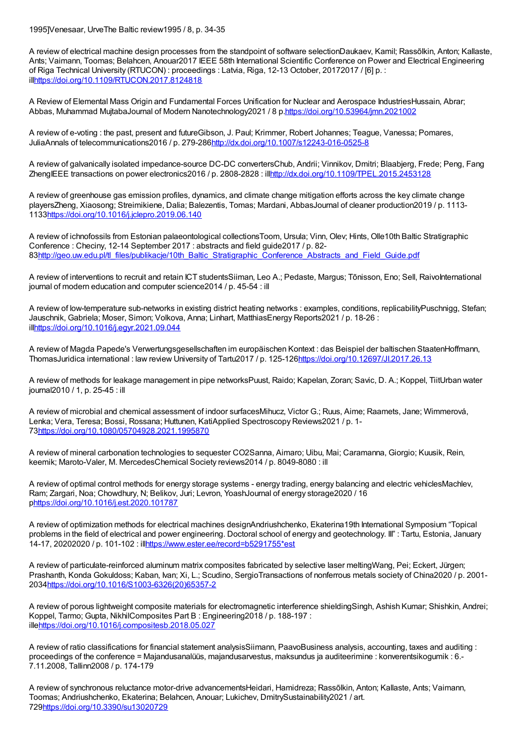1995]Venesaar, UrveThe Baltic review1995 / 8, p. 34-35

A review of electrical machine design processes from the standpoint of software selectionDaukaev, Kamil; Rassõlkin, Anton; Kallaste, Ants; Vaimann, Toomas; Belahcen, Anouar2017 IEEE 58th International Scientific Conference on Power and Electrical Engineering of Riga Technical University (RTUCON) : proceedings : Latvia, Riga, 12-13 October, 20172017 / [6] p. : il[lhttps://doi.org/10.1109/RTUCON.2017.8124818](https://doi.org/10.1109/RTUCON.2017.8124818)

A Review of Elemental Mass Origin and Fundamental Forces Unification for Nuclear and Aerospace IndustriesHussain, Abrar; Abbas, Muhammad MujtabaJournal of Modern Nanotechnology2021 / 8 p[.https://doi.org/10.53964/jmn.2021002](https://doi.org/10.53964/jmn.2021002)

A review of e-voting : the past, present and futureGibson, J. Paul; Krimmer, Robert Johannes; Teague, Vanessa; Pomares, JuliaAnnals of telecommunications2016 / p. 279-28[6http://dx.doi.org/10.1007/s12243-016-0525-8](http://dx.doi.org/10.1007/s12243-016-0525-8)

A review of galvanically isolated impedance-source DC-DC convertersChub, Andrii; Vinnikov, Dmitri; Blaabjerg, Frede; Peng, Fang ZhengIEEE transactions on power electronics2016 / p. 2808-2828 : il[lhttp://dx.doi.org/10.1109/TPEL.2015.2453128](http://dx.doi.org/10.1109/TPEL.2015.2453128)

A review of greenhouse gas emission profiles, dynamics, and climate change mitigation efforts across the key climate change playersZheng, Xiaosong; Streimikiene, Dalia; Balezentis, Tomas; Mardani, AbbasJournal of cleaner production2019 / p. 1113- 113[3https://doi.org/10.1016/j.jclepro.2019.06.140](https://doi.org/10.1016/j.jclepro.2019.06.140)

A review of ichnofossils from Estonian palaeontological collectionsToom, Ursula; Vinn, Olev; Hints, Olle10th Baltic Stratigraphic Conference : Checiny, 12-14 September 2017 : abstracts and field guide2017 / p. 82- 8[3http://geo.uw.edu.pl/tl\\_files/publikacje/10th\\_Baltic\\_Stratigraphic\\_Conference\\_Abstracts\\_and\\_Field\\_Guide.pdf](http://geo.uw.edu.pl/tl_files/publikacje/10th_Baltic_Stratigraphic_Conference_Abstracts_and_Field_Guide.pdf)

A review of interventions to recruit and retain ICT studentsSiiman, Leo A.; Pedaste, Margus; Tõnisson, Eno; Sell, RaivoInternational journal of modern education and computer science2014 / p. 45-54 : ill

A review of low-temperature sub-networks in existing district heating networks : examples, conditions, replicabilityPuschnigg, Stefan; Jauschnik, Gabriela; Moser, Simon; Volkova, Anna; Linhart, MatthiasEnergy Reports2021 / p. 18-26 : il[lhttps://doi.org/10.1016/j.egyr.2021.09.044](https://doi.org/10.1016/j.egyr.2021.09.044)

A review of Magda Papede's Verwertungsgesellschaften im europäischen Kontext : das Beispiel der baltischen StaatenHoffmann, ThomasJuridica international : law review University of Tartu2017 / p. 125-12[6https://doi.org/10.12697/JI.2017.26.13](https://doi.org/10.12697/JI.2017.26.13)

A review of methods for leakage management in pipe networksPuust, Raido; Kapelan, Zoran; Savic, D. A.; Koppel, TiitUrban water journal2010 / 1, p. 25-45 : ill

A review of microbial and chemical assessment of indoor surfacesMihucz, Victor G.; Ruus, Aime; Raamets, Jane; Wimmerová, Lenka; Vera, Teresa; Bossi, Rossana; Huttunen, KatiApplied Spectroscopy Reviews2021 / p. 1- 7[3https://doi.org/10.1080/05704928.2021.1995870](https://doi.org/10.1080/05704928.2021.1995870)

A review of mineral carbonation technologies to sequester CO2Sanna, Aimaro; Uibu, Mai; Caramanna, Giorgio; Kuusik, Rein, keemik; Maroto-Valer, M. MercedesChemical Society reviews2014 / p. 8049-8080 : ill

A review of optimal control methods for energy storage systems - energy trading, energy balancing and electric vehiclesMachlev, Ram; Zargari, Noa; Chowdhury, N; Belikov, Juri; Levron, YoashJournal of energy storage2020 / 16 p<https://doi.org/10.1016/j.est.2020.101787>

A review of optimization methods for electrical machines designAndriushchenko, Ekaterina19th International Symposium "Topical problems in the field of electrical and power engineering. Doctoral school of energy and geotechnology. III" : Tartu, Estonia, January 14-17, 20202020 / p. 101-102 : il[lhttps://www.ester.ee/record=b5291755\\*est](https://www.ester.ee/record=b5291755*est)

A review of particulate-reinforced aluminum matrix composites fabricated by selective laser meltingWang, Pei; Eckert, Jürgen; Prashanth, Konda Gokuldoss; Kaban, Ivan; Xi, L.; Scudino, SergioTransactions of nonferrous metals society of China2020 / p. 2001-203[4https://doi.org/10.1016/S1003-6326\(20\)65357-2](https://doi.org/10.1016/S1003-6326(20)65357-2)

A review of porous lightweight composite materials for electromagnetic interference shieldingSingh, Ashish Kumar; Shishkin, Andrei; Koppel, Tarmo; Gupta, NikhilComposites Part B : Engineering2018 / p. 188-197 : ill[ehttps://doi.org/10.1016/j.compositesb.2018.05.027](https://doi.org/10.1016/j.compositesb.2018.05.027)

A review of ratio classifications for financial statement analysisSiimann, PaavoBusiness analysis, accounting, taxes and auditing : proceedings of the conference = Majandusanalüüs, majandusarvestus, maksundus ja auditeerimine : konverentsikogumik : 6.- 7.11.2008, Tallinn2008 / p. 174-179

A review of synchronous reluctance motor-drive advancementsHeidari, Hamidreza; Rassõlkin, Anton; Kallaste, Ants; Vaimann, Toomas; Andriushchenko, Ekaterina; Belahcen, Anouar; Lukichev, DmitrySustainability2021 / art. 72[9https://doi.org/10.3390/su13020729](https://doi.org/10.3390/su13020729)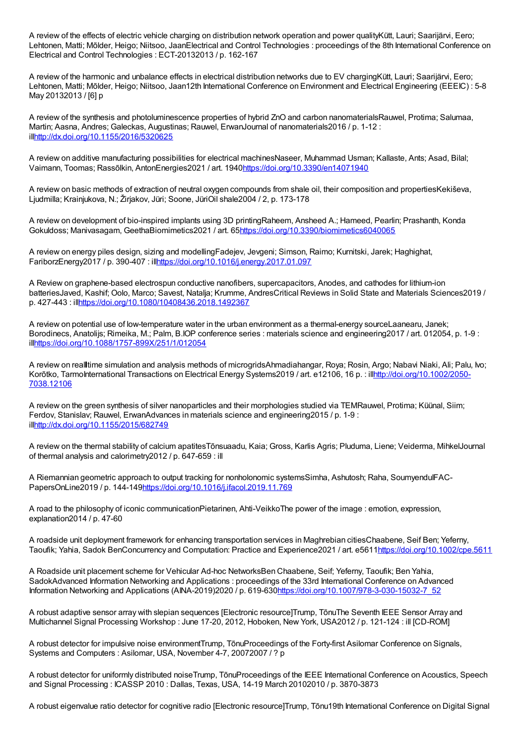A review of the effects of electric vehicle charging on distribution network operation and power qualityKütt, Lauri; Saarijärvi, Eero; Lehtonen, Matti; Mõlder, Heigo; Niitsoo, JaanElectrical and Control Technologies : proceedings of the 8th International Conference on Electrical and Control Technologies : ECT-20132013 / p. 162-167

A review of the harmonic and unbalance effects in electrical distribution networks due to EV chargingKütt, Lauri; Saarijärvi, Eero; Lehtonen, Matti; Mõlder, Heigo; Niitsoo, Jaan12th International Conference on Environment and Electrical Engineering (EEEIC) : 5-8 May 20132013 / [6] p

A review of the synthesis and photoluminescence properties of hybrid ZnO and carbon nanomaterialsRauwel, Protima; Salumaa, Martin; Aasna, Andres; Galeckas, Augustinas; Rauwel, ErwanJournal of nanomaterials2016 / p. 1-12 : il[lhttp://dx.doi.org/10.1155/2016/5320625](http://dx.doi.org/10.1155/2016/5320625)

A review on additive manufacturing possibilities for electrical machinesNaseer, Muhammad Usman; Kallaste, Ants; Asad, Bilal; Vaimann, Toomas; Rassõlkin, AntonEnergies2021 / art. 1940<https://doi.org/10.3390/en14071940>

A review on basic methods of extraction of neutral oxygen compounds from shale oil, their composition and propertiesKekiševa, Ljudmilla; Krainjukova, N.; Žirjakov, Jüri; Soone, JüriOil shale2004 / 2, p. 173-178

A review on development of bio-inspired implants using 3D printingRaheem, Ansheed A.; Hameed, Pearlin; Prashanth, Konda Gokuldoss; Manivasagam, GeethaBiomimetics2021 / art. 6[5https://doi.org/10.3390/biomimetics6040065](https://doi.org/10.3390/biomimetics6040065)

A review on energy piles design, sizing and modellingFadejev, Jevgeni; Simson, Raimo; Kurnitski, Jarek; Haghighat, FariborzEnergy2017 / p. 390-407 : il[lhttps://doi.org/10.1016/j.energy.2017.01.097](https://doi.org/10.1016/j.energy.2017.01.097)

A Review on graphene-based electrospun conductive nanofibers, supercapacitors, Anodes, and cathodes for lithium-ion batteriesJaved, Kashif; Oolo, Marco; Savest, Natalja; Krumme, AndresCritical Reviews in Solid State and Materials Sciences2019 / p. 427-443 : il[lhttps://doi.org/10.1080/10408436.2018.1492367](https://doi.org/10.1080/10408436.2018.1492367)

A review on potential use of low-temperature water in the urban environment as a thermal-energy sourceLaanearu, Janek; Borodinecs, Anatolijs; Rimeika, M.; Palm, B.IOP conference series : materials science and engineering2017 / art. 012054, p. 1-9 : il[lhttps://doi.org/10.1088/1757-899X/251/1/012054](https://doi.org/10.1088/1757-899X/251/1/012054)

A review on real time simulation and analysis methods of microgridsAhmadiahangar, Roya; Rosin, Argo; Nabavi Niaki, Ali; Palu, Ivo; Korõtko, TarmoInternational Transactions on Electrical Energy Systems2019 / art. e12106, 16 p. : [illhttp://doi.org/10.1002/2050-](http://doi.org/10.1002/2050-7038.12106) 7038.12106

A review on the green synthesis of silver nanoparticles and their morphologies studied via TEMRauwel, Protima; Küünal, Siim; Ferdov, Stanislav; Rauwel, ErwanAdvances in materials science and engineering2015 / p. 1-9 : il[lhttp://dx.doi.org/10.1155/2015/682749](http://dx.doi.org/10.1155/2015/682749)

A review on the thermal stability of calcium apatitesTõnsuaadu, Kaia; Gross, Karlis Agris; Pluduma, Liene; Veiderma, MihkelJournal of thermal analysis and calorimetry2012 / p. 647-659 : ill

A Riemannian geometric approach to output tracking for nonholonomic systemsSimha, Ashutosh; Raha, SoumyenduIFAC-PapersOnLine2019 / p. 144-14[9https://doi.org/10.1016/j.ifacol.2019.11.769](https://doi.org/10.1016/j.ifacol.2019.11.769)

A road to the philosophy of iconic communicationPietarinen, Ahti-VeikkoThe power of the image : emotion, expression, explanation2014 / p. 47-60

A roadside unit deployment framework for enhancing transportation services in Maghrebian citiesChaabene, Seif Ben; Yeferny, Taoufik; Yahia, Sadok BenConcurrency and Computation: Practice and Experience2021 / art. e561[1https://doi.org/10.1002/cpe.5611](https://doi.org/10.1002/cpe.5611)

A Roadside unit placement scheme for Vehicular Ad-hoc NetworksBen Chaabene, Seif; Yeferny, Taoufik; Ben Yahia, SadokAdvanced Information Networking and Applications : proceedings of the 33rd International Conference on Advanced Information Networking and Applications (AINA-2019)2020 / p. 619-63[0https://doi.org/10.1007/978-3-030-15032-7\\_52](https://doi.org/10.1007/978-3-030-15032-7_52)

A robust adaptive sensor array with slepian sequences [Electronic resource]Trump, TõnuThe Seventh IEEE Sensor Array and Multichannel Signal Processing Workshop : June 17-20, 2012, Hoboken, New York, USA2012 / p. 121-124 : ill [CD-ROM]

A robust detector for impulsive noise environmentTrump, TõnuProceedings of the Forty-first Asilomar Conference on Signals, Systems and Computers : Asilomar, USA, November 4-7, 20072007 / ? p

A robust detector for uniformly distributed noiseTrump, TõnuProceedings of the IEEE International Conference on Acoustics, Speech and Signal Processing : ICASSP 2010 : Dallas, Texas, USA, 14-19 March 20102010 / p. 3870-3873

A robust eigenvalue ratio detector for cognitive radio [Electronic resource]Trump, Tõnu19th International Conference on Digital Signal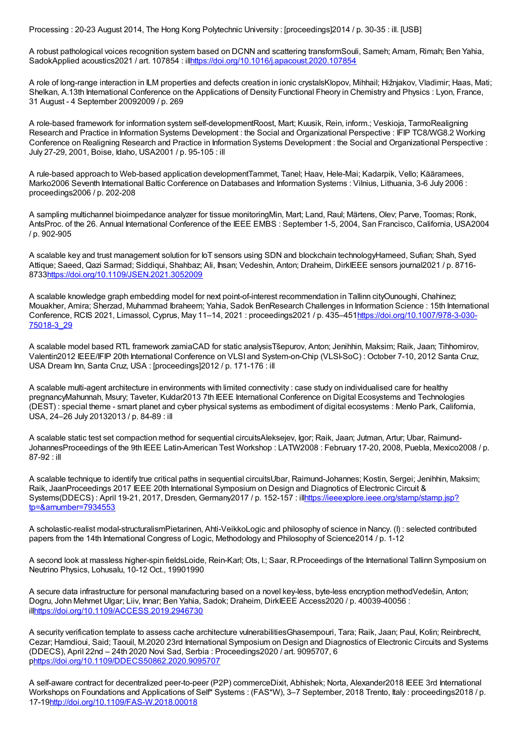Processing : 20-23 August 2014, The Hong Kong Polytechnic University : [proceedings]2014 / p. 30-35 : ill. [USB]

A robust pathological voices recognition system based on DCNN and scattering transformSouli, Sameh; Amam, Rimah; Ben Yahia, SadokApplied acoustics2021 / art. 107854 : il[lhttps://doi.org/10.1016/j.apacoust.2020.107854](https://doi.org/10.1016/j.apacoust.2020.107854)

A role of long-range interaction in ILM properties and defects creation in ionic crystalsKlopov, Mihhail; Hižnjakov, Vladimir; Haas, Mati; Shelkan, A.13th International Conference on the Applications of Density Functional Fheory in Chemistry and Physics : Lyon, France, 31 August - 4 September 20092009 / p. 269

A role-based framework for information system self-developmentRoost, Mart; Kuusik, Rein, inform.; Veskioja, TarmoRealigning Research and Practice in Information Systems Development : the Social and Organizational Perspective : IFIP TC8/WG8.2 Working Conference on Realigning Research and Practice in Information Systems Development : the Social and Organizational Perspective : July 27-29, 2001, Boise, Idaho, USA2001 / p. 95-105 : ill

A rule-based approach to Web-based application developmentTammet, Tanel; Haav, Hele-Mai; Kadarpik, Vello; Kääramees, Marko2006 Seventh International Baltic Conference on Databases and Information Systems : Vilnius, Lithuania, 3-6 July 2006 : proceedings2006 / p. 202-208

A sampling multichannel bioimpedance analyzer for tissue monitoringMin, Mart; Land, Raul; Märtens, Olev; Parve, Toomas; Ronk, AntsProc. of the 26. Annual International Conference of the IEEE EMBS : September 1-5, 2004, San Francisco, California, USA2004 / p. 902-905

A scalable key and trust management solution for IoT sensors using SDN and blockchain technologyHameed, Sufian; Shah, Syed Attique; Saeed, Qazi Sarmad; Siddiqui, Shahbaz; Ali, Ihsan; Vedeshin, Anton; Draheim, DirkIEEE sensors journal2021 / p. 8716- 873[3https://doi.org/10.1109/JSEN.2021.3052009](https://doi.org/10.1109/JSEN.2021.3052009)

A scalable knowledge graph embedding model for next point-of-interest recommendation in Tallinn cityOunoughi, Chahinez; Mouakher, Amira; Sherzad, Muhammad Ibraheem; Yahia, Sadok BenResearch Challenges in Information Science : 15th International Conference, RCIS 2021, Limassol, Cyprus, May 11–14, 2021 : proceedings2021 / p. [435–451https://doi.org/10.1007/978-3-030-](https://doi.org/10.1007/978-3-030-75018-3_29) 75018-3\_29

A scalable model based RTL framework zamiaCAD for static analysisTšepurov, Anton; Jenihhin, Maksim; Raik, Jaan; Tihhomirov, Valentin2012 IEEE/IFIP 20th International Conference on VLSI and System-on-Chip (VLSI-SoC) : October 7-10, 2012 Santa Cruz, USA Dream Inn, Santa Cruz, USA : [proceedings]2012 / p. 171-176 : ill

A scalable multi-agent architecture in environments with limited connectivity : case study on individualised care for healthy pregnancyMahunnah, Msury; Taveter, Kuldar2013 7th IEEE International Conference on Digital Ecosystems and Technologies (DEST) : special theme - smart planet and cyber physical systems as embodiment of digital ecosystems : Menlo Park, California, USA, 24–26 July 20132013 / p. 84-89 : ill

A scalable static test set compaction method for sequential circuitsAleksejev, Igor; Raik, Jaan; Jutman, Artur; Ubar, Raimund-JohannesProceedings of the 9th IEEE Latin-American Test Workshop : LATW2008 : February 17-20, 2008, Puebla, Mexico2008 / p. 87-92 : ill

A scalable technique to identify true critical paths in sequential circuitsUbar, Raimund-Johannes; Kostin, Sergei; Jenihhin, Maksim; Raik, JaanProceedings 2017 IEEE 20th International Symposium on Design and Diagnotics of Electronic Circuit & Systems(DDECS) : April 19-21, 2017, Dresden, Germany2017 / p. 152-157 : [illhttps://ieeexplore.ieee.org/stamp/stamp.jsp?](https://ieeexplore.ieee.org/stamp/stamp.jsp?tp=&arnumber=7934553) tp=&arnumber=7934553

A scholastic-realist modal-structuralismPietarinen, Ahti-VeikkoLogic and philosophy of science in Nancy. (I) : selected contributed papers from the 14th International Congress of Logic, Methodology and Philosophy of Science 2014 / p. 1-12

A second look at massless higher-spin fieldsLoide, Rein-Karl; Ots, I.; Saar, R.Proceedings of the International Tallinn Symposium on Neutrino Physics, Lohusalu, 10-12 Oct., 19901990

A secure data infrastructure for personal manufacturing based on a novel key-less, byte-less encryption methodVedešin, Anton; Dogru, John Mehmet Ulgar; Liiv, Innar; Ben Yahia, Sadok; Draheim, DirkIEEE Access2020 / p. 40039-40056 : il[lhttps://doi.org/10.1109/ACCESS.2019.2946730](https://doi.org/10.1109/ACCESS.2019.2946730)

A security verification template to assess cache architecture vulnerabilitiesGhasempouri, Tara; Raik, Jaan; Paul, Kolin; Reinbrecht, Cezar; Hamdioui, Said; Taouil, M.2020 23rd International Symposium on Design and Diagnostics of Electronic Circuits and Systems (DDECS), April 22nd – 24th 2020 Novi Sad, Serbia : Proceedings2020 / art. 9095707, 6 p<https://doi.org/10.1109/DDECS50862.2020.9095707>

A self-aware contract for decentralized peer-to-peer (P2P) commerceDixit, Abhishek; Norta, Alexander2018 IEEE 3rd International Workshops on Foundations and Applications of Self\* Systems : (FAS\*W), 3–7 September, 2018 Trento, Italy : proceedings2018 / p. 17-1[9http://doi.org/10.1109/FAS-W.2018.00018](http://doi.org/10.1109/FAS-W.2018.00018)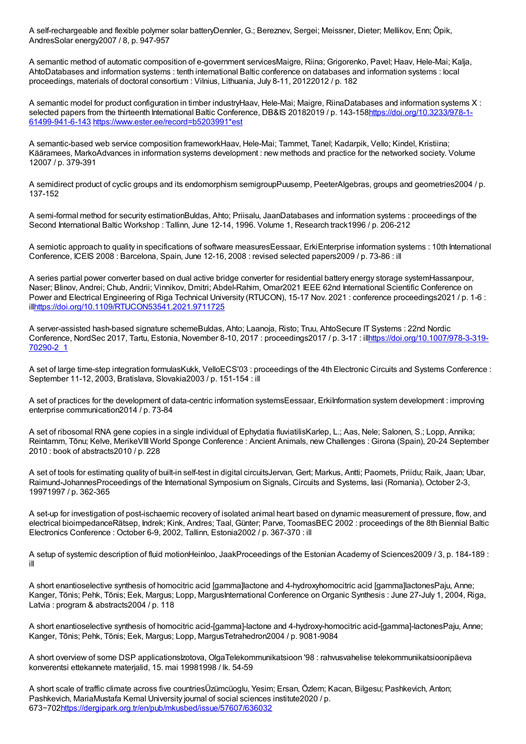A self-rechargeable and flexible polymer solar batteryDennler, G.; Bereznev, Sergei; Meissner, Dieter; Mellikov, Enn; Öpik, AndresSolar energy2007 / 8, p. 947-957

A semantic method of automatic composition of e-government servicesMaigre, Riina; Grigorenko, Pavel; Haav, Hele-Mai; Kalja, AhtoDatabases and information systems : tenth international Baltic conference on databases and information systems : local proceedings, materials of doctoral consortium : Vilnius, Lithuania, July 8-11, 20122012 / p. 182

A semantic model for product configuration in timber industryHaav, Hele-Mai; Maigre, RiinaDatabases and information systems X : selected papers from the thirteenth International Baltic Conference, DB&IS 20182019 / p. [143-158https://doi.org/10.3233/978-1-](https://doi.org/10.3233/978-1-61499-941-6-143) 61499-941-6-143 [https://www.ester.ee/record=b5203991\\*est](https://www.ester.ee/record=b5203991*est)

A semantic-based web service composition frameworkHaav, Hele-Mai; Tammet, Tanel; Kadarpik, Vello; Kindel, Kristiina; Kääramees, MarkoAdvances in information systems development : new methods and practice for the networked society. Volume 12007 / p. 379-391

A semidirect product of cyclic groups and its endomorphism semigroupPuusemp, PeeterAlgebras, groups and geometries2004 / p. 137-152

A semi-formal method for security estimationBuldas, Ahto; Priisalu, JaanDatabases and information systems : proceedings of the Second International Baltic Workshop : Tallinn, June 12-14, 1996. Volume 1, Research track1996 / p. 206-212

A semiotic approach to quality in specifications of software measuresEessaar, ErkiEnterprise information systems : 10th International Conference, ICEIS 2008 : Barcelona, Spain, June 12-16, 2008 : revised selected papers2009 / p. 73-86 : ill

A series partial power converter based on dual active bridge converter for residential battery energy storage systemHassanpour, Naser; Blinov, Andrei; Chub, Andrii; Vinnikov, Dmitri; Abdel-Rahim, Omar2021 IEEE 62nd International Scientific Conference on Power and Electrical Engineering of Riga Technical University (RTUCON), 15-17 Nov. 2021 : conference proceedings2021 / p. 1-6 : il[lhttps://doi.org/10.1109/RTUCON53541.2021.9711725](https://doi.org/10.1109/RTUCON53541.2021.9711725)

A server-assisted hash-based signature schemeBuldas, Ahto; Laanoja, Risto; Truu, AhtoSecure IT Systems : 22nd Nordic Conference, NordSec 2017, Tartu, Estonia, November 8-10, 2017 : proceedings2017 / p. 3-17 : [illhttps://doi.org/10.1007/978-3-319-](https://doi.org/10.1007/978-3-319-70290-2_1) 70290-2\_1

A set of large time-step integration formulasKukk, VelloECS'03 : proceedings of the 4th Electronic Circuits and Systems Conference : September 11-12, 2003, Bratislava, Slovakia2003 / p. 151-154 : ill

A set of practices for the development of data-centric information systemsEessaar, ErkiInformation system development : improving enterprise communication2014 / p. 73-84

A set of ribosomal RNA gene copies in a single individual of Ephydatia fluviatilisKarlep, L.; Aas, Nele; Salonen, S.; Lopp, Annika; Reintamm, Tõnu; Kelve, MerikeVIII World Sponge Conference : Ancient Animals, new Challenges : Girona (Spain), 20-24 September 2010 : book of abstracts2010 / p. 228

A set of tools for estimating quality of built-in self-test in digital circuitsJervan, Gert; Markus, Antti; Paomets, Priidu; Raik, Jaan; Ubar, Raimund-JohannesProceedings of the International Symposium on Signals, Circuits and Systems, Iasi (Romania), October 2-3, 19971997 / p. 362-365

A set-up for investigation of post-ischaemic recovery of isolated animal heart based on dynamic measurement of pressure, flow, and electrical bioimpedanceRätsep, Indrek; Kink, Andres; Taal, Günter; Parve, ToomasBEC 2002 : proceedings of the 8th Biennial Baltic Electronics Conference : October 6-9, 2002, Tallinn, Estonia2002 / p. 367-370 : ill

A setup of systemic description of fluid motionHeinloo, JaakProceedings of the Estonian Academy of Sciences2009 / 3, p. 184-189 : ill

A short enantioselective synthesis of homocitric acid [gamma]lactone and 4-hydroxyhomocitric acid [gamma]lactonesPaju, Anne; Kanger, Tõnis; Pehk, Tõnis; Eek, Margus; Lopp, MargusInternational Conference on Organic Synthesis : June 27-July 1, 2004, Riga, Latvia : program & abstracts2004 / p. 118

A short enantioselective synthesis of homocitric acid-[gamma]-lactone and 4-hydroxy-homocitric acid-[gamma]-lactonesPaju, Anne; Kanger, Tõnis; Pehk, Tõnis; Eek, Margus; Lopp, MargusTetrahedron2004 / p. 9081-9084

A short overview of some DSP applicationsIzotova, OlgaTelekommunikatsioon '98 : rahvusvahelise telekommunikatsioonipäeva konverentsi ettekannete materjalid, 15. mai 19981998 / lk. 54-59

A short scale of traffic climate across five countriesÜzümcüoglu, Yesim; Ersan, Özlem; Kacan, Bilgesu; Pashkevich, Anton; Pashkevich, MariaMustafa Kemal University journal of social sciences institute2020 / p. 673−702<https://dergipark.org.tr/en/pub/mkusbed/issue/57607/636032>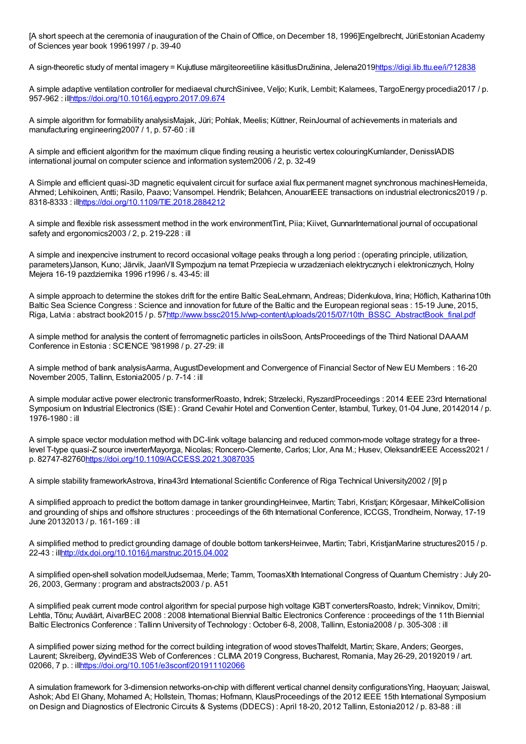[A short speech at the ceremonia of inauguration of the Chain of Office, on December 18, 1996]Engelbrecht, JüriEstonian Academy of Sciences year book 19961997 / p. 39-40

A sign-theoretic study of mental imagery = Kujutluse märgiteoreetiline käsitlusDružinina, Jelena201[9https://digi.lib.ttu.ee/i/?12838](https://digi.lib.ttu.ee/i/?12838)

A simple adaptive ventilation controller for mediaeval churchSinivee, Veljo; Kurik, Lembit; Kalamees, TargoEnergy procedia2017 / p. 957-962 : il[lhttps://doi.org/10.1016/j.egypro.2017.09.674](https://doi.org/10.1016/j.egypro.2017.09.674)

A simple algorithm for formability analysisMajak, Jüri; Pohlak, Meelis; Küttner, ReinJournal of achievements in materials and manufacturing engineering2007 / 1, p. 57-60 : ill

A simple and efficient algorithm for the maximum clique finding reusing a heuristic vertex colouringKumlander, DenissIADIS international journal on computer science and information system2006 / 2, p. 32-49

A Simple and efficient quasi-3D magnetic equivalent circuit for surface axial flux permanent magnet synchronous machinesHemeida, Ahmed; Lehikoinen, Antti; Rasilo, Paavo; Vansompel. Hendrik; Belahcen, AnouarIEEE transactions on industrial electronics2019 / p. 8318-8333 : il[lhttps://doi.org/10.1109/TIE.2018.2884212](https://doi.org/10.1109/TIE.2018.2884212)

A simple and flexible risk assessment method in the work environmentTint, Piia; Kiivet, GunnarInternational journal of occupational safety and ergonomics2003 / 2, p. 219-228 : ill

A simple and inexpencive instrument to record occasional voltage peaks through a long period : (operating principle, utilization, parameters)Janson, Kuno; Järvik, JaanVIISympozjum na temat Przepiecia w urzadzeniach elektrycznych i elektronicznych, Holny Mejera 16-19 pazdziernika 1996 r1996 / s. 43-45: ill

A simple approach to determine the stokes drift for the entire Baltic SeaLehmann, Andreas; Didenkulova, Irina; Höflich, Katharina10th Baltic Sea Science Congress : Science and innovation for future of the Baltic and the European regional seas : 15-19 June, 2015, Riga, Latvia : abstract book2015 / p. 5[7http://www.bssc2015.lv/wp-content/uploads/2015/07/10th\\_BSSC\\_AbstractBook\\_final.pdf](http://www.bssc2015.lv/wp-content/uploads/2015/07/10th_BSSC_AbstractBook_final.pdf)

A simple method for analysis the content of ferromagnetic particles in oilsSoon, AntsProceedings of the Third National DAAAM Conference in Estonia : SCIENCE '981998 / p. 27-29: ill

A simple method of bank analysisAarma, AugustDevelopment and Convergence of Financial Sector of New EU Members : 16-20 November 2005, Tallinn, Estonia2005 / p. 7-14 : ill

A simple modular active power electronic transformerRoasto, Indrek; Strzelecki, RyszardProceedings : 2014 IEEE 23rd International Symposium on Industrial Electronics (ISIE): Grand Cevahir Hotel and Convention Center, Istambul, Turkey, 01-04 June, 20142014 / p. 1976-1980 : ill

A simple space vector modulation method with DC-link voltage balancing and reduced common-mode voltage strategy for a threelevel T-type quasi-Z source inverterMayorga, Nicolas; Roncero-Clemente, Carlos; Llor, Ana M.; Husev, OleksandrIEEE Access2021 / p. 82747-82760<https://doi.org/10.1109/ACCESS.2021.3087035>

A simple stability frameworkAstrova, Irina43rd International Scientific Conference of Riga Technical University2002 / [9] p

A simplified approach to predict the bottom damage in tanker groundingHeinvee, Martin; Tabri, Kristjan; Kõrgesaar, MihkelCollision and grounding of ships and offshore structures : proceedings of the 6th International Conference, ICCGS, Trondheim, Norway, 17-19 June 20132013 / p. 161-169 : ill

A simplified method to predict grounding damage of double bottom tankersHeinvee, Martin; Tabri, KristjanMarine structures2015 / p. 22-43 : il[lhttp://dx.doi.org/10.1016/j.marstruc.2015.04.002](http://dx.doi.org/10.1016/j.marstruc.2015.04.002)

A simplified open-shell solvation modelUudsemaa, Merle; Tamm, ToomasXIth International Congress of Quantum Chemistry : July 20- 26, 2003, Germany : program and abstracts2003 / p. A51

A simplified peak current mode control algorithm for special purpose high voltage IGBT convertersRoasto, Indrek; Vinnikov, Dmitri; Lehtla, Tõnu; Auväärt, AivarBEC 2008 : 2008 International Biennial Baltic Electronics Conference : proceedings of the 11th Biennial Baltic Electronics Conference : Tallinn University of Technology : October 6-8, 2008, Tallinn, Estonia2008 / p. 305-308 : ill

A simplified power sizing method for the correct building integration of wood stovesThalfeldt, Martin; Skare, Anders; Georges, Laurent; Skreiberg, ØyvindE3S Web of Conferences : CLIMA 2019 Congress, Bucharest, Romania, May 26-29, 20192019 / art. 02066, 7 p. : il[lhttps://doi.org/10.1051/e3sconf/201911102066](https://doi.org/10.1051/e3sconf/201911102066)

A simulation framework for 3-dimension networks-on-chip with different vertical channel density configurationsYing, Haoyuan; Jaiswal, Ashok; Abd El Ghany, Mohamed A; Hollstein, Thomas; Hofmann, KlausProceedings of the 2012 IEEE 15th International Symposium on Design and Diagnostics of Electronic Circuits & Systems (DDECS) : April 18-20, 2012 Tallinn, Estonia2012 / p. 83-88 : ill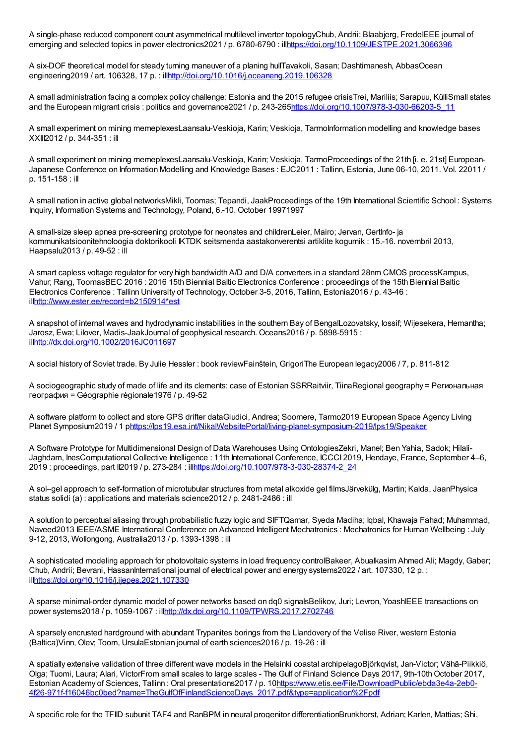A single-phase reduced component count asymmetrical multilevel inverter topologyChub, Andrii; Blaabjerg, FredeIEEE journal of emerging and selected topics in power electronics2021 / p. 6780-6790 : il[lhttps://doi.org/10.1109/JESTPE.2021.3066396](https://doi.org/10.1109/JESTPE.2021.3066396)

A six-DOF theoretical model for steady turning maneuver of a planing hullTavakoli, Sasan; Dashtimanesh, AbbasOcean engineering2019 / art. 106328, 17 p. : il[lhttp://doi.org/10.1016/j.oceaneng.2019.106328](http://doi.org/10.1016/j.oceaneng.2019.106328)

A small administration facing a complex policy challenge: Estonia and the 2015 refugee crisisTrei, Mariliis; Sarapuu, KülliSmall states and the European migrant crisis : politics and governance2021 / p. 243-26[5https://doi.org/10.1007/978-3-030-66203-5\\_11](https://doi.org/10.1007/978-3-030-66203-5_11)

A small experiment on mining memeplexesLaansalu-Veskioja, Karin; Veskioja, TarmoInformation modelling and knowledge bases XXIII2012 / p. 344-351 : ill

A small experiment on mining memeplexesLaansalu-Veskioja, Karin; Veskioja, TarmoProceedings of the 21th [i. e. 21st] European-Japanese Conference on Information Modelling and Knowledge Bases : EJC2011 : Tallinn, Estonia, June 06-10, 2011. Vol. 22011 / p. 151-158 : ill

A small nation in active global networksMikli, Toomas; Tepandi, JaakProceedings of the 19th International Scientific School : Systems Inquiry, Information Systems and Technology, Poland, 6.-10. October 19971997

A small-size sleep apnea pre-screening prototype for neonates and childrenLeier, Mairo; Jervan, GertInfo- ja kommunikatsioonitehnoloogia doktorikooli IKTDK seitsmenda aastakonverentsi artiklite kogumik : 15.-16. novembril 2013, Haapsalu2013 / p. 49-52 : ill

A smart capless voltage regulator for very high bandwidth A/D and D/A converters in a standard 28nm CMOS processKampus, Vahur; Rang, ToomasBEC 2016 : 2016 15th Biennial Baltic Electronics Conference : proceedings of the 15th Biennial Baltic Electronics Conference : Tallinn University of Technology, October 3-5, 2016, Tallinn, Estonia2016 / p. 43-46 : il[lhttp://www.ester.ee/record=b2150914\\*est](http://www.ester.ee/record=b2150914*est)

A snapshot of internal waves and hydrodynamic instabilities in the southern Bay of BengalLozovatsky, Iossif; Wijesekera, Hemantha; Jarosz, Ewa; Lilover, Madis-JaakJournal of geophysical research. Oceans2016 / p. 5898-5915 : il[lhttp://dx.doi.org/10.1002/2016JC011697](http://dx.doi.org/10.1002/2016JC011697)

A social history of Soviet trade. By Julie Hessler : book reviewFainštein, GrigoriThe European legacy2006 / 7, p. 811-812

A sociogeographic study of made of life and its clements: case of Estonian SSRRaitviir, TiinaRegional geography = Региональная география = Géographie régionale1976 / p. 49-52

A software platform to collect and store GPS drifter dataGiudici, Andrea; Soomere, Tarmo2019 European Space Agency Living Planet Symposium2019 / 1 [phttps://lps19.esa.int/NikalWebsitePortal/living-planet-symposium-2019/lps19/Speaker](https://lps19.esa.int/NikalWebsitePortal/living-planet-symposium-2019/lps19/Speaker)

A Software Prototype for Multidimensional Design of Data Warehouses Using OntologiesZekri, Manel; Ben Yahia, Sadok; Hilali-Jaghdam, InesComputational Collective Intelligence : 11th International Conference, ICCCI 2019, Hendaye, France, September 4–6, 2019 : proceedings, part II2019 / p. 273-284 : il[lhttps://doi.org/10.1007/978-3-030-28374-2\\_24](https://doi.org/10.1007/978-3-030-28374-2_24)

A sol–gel approach to self-formation of microtubular structures from metal alkoxide gel filmsJärvekülg, Martin; Kalda, JaanPhysica status solidi (a) : applications and materials science2012 / p. 2481-2486 : ill

A solution to perceptual aliasing through probabilistic fuzzy logic and SIFTQamar, Syeda Madiha; Iqbal, Khawaja Fahad; Muhammad, Naveed2013 IEEE/ASME International Conference on Advanced Intelligent Mechatronics : Mechatronics for Human Wellbeing : July 9-12, 2013, Wollongong, Australia2013 / p. 1393-1398 : ill

A sophisticated modeling approach for photovoltaic systems in load frequency controlBakeer, Abualkasim Ahmed Ali; Magdy, Gaber; Chub, Andrii; Bevrani, HassanInternational journal of electrical power and energy systems2022 / art. 107330, 12 p. : il[lhttps://doi.org/10.1016/j.ijepes.2021.107330](https://doi.org/10.1016/j.ijepes.2021.107330)

A sparse minimal-order dynamic model of power networks based on dq0 signalsBelikov, Juri; Levron, YoashIEEE transactions on power systems2018 / p. 1059-1067 : il[lhttp://dx.doi.org/10.1109/TPWRS.2017.2702746](http://dx.doi.org/10.1109/TPWRS.2017.2702746)

A sparsely encrusted hardground with abundant Trypanites borings from the Llandovery of the Velise River, western Estonia (Baltica)Vinn, Olev; Toom, UrsulaEstonian journal of earth sciences2016 / p. 19-26 : ill

A spatially extensive validation of three different wave models in the Helsinki coastal archipelagoBjörkqvist, Jan-Victor; Vähä-Piikkiö, Olga; Tuomi, Laura; Alari, VictorFrom small scales to large scales - The Gulf of Finland Science Days 2017, 9th-10thOctober 2017, Estonian Academy of Sciences, Tallinn : Oral presentations2017 / p. 10https://www.etis.ee/File/DownloadPublic/ebda3e4a-2eb0-[4f26-971f-f16046bc0bed?name=TheGulfOfFinlandScienceDays\\_2017.pdf&type=application%2Fpdf](https://www.etis.ee/File/DownloadPublic/ebda3e4a-2eb0-4f26-971f-f16046bc0bed?name=TheGulfOfFinlandScienceDays_2017.pdf&type=application%2Fpdf)

A specific role for the TFIID subunit TAF4 and RanBPM in neural progenitor differentiationBrunkhorst, Adrian; Karlen, Mattias; Shi,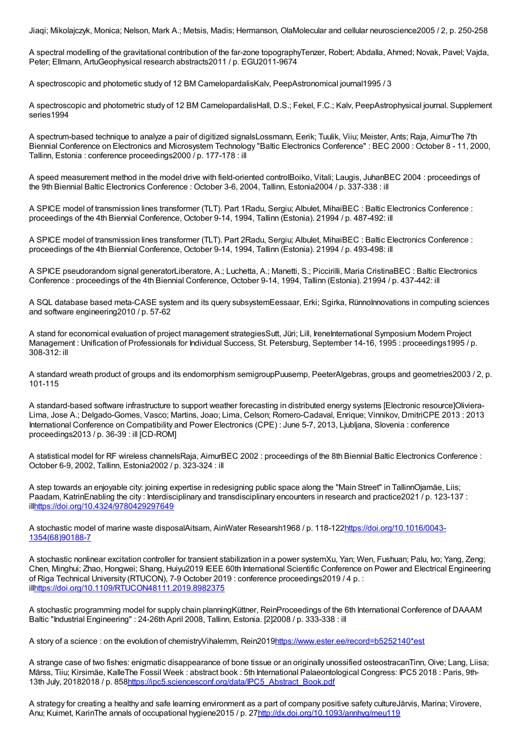Jiaqi; Mikolajczyk, Monica; Nelson, Mark A.; Metsis, Madis; Hermanson, OlaMolecular and cellular neuroscience2005 / 2, p. 250-258

A spectral modelling of the gravitational contribution of the far-zone topographyTenzer, Robert; Abdalla, Ahmed; Novak, Pavel; Vajda, Peter; Ellmann, ArtuGeophysical research abstracts2011 / p. EGU2011-9674

A spectroscopic and photometic study of 12 BM CamelopardalisKalv, PeepAstronomical journal1995 / 3

A spectroscopic and photometric study of 12 BM CamelopardalisHall, D.S.; Fekel, F.C.; Kalv, PeepAstrophysical journal. Supplement series1994

A spectrum-based technique to analyze a pair of digitized signalsLossmann, Eerik; Tuulik, Viiu; Meister, Ants; Raja, AimurThe 7th Biennial Conference on Electronics and Microsystem Technology "Baltic Electronics Conference" : BEC 2000 : October 8 - 11, 2000, Tallinn, Estonia : conference proceedings2000 / p. 177-178 : ill

A speed measurement method in the model drive with field-oriented controlBoiko, Vitali; Laugis, JuhanBEC 2004 : proceedings of the 9th Biennial Baltic Electronics Conference : October 3-6, 2004, Tallinn, Estonia2004 / p. 337-338 : ill

A SPICE model of transmission lines transformer (TLT). Part 1Radu, Sergiu; Albulet, MihaiBEC : Baltic Electronics Conference : proceedings of the 4th Biennial Conference, October 9-14, 1994, Tallinn (Estonia). 21994 / p. 487-492: ill

A SPICE model of transmission lines transformer (TLT). Part 2Radu, Sergiu; Albulet, MihaiBEC : Baltic Electronics Conference : proceedings of the 4th Biennial Conference, October 9-14, 1994, Tallinn (Estonia). 21994 / p. 493-498: ill

A SPICE pseudorandom signal generatorLiberatore, A.; Luchetta, A.; Manetti, S.; Piccirilli, Maria CristinaBEC : Baltic Electronics Conference : proceedings of the 4th Biennial Conference, October 9-14, 1994, Tallinn (Estonia). 21994 / p. 437-442: ill

A SQL database based meta-CASE system and its query subsystemEessaar, Erki; Sgirka, RünnoInnovations in computing sciences and software engineering2010 / p. 57-62

A stand for economical evaluation of project management strategiesSutt, Jüri; Lill, IreneInternational Symposium Modern Project Management : Unification of Professionals for Individual Success, St. Petersburg, September 14-16, 1995 : proceedings1995 / p. 308-312: ill

A standard wreath product of groups and its endomorphism semigroupPuusemp, PeeterAlgebras, groups and geometries2003 / 2, p. 101-115

A standard-based software infrastructure to support weather forecasting in distributed energy systems [Electronic resource]Oliviera-Lima, Jose A.; Delgado-Gomes, Vasco; Martins, Joao; Lima, Celson; Romero-Cadaval, Enrique; Vinnikov, DmitriCPE 2013 : 2013 International Conference on Compatibility and Power Electronics (CPE) : June 5-7, 2013, Ljubljana, Slovenia : conference proceedings2013 / p. 36-39 : ill [CD-ROM]

A statistical model for RF wireless channelsRaja, AimurBEC 2002 : proceedings of the 8th Biennial Baltic Electronics Conference : October 6-9, 2002, Tallinn, Estonia2002 / p. 323-324 : ill

A step towards an enjoyable city: joining expertise in redesigning public space along the "Main Street" in TallinnOjamäe, Liis; Paadam, KatrinEnabling the city : Interdisciplinary and transdisciplinary encounters in research and practice2021 / p. 123-137 : il[lhttps://doi.org/10.4324/9780429297649](https://doi.org/10.4324/9780429297649)

A stochastic model of marine waste disposalAitsam, AinWater Researsh1968 / p. [118-122https://doi.org/10.1016/0043-](https://doi.org/10.1016/0043-1354(68)90188-7) 1354(68)90188-7

A stochastic nonlinear excitation controller for transient stabilization in a power systemXu, Yan; Wen, Fushuan; Palu, Ivo; Yang, Zeng; Chen, Minghui; Zhao, Hongwei; Shang, Huiyu2019 IEEE 60th International Scientific Conference on Power and Electrical Engineering of Riga Technical University (RTUCON), 7-9 October 2019 : conference proceedings2019 / 4 p. : il[lhttps://doi.org/10.1109/RTUCON48111.2019.8982375](https://doi.org/10.1109/RTUCON48111.2019.8982375)

A stochastic programming model for supply chain planningKüttner, ReinProceedings of the 6th International Conference of DAAAM Baltic "Industrial Engineering" : 24-26th April 2008, Tallinn, Estonia. [2]2008 / p. 333-338 : ill

A story of a science : on the evolution of chemistryVihalemm, Rein201[9https://www.ester.ee/record=b5252140\\*est](https://www.ester.ee/record=b5252140*est)

A strange case of two fishes: enigmatic disappearance of bone tissue or an originally unossified osteostracanTinn, Oive; Lang, Liisa; Märss, Tiiu; Kirsimäe, KalleThe Fossil Week : abstract book : 5th International Palaeontological Congress: IPC5 2018 : Paris, 9th-13th July, 20182018 / p. 85[8https://ipc5.sciencesconf.org/data/IPC5\\_Abstract\\_Book.pdf](https://ipc5.sciencesconf.org/data/IPC5_Abstract_Book.pdf)

A strategy for creating a healthy and safe learning environment as a part of company positive safety cultureJärvis, Marina; Virovere, Anu; Kuimet, KarinThe annals of occupational hygiene2015 / p. 2[7http://dx.doi.org/10.1093/annhyg/meu119](http://dx.doi.org/10.1093/annhyg/meu119)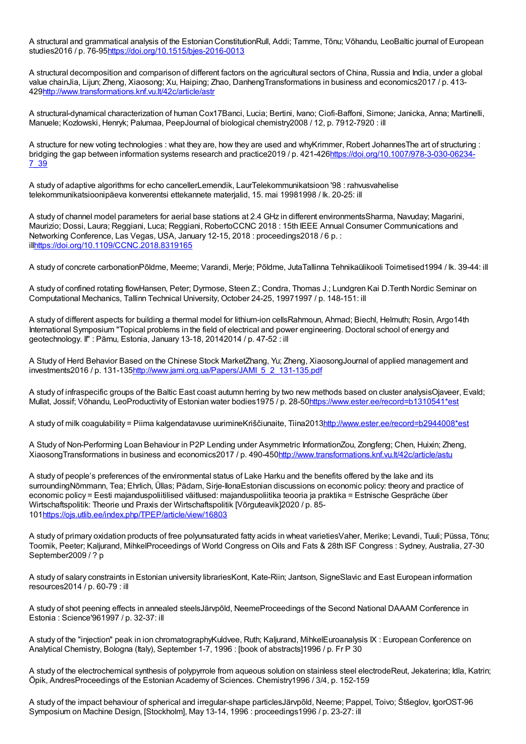A structural and grammatical analysis of the Estonian ConstitutionRull, Addi; Tamme, Tõnu; Võhandu, LeoBaltic journal of European studies2016 / p. 76-9[5https://doi.org/10.1515/bjes-2016-0013](https://doi.org/10.1515/bjes-2016-0013)

A structural decomposition and comparison of different factors on the agricultural sectors of China, Russia and India, under a global value chainJia, Lijun; Zheng, Xiaosong; Xu, Haiping; Zhao, DanhengTransformations in business and economics2017 / p. 413- 42[9http://www.transformations.knf.vu.lt/42c/article/astr](http://www.transformations.knf.vu.lt/42c/article/astr)

A structural-dynamical characterization of human Cox17Banci, Lucia; Bertini, Ivano; Ciofi-Baffoni, Simone; Janicka, Anna; Martinelli, Manuele; Kozlowski, Henryk; Palumaa, PeepJournal of biological chemistry2008 / 12, p. 7912-7920 : ill

A structure for new voting technologies : what they are, how they are used and whyKrimmer, Robert JohannesThe art of structuring : bridging the gap between information systems research and practice2019 / p. [421-426https://doi.org/10.1007/978-3-030-06234-](https://doi.org/10.1007/978-3-030-06234-7_39) 7\_39

A study of adaptive algorithms for echo cancellerLemendik, LaurTelekommunikatsioon '98 : rahvusvahelise telekommunikatsioonipäeva konverentsi ettekannete materjalid, 15. mai 19981998 / lk. 20-25: ill

A study of channel model parameters for aerial base stations at 2.4 GHz in different environmentsSharma, Navuday; Magarini, Maurizio; Dossi, Laura; Reggiani, Luca; Reggiani, RobertoCCNC 2018 : 15th IEEE Annual Consumer Communications and Networking Conference, Las Vegas, USA, January 12-15, 2018 : proceedings2018 / 6 p. : il[lhttps://doi.org/10.1109/CCNC.2018.8319165](https://doi.org/10.1109/CCNC.2018.8319165)

A study of concrete carbonationPõldme, Meeme; Varandi, Merje; Põldme, JutaTallinna Tehnikaülikooli Toimetised1994 / lk. 39-44: ill

A study of confined rotating flowHansen, Peter; Dyrmose, Steen Z.; Condra, Thomas J.; Lundgren Kai D.Tenth Nordic Seminar on Computational Mechanics, Tallinn Technical University, October 24-25, 19971997 / p. 148-151: ill

A study of different aspects for building a thermal model for lithium-ion cellsRahmoun, Ahmad; Biechl, Helmuth; Rosin, Argo14th International Symposium "Topical problems in the field of electrical and power engineering. Doctoral school of energy and geotechnology. II" : Pärnu, Estonia, January 13-18, 20142014 / p. 47-52 : ill

A Study of Herd Behavior Based on the Chinese Stock MarketZhang, Yu; Zheng, XiaosongJournal of applied management and investments2016 / p. 131-13[5http://www.jami.org.ua/Papers/JAMI\\_5\\_2\\_131-135.pdf](http://www.jami.org.ua/Papers/JAMI_5_2_131-135.pdf)

A study of infraspecific groups of the Baltic East coast autumn herring by two new methods based on cluster analysisOjaveer, Evald; Mullat, Jossif; Võhandu, LeoProductivity of Estonian water bodies1975 / p. 28-5[0https://www.ester.ee/record=b1310541\\*est](https://www.ester.ee/record=b1310541*est)

A study of milk coagulability = Piima kalgendatavuse uurimineKriščiunaite, Tiina201[3http://www.ester.ee/record=b2944008\\*est](http://www.ester.ee/record=b2944008*est)

A Study of Non-Performing Loan Behaviour in P2P Lending under Asymmetric InformationZou, Zongfeng; Chen, Huixin; Zheng, XiaosongTransformations in business and economics2017 / p. 490-45[0http://www.transformations.knf.vu.lt/42c/article/astu](http://www.transformations.knf.vu.lt/42c/article/astu)

A study of people's preferences of the environmental status of Lake Harku and the benefits offered by the lake and its surroundingNõmmann, Tea; Ehrlich, Üllas; Pädam, Sirje-IlonaEstonian discussions on economic policy: theory and practice of economic policy = Eesti majanduspoliitilised väitlused: majanduspoliitika teooria ja praktika = Estnische Gespräche über Wirtschaftspolitik: Theorie und Praxis der Wirtschaftspolitik [Võrguteavik]2020 / p. 85- 10[1https://ojs.utlib.ee/index.php/TPEP/article/view/16803](https://ojs.utlib.ee/index.php/TPEP/article/view/16803)

A study of primary oxidation products of free polyunsaturated fatty acids in wheat varietiesVaher, Merike; Levandi, Tuuli; Püssa, Tõnu; Toomik, Peeter; Kaljurand, MihkelProceedings of World Congress on Oils and Fats & 28th ISF Congress : Sydney, Australia, 27-30 September2009 / ? p

A study of salary constraints in Estonian university librariesKont, Kate-Riin; Jantson, SigneSlavic and East European information resources2014 / p. 60-79 : ill

A study of shot peening effects in annealed steelsJärvpõld, NeemeProceedings of the Second National DAAAM Conference in Estonia : Science'961997 / p. 32-37: ill

A study of the "injection" peak in ion chromatographyKuldvee, Ruth; Kaljurand, MihkelEuroanalysis IX : European Conference on Analytical Chemistry, Bologna (Italy), September 1-7, 1996 : [book of abstracts]1996 / p. Fr P 30

A study of the electrochemical synthesis of polypyrrole from aqueous solution on stainless steel electrodeReut, Jekaterina; Idla, Katrin; Öpik, AndresProceedings of the Estonian Academy of Sciences. Chemistry1996 / 3/4, p. 152-159

A study of the impact behaviour of spherical and irregular-shape particlesJärvpõld, Neeme; Pappel, Toivo; Štšeglov, IgorOST-96 Symposium on Machine Design, [Stockholm], May 13-14, 1996 : proceedings1996 / p. 23-27: ill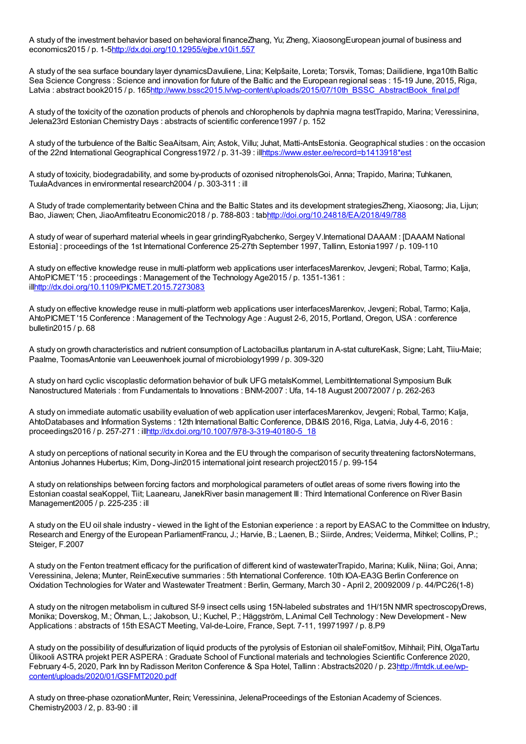A study of the investment behavior based on behavioral financeZhang, Yu; Zheng, XiaosongEuropean journal of business and economics2015 / p. 1-[5http://dx.doi.org/10.12955/ejbe.v10i1.557](http://dx.doi.org/10.12955/ejbe.v10i1.557)

A study of the sea surface boundary layer dynamicsDavuliene, Lina; Kelpšaite, Loreta; Torsvik, Tomas; Dailidiene, Inga10th Baltic Sea Science Congress : Science and innovation for future of the Baltic and the European regional seas : 15-19 June, 2015, Riga, Latvia : abstract book2015 / p. 16[5http://www.bssc2015.lv/wp-content/uploads/2015/07/10th\\_BSSC\\_AbstractBook\\_final.pdf](http://www.bssc2015.lv/wp-content/uploads/2015/07/10th_BSSC_AbstractBook_final.pdf)

A study of the toxicity of the ozonation products of phenols and chlorophenols by daphnia magna testTrapido, Marina; Veressinina, Jelena23rd Estonian Chemistry Days : abstracts of scientific conference1997 / p. 152

A study of the turbulence of the Baltic SeaAitsam, Ain; Astok, Villu; Juhat, Matti-AntsEstonia. Geographical studies : on the occasion of the 22nd International Geographical Congress1972 / p. 31-39 : il[lhttps://www.ester.ee/record=b1413918\\*est](https://www.ester.ee/record=b1413918*est)

A study of toxicity, biodegradability, and some by-products of ozonised nitrophenolsGoi, Anna; Trapido, Marina; Tuhkanen, TuulaAdvances in environmental research2004 / p. 303-311 : ill

A Study of trade complementarity between China and the Baltic States and its development strategiesZheng, Xiaosong; Jia, Lijun; Bao, Jiawen; Chen, JiaoAmfiteatru Economic2018 / p. 788-803 : ta[bhttp://doi.org/10.24818/EA/2018/49/788](http://doi.org/10.24818/EA/2018/49/788)

A study of wear of superhard material wheels in gear grindingRyabchenko, Sergey V.International DAAAM :[DAAAM National Estonia] : proceedings of the 1st International Conference 25-27th September 1997, Tallinn, Estonia1997 / p. 109-110

A study on effective knowledge reuse in multi-platform web applications user interfacesMarenkov, Jevgeni; Robal, Tarmo; Kalja, AhtoPICMET '15 : proceedings : Management of the Technology Age2015 / p. 1351-1361 : il[lhttp://dx.doi.org/10.1109/PICMET.2015.7273083](http://dx.doi.org/10.1109/PICMET.2015.7273083)

A study on effective knowledge reuse in multi-platform web applications user interfacesMarenkov, Jevgeni; Robal, Tarmo; Kalja, AhtoPICMET '15 Conference : Management of the Technology Age : August 2-6, 2015, Portland, Oregon, USA : conference bulletin2015 / p. 68

A study on growth characteristics and nutrient consumption of Lactobacillus plantarum in A-stat cultureKask, Signe; Laht, Tiiu-Maie; Paalme, ToomasAntonie van Leeuwenhoek journal of microbiology1999 / p. 309-320

A study on hard cyclic viscoplastic deformation behavior of bulk UFG metalsKommel, LembitInternational Symposium Bulk Nanostructured Materials : from Fundamentals to Innovations : BNM-2007 : Ufa, 14-18 August 20072007 / p. 262-263

A study on immediate automatic usability evaluation of web application user interfacesMarenkov, Jevgeni; Robal, Tarmo; Kalja, AhtoDatabases and Information Systems : 12th International Baltic Conference, DB&IS 2016, Riga, Latvia, July 4-6, 2016 : proceedings2016 / p. 257-271 : il[lhttp://dx.doi.org/10.1007/978-3-319-40180-5\\_18](http://dx.doi.org/10.1007/978-3-319-40180-5_18)

A study on perceptions of national security in Korea and the EU through the comparison of security threatening factorsNotermans, Antonius Johannes Hubertus; Kim, Dong-Jin2015 international joint research project2015 / p. 99-154

A study on relationships between forcing factors and morphological parameters of outlet areas of some rivers flowing into the Estonian coastal seaKoppel, Tiit; Laanearu, JanekRiver basin management III : Third International Conference on River Basin Management2005 / p. 225-235 : ill

A study on the EU oil shale industry - viewed in the light of the Estonian experience : a report by EASAC to the Committee on Industry, Research and Energy of the European ParliamentFrancu, J.; Harvie, B.; Laenen, B.; Siirde, Andres; Veiderma, Mihkel; Collins, P.; Steiger, F.2007

A study on the Fenton treatment efficacy for the purification of different kind of wastewaterTrapido, Marina; Kulik, Niina; Goi, Anna; Veressinina, Jelena; Munter, ReinExecutive summaries : 5th International Conference. 10th IOA-EA3G Berlin Conference on Oxidation Technologies for Water and Wastewater Treatment : Berlin, Germany, March 30 - April 2, 20092009 / p. 44/PC26(1-8)

A study on the nitrogen metabolism in cultured Sf-9 insect cells using 15N-labeled substrates and 1H/15N NMR spectroscopyDrews, Monika; Doverskog, M.; Öhman, L.; Jakobson, U.; Kuchel, P.; Häggström, L.Animal Cell Technology : New Development - New Applications : abstracts of 15th ESACT Meeting, Val-de-Loire, France, Sept. 7-11, 19971997 / p. 8.P9

A study on the possibility of desulfurization of liquid products of the pyrolysis of Estonian oil shaleFomitšov, Mihhail; Pihl, OlgaTartu Ülikooli ASTRA projekt PER ASPERA : Graduate School of Functional materials and technologies Scientific Conference 2020, February 4-5, 2020, Park Inn by Radisson Meriton Conference & Spa Hotel, Tallinn : Abstracts2020 / p. 23http://fmtdk.ut.ee/wp[content/uploads/2020/01/GSFMT2020.pdf](http://fmtdk.ut.ee/wp-content/uploads/2020/01/GSFMT2020.pdf)

A study on three-phase ozonationMunter, Rein; Veressinina, JelenaProceedings of the Estonian Academy of Sciences. Chemistry2003 / 2, p. 83-90 : ill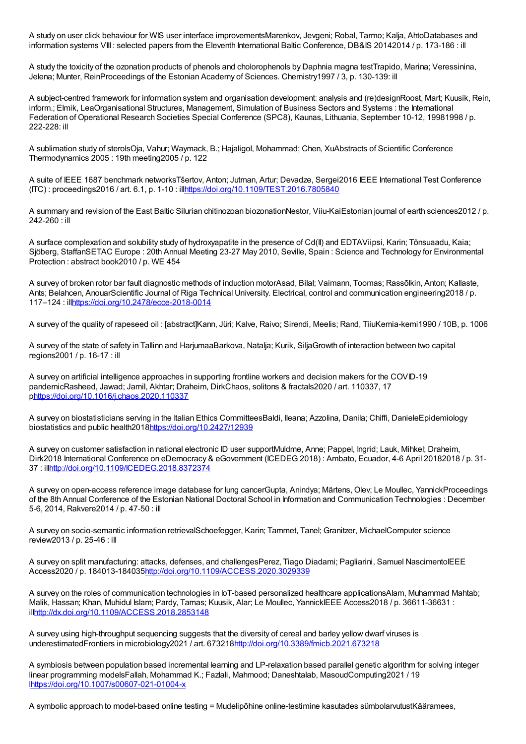A study on user click behaviour for WIS user interface improvementsMarenkov, Jevgeni; Robal, Tarmo; Kalja, AhtoDatabases and information systems VIII : selected papers from the Eleventh International Baltic Conference, DB&IS 20142014 / p. 173-186 : ill

A study the toxicity of the ozonation products of phenols and cholorophenols by Daphnia magna testTrapido, Marina; Veressinina, Jelena; Munter, ReinProceedings of the Estonian Academy of Sciences. Chemistry1997 / 3, p. 130-139: ill

A subject-centred framework for information system and organisation development: analysis and (re)designRoost, Mart; Kuusik, Rein, inform.; Elmik, LeaOrganisational Structures, Management, Simulation of Business Sectors and Systems : the International Federation of Operational Research Societies Special Conference (SPC8), Kaunas, Lithuania, September 10-12, 19981998 / p. 222-228: ill

A sublimation study of sterolsOja, Vahur; Waymack, B.; Hajaligol, Mohammad; Chen, XuAbstracts of Scientific Conference Thermodynamics 2005 : 19th meeting2005 / p. 122

A suite of IEEE 1687 benchmark networksTšertov, Anton; Jutman, Artur; Devadze, Sergei2016 IEEE International Test Conference (ITC) : proceedings2016 / art. 6.1, p. 1-10 : il[lhttps://doi.org/10.1109/TEST.2016.7805840](https://doi.org/10.1109/TEST.2016.7805840)

A summary and revision of the East Baltic Silurian chitinozoan biozonationNestor, Viiu-KaiEstonian journal of earth sciences2012 / p. 242-260 : ill

A surface complexation and solubility study of hydroxyapatite in the presence of Cd(II) and EDTAViipsi, Karin; Tõnsuaadu, Kaia; Sjöberg, StaffanSETAC Europe : 20th Annual Meeting 23-27 May 2010, Seville, Spain : Science and Technology for Environmental Protection : abstract book2010 / p. WE 454

A survey of broken rotor bar fault diagnostic methods of induction motorAsad, Bilal; Vaimann, Toomas; Rassõlkin, Anton; Kallaste, Ants; Belahcen, AnouarScientific Journal of Riga Technical University. Electrical, control and communication engineering2018 / p. 117–124 : il[lhttps://doi.org/10.2478/ecce-2018-0014](https://doi.org/10.2478/ecce-2018-0014)

A survey of the quality of rapeseed oil : [abstract]Kann, Jüri; Kalve, Raivo; Sirendi, Meelis; Rand, TiiuKemia-kemi1990 / 10B, p. 1006

A survey of the state of safety in Tallinn and HarjumaaBarkova, Natalja; Kurik, SiljaGrowth of interaction between two capital regions2001 / p. 16-17 : ill

A survey on artificial intelligence approaches in supporting frontline workers and decision makers for the COVID-19 pandemicRasheed, Jawad; Jamil, Akhtar; Draheim, DirkChaos, solitons & fractals2020 / art. 110337, 17 p<https://doi.org/10.1016/j.chaos.2020.110337>

A survey on biostatisticians serving in the Italian Ethics CommitteesBaldi, Ileana; Azzolina, Danila; Chiffi, DanieleEpidemiology biostatistics and public health201[8https://doi.org/10.2427/12939](https://doi.org/10.2427/12939)

A survey on customer satisfaction in national electronic ID user supportMuldme, Anne; Pappel, Ingrid; Lauk, Mihkel; Draheim, Dirk2018 International Conference on eDemocracy & eGovernment (ICEDEG 2018) : Ambato, Ecuador, 4-6 April 20182018 / p. 31- 37 : il[lhttp://doi.org/10.1109/ICEDEG.2018.8372374](http://doi.org/10.1109/ICEDEG.2018.8372374)

A survey on open-access reference image database for lung cancerGupta, Anindya; Märtens, Olev; Le Moullec, YannickProceedings of the 8th Annual Conference of the Estonian National Doctoral School in Information and Communication Technologies : December 5-6, 2014, Rakvere2014 / p. 47-50 : ill

A survey on socio-semantic information retrievalSchoefegger, Karin; Tammet, Tanel; Granitzer, MichaelComputer science review2013 / p. 25-46 : ill

A survey on split manufacturing: attacks, defenses, and challengesPerez, Tiago Diadami; Pagliarini, Samuel NascimentoIEEE Access2020 / p. 184013-18403[5http://doi.org/10.1109/ACCESS.2020.3029339](http://doi.org/10.1109/ACCESS.2020.3029339)

A survey on the roles of communication technologies in IoT-based personalized healthcare applicationsAlam, Muhammad Mahtab; Malik, Hassan; Khan, Muhidul Islam; Pardy, Tamas; Kuusik, Alar; Le Moullec, YannickIEEE Access2018 / p. 36611-36631 : il[lhttp://dx.doi.org/10.1109/ACCESS.2018.2853148](http://dx.doi.org/10.1109/ACCESS.2018.2853148)

A survey using high-throughput sequencing suggests that the diversity of cereal and barley yellow dwarf viruses is underestimatedFrontiers in microbiology2021 / art. 67321[8http://doi.org/10.3389/fmicb.2021.673218](http://doi.org/10.3389/fmicb.2021.673218)

A symbiosis between population based incremental learning and LP-relaxation based parallel genetic algorithm for solving integer linear programming modelsFallah, Mohammad K.; Fazlali, Mahmood; Daneshtalab, MasoudComputing2021 / 19 [lhttps://doi.org/10.1007/s00607-021-01004-x](https://doi.org/10.1007/s00607-021-01004-x)

A symbolic approach to model-based online testing = Mudelipõhine online-testimine kasutades sümbolarvutustKääramees,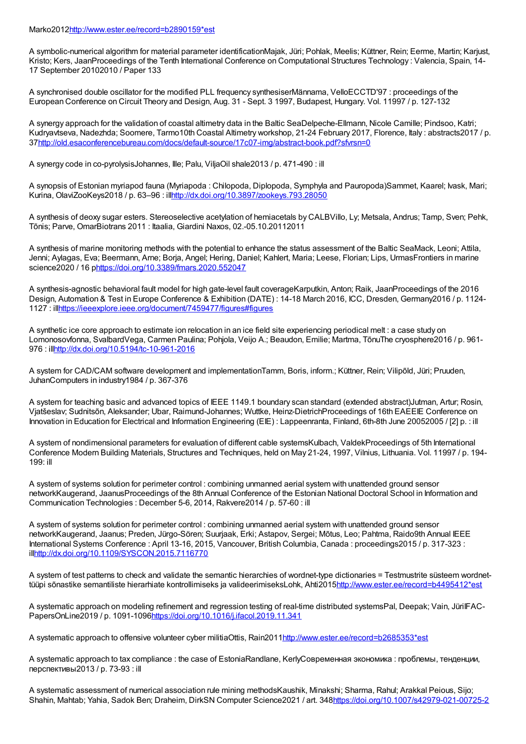A symbolic-numerical algorithm for material parameter identificationMajak, Jüri; Pohlak, Meelis; Küttner, Rein; Eerme, Martin; Karjust, Kristo; Kers, JaanProceedings of the Tenth International Conference on Computational Structures Technology : Valencia, Spain, 14- 17 September 20102010 / Paper 133

A synchronised double oscillator for the modified PLL frequency synthesiserMännama, VelloECCTD'97 : proceedings of the European Conference on Circuit Theory and Design, Aug. 31 - Sept. 3 1997, Budapest, Hungary. Vol. 11997 / p. 127-132

A synergy approach for the validation of coastal altimetry data in the Baltic SeaDelpeche-Ellmann, Nicole Camille; Pindsoo, Katri; Kudryavtseva, Nadezhda; Soomere, Tarmo10th Coastal Altimetry workshop, 21-24 February 2017, Florence, Italy : abstracts2017 / p. 3[7http://old.esaconferencebureau.com/docs/default-source/17c07-img/abstract-book.pdf?sfvrsn=0](http://old.esaconferencebureau.com/docs/default-source/17c07-img/abstract-book.pdf?sfvrsn=0)

A synergy code in co-pyrolysisJohannes, Ille; Palu, ViljaOil shale2013 / p. 471-490 : ill

A synopsis of Estonian myriapod fauna (Myriapoda : Chilopoda, Diplopoda, Symphyla and Pauropoda)Sammet, Kaarel; Ivask, Mari; Kurina, OlaviZooKeys2018 / p. 63–96 : il[lhttp://dx.doi.org/10.3897/zookeys.793.28050](http://dx.doi.org/10.3897/zookeys.793.28050)

A synthesis of deoxy sugar esters. Stereoselective acetylation of hemiacetals by CALBVillo, Ly; Metsala, Andrus; Tamp, Sven; Pehk, Tõnis; Parve, OmarBiotrans 2011 : Itaalia, Giardini Naxos, 02.-05.10.20112011

A synthesis of marine monitoring methods with the potential to enhance the status assessment of the Baltic SeaMack, Leoni; Attila, Jenni; Aylagas, Eva; Beermann, Arne; Borja, Angel; Hering, Daniel; Kahlert, Maria; Leese, Florian; Lips, UrmasFrontiers in marine science2020 / 16 [phttps://doi.org/10.3389/fmars.2020.552047](https://doi.org/10.3389/fmars.2020.552047)

A synthesis-agnostic behavioral fault model for high gate-level fault coverageKarputkin, Anton; Raik, JaanProceedings of the 2016 Design, Automation & Test in Europe Conference & Exhibition (DATE) : 14-18 March 2016, ICC, Dresden, Germany2016 / p. 1124- 1127 : il[lhttps://ieeexplore.ieee.org/document/7459477/figures#figures](https://ieeexplore.ieee.org/document/7459477/figures#figures)

A synthetic ice core approach to estimate ion relocation in an ice field site experiencing periodical melt : a case study on Lomonosovfonna, SvalbardVega, Carmen Paulina; Pohjola, Veijo A.; Beaudon, Emilie; Martma, TõnuThe cryosphere2016 / p. 961- 976 : il[lhttp://dx.doi.org/10.5194/tc-10-961-2016](http://dx.doi.org/10.5194/tc-10-961-2016)

A system for CAD/CAM software development and implementationTamm, Boris, inform.; Küttner, Rein; Vilipõld, Jüri; Pruuden, JuhanComputers in industry1984 / p. 367-376

A system for teaching basic and advanced topics of IEEE 1149.1 boundary scan standard (extended abstract)Jutman, Artur; Rosin, Vjatšeslav; Sudnitsõn, Aleksander; Ubar, Raimund-Johannes; Wuttke, Heinz-DietrichProceedings of 16th EAEEIE Conference on Innovation in Education for Electrical and Information Engineering (EIE) : Lappeenranta, Finland, 6th-8th June 20052005 / [2] p. : ill

A system of nondimensional parameters for evaluation of different cable systemsKulbach, ValdekProceedings of 5th International Conference Modern Building Materials, Structures and Techniques, held on May 21-24, 1997, Vilnius, Lithuania. Vol. 11997 / p. 194- 199: ill

A system of systems solution for perimeter control : combining unmanned aerial system with unattended ground sensor networkKaugerand, JaanusProceedings of the 8th Annual Conference of the Estonian National Doctoral School in Information and Communication Technologies : December 5-6, 2014, Rakvere2014 / p. 57-60 : ill

A system of systems solution for perimeter control : combining unmanned aerial system with unattended ground sensor networkKaugerand, Jaanus; Preden, Jürgo-Sören; Suurjaak, Erki; Astapov, Sergei; Mõtus, Leo; Pahtma, Raido9th Annual IEEE International Systems Conference : April 13-16, 2015, Vancouver, British Columbia, Canada : proceedings2015 / p. 317-323 : il[lhttp://dx.doi.org/10.1109/SYSCON.2015.7116770](http://dx.doi.org/10.1109/SYSCON.2015.7116770)

A system of test patterns to check and validate the semantic hierarchies of wordnet-type dictionaries = Testmustrite süsteem wordnet-tüüpi sõnastike semantiliste hierarhiate kontrollimiseks ja valideerimiseksLohk, Ahti201[5http://www.ester.ee/record=b4495412\\*est](http://www.ester.ee/record=b4495412*est)

A systematic approach on modeling refinement and regression testing of real-time distributed systemsPal, Deepak; Vain, JüriIFAC-PapersOnLine2019 / p. 1091-109[6https://doi.org/10.1016/j.ifacol.2019.11.341](https://doi.org/10.1016/j.ifacol.2019.11.341)

A systematic approach to offensive volunteer cyber militiaOttis, Rain201[1http://www.ester.ee/record=b2685353\\*est](http://www.ester.ee/record=b2685353*est)

A systematic approach to tax compliance : the case of EstoniaRandlane, KerlyСовременная экономика : проблемы, тенденции, перспективы2013 / p. 73-93 : ill

A systematic assessment of numerical association rule mining methodsKaushik, Minakshi; Sharma, Rahul; Arakkal Peious, Sijo; Shahin, Mahtab; Yahia, Sadok Ben; Draheim, DirkSN Computer Science2021 / art. 348<https://doi.org/10.1007/s42979-021-00725-2>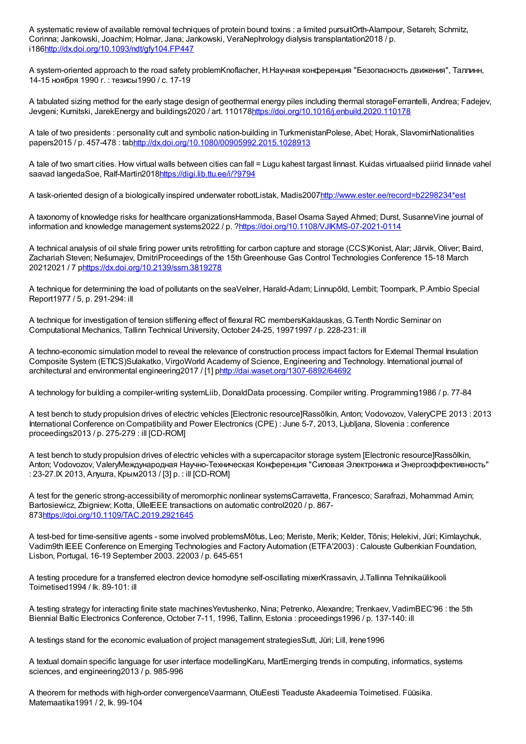A systematic review of available removal techniques of protein bound toxins : a limited pursuitOrth-Alampour, Setareh; Schmitz, Corinna; Jankowski, Joachim; Holmar, Jana; Jankowski, VeraNephrology dialysis transplantation2018 / p. i18[6http://dx.doi.org/10.1093/ndt/gfy104.FP447](http://dx.doi.org/10.1093/ndt/gfy104.FP447)

A system-oriented approach to the road safety problemKnoflacher, H.Научная конференция "Безопасность движения", Таллинн, 14-15 ноября 1990 г. : тезисы1990 / с. 17-19

A tabulated sizing method for the early stage design of geothermal energy piles including thermal storageFerrantelli, Andrea; Fadejev, Jevgeni; Kurnitski, JarekEnergy and buildings2020 / art. 110178<https://doi.org/10.1016/j.enbuild.2020.110178>

A tale of two presidents : personality cult and symbolic nation-building in TurkmenistanPolese, Abel; Horak, SlavomirNationalities papers2015 / p. 457-478 : tab<http://dx.doi.org/10.1080/00905992.2015.1028913>

A tale of two smart cities. How virtual walls between cities can fall = Lugu kahest targast linnast. Kuidas virtuaalsed piirid linnade vahel saavad langedaSoe, Ralf-Martin201[8https://digi.lib.ttu.ee/i/?9794](https://digi.lib.ttu.ee/i/?9794)

A task-oriented design of a biologically inspired underwater robotListak, Madis200[7http://www.ester.ee/record=b2298234\\*est](http://www.ester.ee/record=b2298234*est)

A taxonomy of knowledge risks for healthcare organizationsHammoda, Basel Osama Sayed Ahmed; Durst, SusanneVine journal of information and knowledge management systems2022 / p. [?https://doi.org/10.1108/VJIKMS-07-2021-0114](https://doi.org/10.1108/VJIKMS-07-2021-0114)

A technical analysis of oil shale firing power units retrofitting for carbon capture and storage (CCS)Konist, Alar; Järvik, Oliver; Baird, Zachariah Steven; Nešumajev, DmitriProceedings of the 15th Greenhouse Gas Control Technologies Conference 15-18 March 20212021 / 7 [phttps://dx.doi.org/10.2139/ssrn.3819278](https://dx.doi.org/10.2139/ssrn.3819278)

A technique for determining the load of pollutants on the seaVelner, Harald-Adam; Linnupõld, Lembit; Toompark, P.Ambio Special Report1977 / 5, p. 291-294: ill

A technique for investigation of tension stiffening effect of flexural RC membersKaklauskas, G.Tenth Nordic Seminar on Computational Mechanics, Tallinn Technical University, October 24-25, 19971997 / p. 228-231: ill

A techno-economic simulation model to reveal the relevance of construction process impact factors for External Thermal Insulation Composite System (ETICS)Sulakatko, VirgoWorld Academy of Science, Engineering and Technology. International journal of architectural and environmental engineering2017 / [1] [phttp://dai.waset.org/1307-6892/64692](http://dai.waset.org/1307-6892/64692)

A technology for building a compiler-writing systemLiib, DonaldData processing. Compiler writing. Programming1986 / p. 77-84

A test bench to study propulsion drives of electric vehicles [Electronic resource]Rassõlkin, Anton; Vodovozov, ValeryCPE 2013 : 2013 International Conference on Compatibility and Power Electronics (CPE) : June 5-7, 2013, Ljubljana, Slovenia : conference proceedings2013 / p. 275-279 : ill [CD-ROM]

A test bench to study propulsion drives of electric vehicles with a supercapacitor storage system [Electronic resource]Rassõlkin, Anton; Vodovozov, ValeryМеждународная Научно-Техническая Конференция "Силовая Электроника и Энергоэффективность" : 23-27.IX 2013, Алушта, Крым2013 / [3] p. : ill [CD-ROM]

A test for the generic strong-accessibility of meromorphic nonlinear systemsCarravetta, Francesco; Sarafrazi, Mohammad Amin; Bartosiewicz, Zbigniew; Kotta, ÜlleIEEE transactions on automatic control2020 / p. 867-87[3https://doi.org/10.1109/TAC.2019.2921645](https://doi.org/10.1109/TAC.2019.2921645)

A test-bed for time-sensitive agents - some involved problemsMõtus, Leo; Meriste, Merik; Kelder, Tõnis; Helekivi, Jüri; Kimlaychuk, Vadim9th IEEE Conference on Emerging Technologies and Factory Automation (ETFA'2003) : Calouste Gulbenkian Foundation, Lisbon, Portugal, 16-19 September 2003. 22003 / p. 645-651

A testing procedure for a transferred electron device homodyne self-oscillating mixerKrassavin, J.Tallinna Tehnikaülikooli Toimetised1994 / lk. 89-101: ill

A testing strategy for interacting finite state machinesYevtushenko, Nina; Petrenko, Alexandre; Trenkaev, VadimBEC'96 : the 5th Biennial Baltic Electronics Conference, October 7-11, 1996, Tallinn, Estonia : proceedings1996 / p. 137-140: ill

A testings stand for the economic evaluation of project management strategiesSutt, Jüri; Lill, Irene1996

A textual domain specific language for user interface modellingKaru, MartEmerging trends in computing, informatics, systems sciences, and engineering2013 / p. 985-996

A theorem for methods with high-order convergenceVaarmann, OtuEesti Teaduste Akadeemia Toimetised. Füüsika. Matemaatika1991 / 2, lk. 99-104